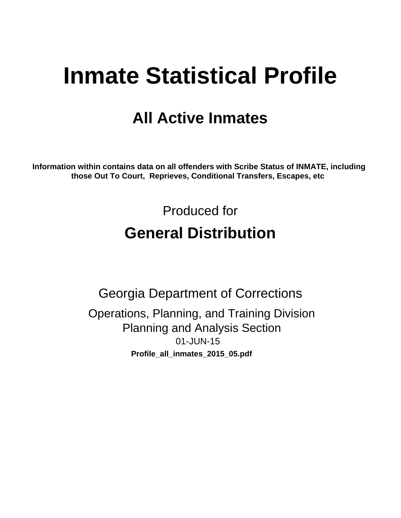# **Inmate Statistical Profile**

# **All Active Inmates**

Information within contains data on all offenders with Scribe Status of INMATE, including those Out To Court, Reprieves, Conditional Transfers, Escapes, etc

> Produced for **General Distribution**

**Georgia Department of Corrections** Operations, Planning, and Training Division **Planning and Analysis Section** 01-JUN-15 Profile\_all\_inmates\_2015\_05.pdf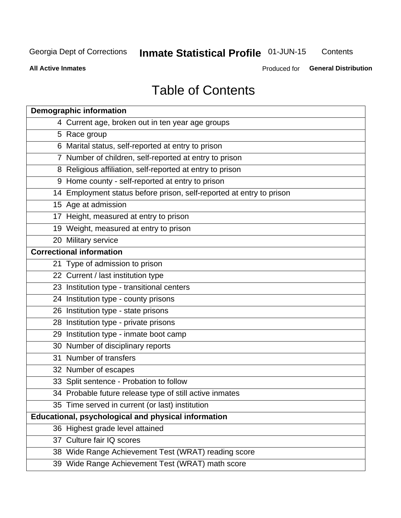# Inmate Statistical Profile 01-JUN-15

Contents

**All Active Inmates** 

Produced for General Distribution

# **Table of Contents**

| <b>Demographic information</b>                                       |
|----------------------------------------------------------------------|
| 4 Current age, broken out in ten year age groups                     |
| 5 Race group                                                         |
| 6 Marital status, self-reported at entry to prison                   |
| 7 Number of children, self-reported at entry to prison               |
| 8 Religious affiliation, self-reported at entry to prison            |
| 9 Home county - self-reported at entry to prison                     |
| 14 Employment status before prison, self-reported at entry to prison |
| 15 Age at admission                                                  |
| 17 Height, measured at entry to prison                               |
| 19 Weight, measured at entry to prison                               |
| 20 Military service                                                  |
| <b>Correctional information</b>                                      |
| 21 Type of admission to prison                                       |
| 22 Current / last institution type                                   |
| 23 Institution type - transitional centers                           |
| 24 Institution type - county prisons                                 |
| 26 Institution type - state prisons                                  |
| 28 Institution type - private prisons                                |
| 29 Institution type - inmate boot camp                               |
| 30 Number of disciplinary reports                                    |
| 31 Number of transfers                                               |
| 32 Number of escapes                                                 |
| 33 Split sentence - Probation to follow                              |
| 34 Probable future release type of still active inmates              |
| 35 Time served in current (or last) institution                      |
| Educational, psychological and physical information                  |
| 36 Highest grade level attained                                      |
| 37 Culture fair IQ scores                                            |
| 38 Wide Range Achievement Test (WRAT) reading score                  |
| 39 Wide Range Achievement Test (WRAT) math score                     |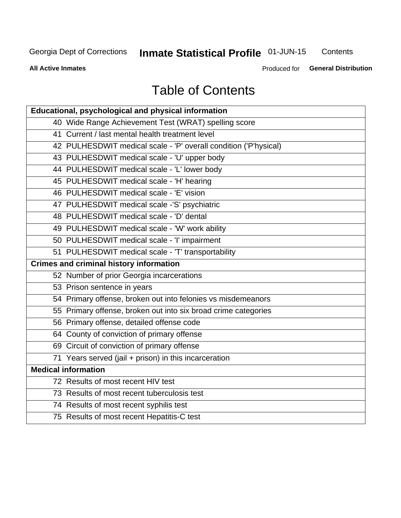# Inmate Statistical Profile 01-JUN-15

Contents

**All Active Inmates** 

Produced for General Distribution

# **Table of Contents**

| <b>Educational, psychological and physical information</b>       |
|------------------------------------------------------------------|
| 40 Wide Range Achievement Test (WRAT) spelling score             |
| 41 Current / last mental health treatment level                  |
| 42 PULHESDWIT medical scale - 'P' overall condition ('P'hysical) |
| 43 PULHESDWIT medical scale - 'U' upper body                     |
| 44 PULHESDWIT medical scale - 'L' lower body                     |
| 45 PULHESDWIT medical scale - 'H' hearing                        |
| 46 PULHESDWIT medical scale - 'E' vision                         |
| 47 PULHESDWIT medical scale -'S' psychiatric                     |
| 48 PULHESDWIT medical scale - 'D' dental                         |
| 49 PULHESDWIT medical scale - 'W' work ability                   |
| 50 PULHESDWIT medical scale - 'I' impairment                     |
| 51 PULHESDWIT medical scale - 'T' transportability               |
| <b>Crimes and criminal history information</b>                   |
| 52 Number of prior Georgia incarcerations                        |
| 53 Prison sentence in years                                      |
| 54 Primary offense, broken out into felonies vs misdemeanors     |
| 55 Primary offense, broken out into six broad crime categories   |
| 56 Primary offense, detailed offense code                        |
| 64 County of conviction of primary offense                       |
| 69 Circuit of conviction of primary offense                      |
| 71 Years served (jail + prison) in this incarceration            |
| <b>Medical information</b>                                       |
| 72 Results of most recent HIV test                               |
| 73 Results of most recent tuberculosis test                      |
| 74 Results of most recent syphilis test                          |
| 75 Results of most recent Hepatitis-C test                       |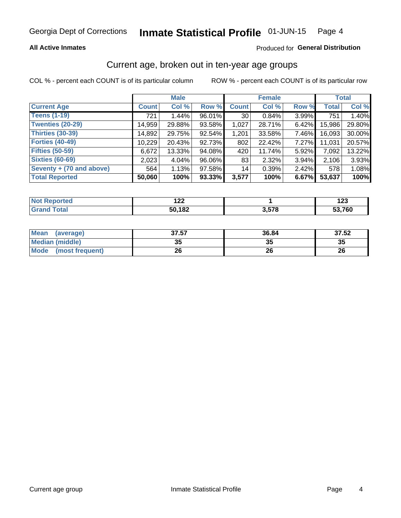### **All Active Inmates**

### Produced for General Distribution

# Current age, broken out in ten-year age groups

COL % - percent each COUNT is of its particular column

|                          | <b>Male</b>  |        |        | <b>Female</b>   |        |          | <b>Total</b> |        |
|--------------------------|--------------|--------|--------|-----------------|--------|----------|--------------|--------|
| <b>Current Age</b>       | <b>Count</b> | Col %  | Row %  | <b>Count</b>    | Col %  | Row %    | <b>Total</b> | Col %  |
| <b>Teens (1-19)</b>      | 721          | 1.44%  | 96.01% | 30 <sup>1</sup> | 0.84%  | 3.99%    | 751          | 1.40%  |
| <b>Twenties (20-29)</b>  | 14,959       | 29.88% | 93.58% | 1,027           | 28.71% | $6.42\%$ | 15,986       | 29.80% |
| Thirties (30-39)         | 14,892       | 29.75% | 92.54% | 1,201           | 33.58% | 7.46%    | 16,093       | 30.00% |
| <b>Forties (40-49)</b>   | 10,229       | 20.43% | 92.73% | 802             | 22.42% | 7.27%    | 11,031       | 20.57% |
| <b>Fifties (50-59)</b>   | 6,672        | 13.33% | 94.08% | 420             | 11.74% | 5.92%    | 7,092        | 13.22% |
| <b>Sixties (60-69)</b>   | 2,023        | 4.04%  | 96.06% | 83              | 2.32%  | $3.94\%$ | 2,106        | 3.93%  |
| Seventy + (70 and above) | 564          | 1.13%  | 97.58% | 14              | 0.39%  | $2.42\%$ | 578          | 1.08%  |
| <b>Total Reported</b>    | 50,060       | 100%   | 93.33% | 3,577           | 100%   | 6.67%    | 53,637       | 100%   |

| <b>Not Repo</b> | ៱៱៱    |                         | י ה    |
|-----------------|--------|-------------------------|--------|
| <b>Enorted</b>  | ' 44   |                         | 16J    |
| Total           | 50,182 | <b>R 578</b><br>J.J I L | 53,760 |

| <b>Mean</b><br>(average)       | 37.57    | 36.84 | 37.52 |
|--------------------------------|----------|-------|-------|
| Median (middle)                | つん<br>vu | JJ    | 35    |
| <b>Mode</b><br>(most frequent) | 26       | 26    | 26    |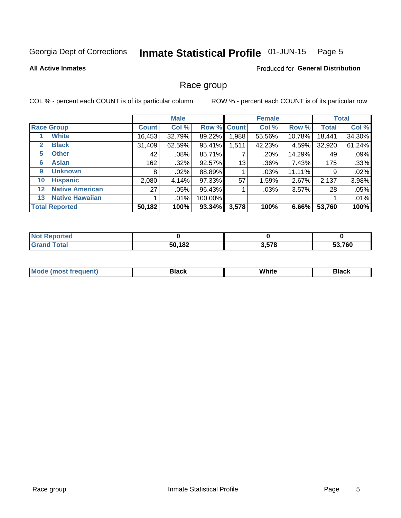#### Inmate Statistical Profile 01-JUN-15 Page 5

### **All Active Inmates**

### **Produced for General Distribution**

# Race group

COL % - percent each COUNT is of its particular column

|                   |                        |              | <b>Male</b> |           |             | <b>Female</b> |        |              | <b>Total</b> |  |
|-------------------|------------------------|--------------|-------------|-----------|-------------|---------------|--------|--------------|--------------|--|
|                   | <b>Race Group</b>      | <b>Count</b> | Col %       |           | Row % Count | Col %         | Row %  | <b>Total</b> | Col %        |  |
|                   | <b>White</b>           | 16,453       | 32.79%      | 89.22%    | 1,988       | 55.56%        | 10.78% | 18,441       | 34.30%       |  |
| $\mathbf{2}$      | <b>Black</b>           | 31,409       | 62.59%      | 95.41%    | 1,511       | 42.23%        | 4.59%  | 32,920       | 61.24%       |  |
| 5.                | <b>Other</b>           | 42           | $.08\%$     | 85.71%    |             | .20%          | 14.29% | 49           | .09%         |  |
| 6                 | <b>Asian</b>           | 162          | $.32\%$     | 92.57%    | 13          | .36%          | 7.43%  | 175          | .33%         |  |
| 9                 | <b>Unknown</b>         | 8            | $.02\%$     | 88.89%    |             | .03%          | 11.11% | 9            | .02%         |  |
| 10                | <b>Hispanic</b>        | 2,080        | 4.14%       | 97.33%    | 57          | 1.59%         | 2.67%  | 2,137        | 3.98%        |  |
| $12 \overline{ }$ | <b>Native American</b> | 27           | $.05\%$     | 96.43%    |             | .03%          | 3.57%  | 28           | .05%         |  |
| 13                | <b>Native Hawaiian</b> |              | .01%        | 100.00%   |             |               |        |              | .01%         |  |
|                   | <b>Total Reported</b>  | 50,182       | 100%        | $93.34\%$ | 3,578       | 100%          | 6.66%  | 53,760       | 100%         |  |

| <b>Not Reported</b> |        |       |        |
|---------------------|--------|-------|--------|
| <b>Grand Total</b>  | 50,182 | 3,578 | 53,760 |

| <b>Mode</b><br>---<br>most frequent) | Black | White | <b>Black</b> |
|--------------------------------------|-------|-------|--------------|
|                                      |       |       |              |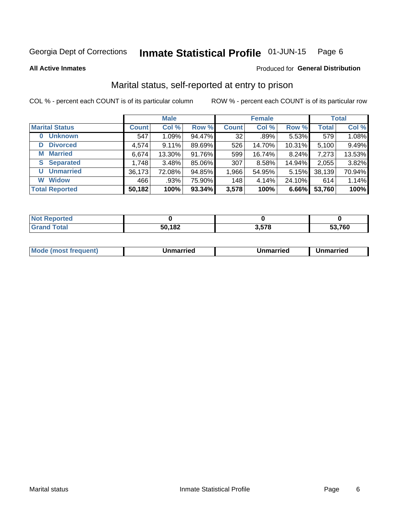#### Inmate Statistical Profile 01-JUN-15 Page 6

**All Active Inmates** 

### Produced for General Distribution

# Marital status, self-reported at entry to prison

COL % - percent each COUNT is of its particular column

|                            | <b>Male</b>  |        |        |              | <b>Female</b> | <b>Total</b> |              |        |
|----------------------------|--------------|--------|--------|--------------|---------------|--------------|--------------|--------|
| <b>Marital Status</b>      | <b>Count</b> | Col %  | Row %  | <b>Count</b> | Col %         | Row %        | <b>Total</b> | Col %  |
| <b>Unknown</b><br>$\bf{0}$ | 547          | 1.09%  | 94.47% | 32           | .89%          | 5.53%        | 579          | 1.08%  |
| <b>Divorced</b><br>D       | 4,574        | 9.11%  | 89.69% | 526          | 14.70%        | 10.31%       | 5,100        | 9.49%  |
| <b>Married</b><br>М        | 6,674        | 13.30% | 91.76% | 599          | 16.74%        | 8.24%        | 7,273        | 13.53% |
| <b>Separated</b><br>S.     | 1,748        | 3.48%  | 85.06% | 307          | 8.58%         | 14.94%       | 2,055        | 3.82%  |
| <b>Unmarried</b><br>U      | 36,173       | 72.08% | 94.85% | 1,966        | 54.95%        | 5.15%        | 38,139       | 70.94% |
| <b>Widow</b><br>W          | 466          | .93%   | 75.90% | 148          | 4.14%         | 24.10%       | 614          | 1.14%  |
| <b>Total Reported</b>      | 50,182       | 100%   | 93.34% | 3,578        | 100%          | 6.66%        | 53,760       | 100%   |

| <b>Not Reported</b> |               |     |        |
|---------------------|---------------|-----|--------|
| Total<br>Gra        | 50,182<br>ווכ | E70 | 53.760 |

|--|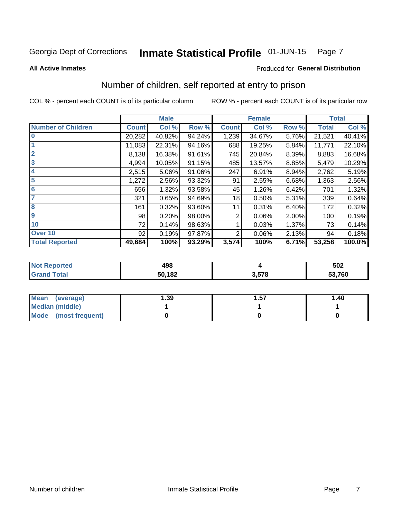#### Inmate Statistical Profile 01-JUN-15 Page 7

**All Active Inmates** 

### **Produced for General Distribution**

# Number of children, self reported at entry to prison

COL % - percent each COUNT is of its particular column

|                           |              | <b>Male</b> |        |              | <b>Female</b> |       |              | <b>Total</b> |
|---------------------------|--------------|-------------|--------|--------------|---------------|-------|--------------|--------------|
| <b>Number of Children</b> | <b>Count</b> | Col %       | Row %  | <b>Count</b> | Col %         | Row % | <b>Total</b> | Col %        |
| $\overline{0}$            | 20,282       | 40.82%      | 94.24% | 1,239        | 34.67%        | 5.76% | 21,521       | 40.41%       |
|                           | 11,083       | 22.31%      | 94.16% | 688          | 19.25%        | 5.84% | 11,771       | 22.10%       |
| $\overline{2}$            | 8,138        | 16.38%      | 91.61% | 745          | 20.84%        | 8.39% | 8,883        | 16.68%       |
| $\overline{\mathbf{3}}$   | 4,994        | 10.05%      | 91.15% | 485          | 13.57%        | 8.85% | 5,479        | 10.29%       |
| 4                         | 2,515        | 5.06%       | 91.06% | 247          | 6.91%         | 8.94% | 2,762        | 5.19%        |
| $\overline{\mathbf{5}}$   | 1,272        | 2.56%       | 93.32% | 91           | 2.55%         | 6.68% | 1,363        | 2.56%        |
| 6                         | 656          | 1.32%       | 93.58% | 45           | 1.26%         | 6.42% | 701          | 1.32%        |
| 7                         | 321          | 0.65%       | 94.69% | 18           | 0.50%         | 5.31% | 339          | 0.64%        |
| $\overline{\mathbf{8}}$   | 161          | 0.32%       | 93.60% | 11           | 0.31%         | 6.40% | 172          | 0.32%        |
| 9                         | 98           | 0.20%       | 98.00% | 2            | 0.06%         | 2.00% | 100          | 0.19%        |
| 10                        | 72           | 0.14%       | 98.63% |              | 0.03%         | 1.37% | 73           | 0.14%        |
| Over 10                   | 92           | 0.19%       | 97.87% | 2            | 0.06%         | 2.13% | 94           | 0.18%        |
| <b>Total Reported</b>     | 49,684       | 100%        | 93.29% | 3,574        | 100%          | 6.71% | 53,258       | 100.0%       |

| ៱៱៰<br>43L |     | 502    |
|------------|-----|--------|
| 50,182     | EZO | 53,760 |

| Mean<br>(average)       | 1.39 | 1.57 | 1.40 |
|-------------------------|------|------|------|
| Median (middle)         |      |      |      |
| Mode<br>(most frequent) |      |      |      |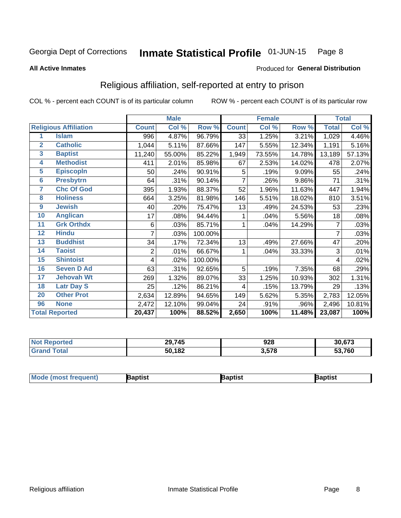#### Inmate Statistical Profile 01-JUN-15 Page 8

#### **All Active Inmates**

### Produced for General Distribution

# Religious affiliation, self-reported at entry to prison

COL % - percent each COUNT is of its particular column

|                         |                              |              | <b>Male</b> |         |              | <b>Female</b> |         |              | <b>Total</b> |
|-------------------------|------------------------------|--------------|-------------|---------|--------------|---------------|---------|--------------|--------------|
|                         | <b>Religious Affiliation</b> | <b>Count</b> | Col %       | Row %   | <b>Count</b> | Col %         | Row %   | <b>Total</b> | Col %        |
| 1                       | <b>Islam</b>                 | 996          | 4.87%       | 96.79%  | 33           | 1.25%         | 3.21%   | 1,029        | 4.46%        |
| $\overline{2}$          | <b>Catholic</b>              | 1,044        | 5.11%       | 87.66%  | 147          | 5.55%         | 12.34%  | 1,191        | 5.16%        |
| $\overline{\mathbf{3}}$ | <b>Baptist</b>               | 11,240       | 55.00%      | 85.22%  | 1,949        | 73.55%        | 14.78%  | 13,189       | 57.13%       |
| $\overline{\mathbf{4}}$ | <b>Methodist</b>             | 411          | 2.01%       | 85.98%  | 67           | 2.53%         | 14.02%  | 478          | 2.07%        |
| $\overline{5}$          | <b>EpiscopIn</b>             | 50           | .24%        | 90.91%  | 5            | .19%          | 9.09%   | 55           | .24%         |
| $6\overline{6}$         | <b>Presbytrn</b>             | 64           | .31%        | 90.14%  | 7            | .26%          | 9.86%   | 71           | .31%         |
| 7                       | <b>Chc Of God</b>            | 395          | 1.93%       | 88.37%  | 52           | 1.96%         | 11.63%  | 447          | 1.94%        |
| 8                       | <b>Holiness</b>              | 664          | 3.25%       | 81.98%  | 146          | 5.51%         | 18.02%  | 810          | 3.51%        |
| $\boldsymbol{9}$        | <b>Jewish</b>                | 40           | .20%        | 75.47%  | 13           | .49%          | 24.53%  | 53           | .23%         |
| 10                      | <b>Anglican</b>              | 17           | .08%        | 94.44%  |              | .04%          | 5.56%   | 18           | .08%         |
| 11                      | <b>Grk Orthdx</b>            | 6            | .03%        | 85.71%  | 1            | .04%          | 14.29%  | 7            | .03%         |
| 12                      | <b>Hindu</b>                 | 7            | .03%        | 100.00% |              |               |         | 7            | .03%         |
| 13                      | <b>Buddhist</b>              | 34           | .17%        | 72.34%  | 13           | .49%          | 27.66%  | 47           | .20%         |
| 14                      | <b>Taoist</b>                | 2            | .01%        | 66.67%  | 1            | .04%          | 33.33%  | 3            | .01%         |
| 15                      | <b>Shintoist</b>             | 4            | .02%        | 100.00% |              |               |         | 4            | .02%         |
| 16                      | <b>Seven D Ad</b>            | 63           | .31%        | 92.65%  | 5            | .19%          | 7.35%   | 68           | .29%         |
| 17                      | <b>Jehovah Wt</b>            | 269          | 1.32%       | 89.07%  | 33           | 1.25%         | 10.93%  | 302          | 1.31%        |
| 18                      | <b>Latr Day S</b>            | 25           | .12%        | 86.21%  | 4            | .15%          | 13.79%  | 29           | .13%         |
| 20                      | <b>Other Prot</b>            | 2,634        | 12.89%      | 94.65%  | 149          | 5.62%         | 5.35%   | 2,783        | 12.05%       |
| 96                      | <b>None</b>                  | 2,472        | 12.10%      | 99.04%  | 24           | .91%          | $.96\%$ | 2,496        | 10.81%       |
|                         | <b>Total Reported</b>        | 20,437       | 100%        | 88.52%  | 2,650        | 100%          | 11.48%  | 23,087       | 100%         |

| 29,745 | 928   | 30,673                 |
|--------|-------|------------------------|
| 50,182 | 3,578 | 53,760<br>$\mathbf{L}$ |

| <b>Mode</b><br>aptist<br>3aptist<br>Baptist<br>a imast.<br>Treduent) |
|----------------------------------------------------------------------|
|----------------------------------------------------------------------|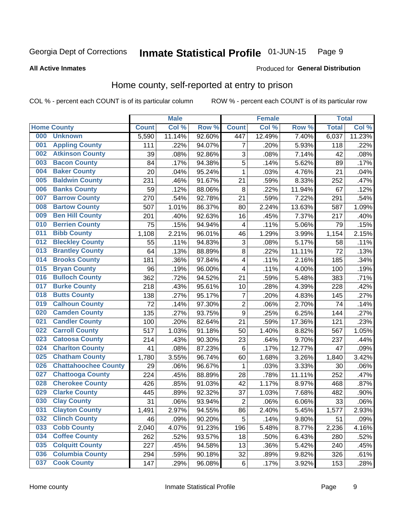#### Inmate Statistical Profile 01-JUN-15 Page 9

#### **All Active Inmates**

### **Produced for General Distribution**

# Home county, self-reported at entry to prison

COL % - percent each COUNT is of its particular column

|     |                             |              | <b>Male</b> |                  |                | <b>Female</b> |        | <b>Total</b> |        |
|-----|-----------------------------|--------------|-------------|------------------|----------------|---------------|--------|--------------|--------|
|     | <b>Home County</b>          | <b>Count</b> | Col %       | Row <sup>%</sup> | <b>Count</b>   | Col %         | Row %  | <b>Total</b> | Col %  |
| 000 | <b>Unknown</b>              | 5,590        | 11.14%      | 92.60%           | 447            | 12.49%        | 7.40%  | 6,037        | 11.23% |
| 001 | <b>Appling County</b>       | 111          | .22%        | 94.07%           | 7              | .20%          | 5.93%  | 118          | .22%   |
| 002 | <b>Atkinson County</b>      | 39           | .08%        | 92.86%           | 3              | .08%          | 7.14%  | 42           | .08%   |
| 003 | <b>Bacon County</b>         | 84           | .17%        | 94.38%           | 5              | .14%          | 5.62%  | 89           | .17%   |
| 004 | <b>Baker County</b>         | 20           | .04%        | 95.24%           | $\mathbf{1}$   | .03%          | 4.76%  | 21           | .04%   |
| 005 | <b>Baldwin County</b>       | 231          | .46%        | 91.67%           | 21             | .59%          | 8.33%  | 252          | .47%   |
| 006 | <b>Banks County</b>         | 59           | .12%        | 88.06%           | $\bf 8$        | .22%          | 11.94% | 67           | .12%   |
| 007 | <b>Barrow County</b>        | 270          | .54%        | 92.78%           | 21             | .59%          | 7.22%  | 291          | .54%   |
| 008 | <b>Bartow County</b>        | 507          | 1.01%       | 86.37%           | 80             | 2.24%         | 13.63% | 587          | 1.09%  |
| 009 | <b>Ben Hill County</b>      | 201          | .40%        | 92.63%           | 16             | .45%          | 7.37%  | 217          | .40%   |
| 010 | <b>Berrien County</b>       | 75           | .15%        | 94.94%           | 4              | .11%          | 5.06%  | 79           | .15%   |
| 011 | <b>Bibb County</b>          | 1,108        | 2.21%       | 96.01%           | 46             | 1.29%         | 3.99%  | 1,154        | 2.15%  |
| 012 | <b>Bleckley County</b>      | 55           | .11%        | 94.83%           | 3              | .08%          | 5.17%  | 58           | .11%   |
| 013 | <b>Brantley County</b>      | 64           | .13%        | 88.89%           | 8              | .22%          | 11.11% | 72           | .13%   |
| 014 | <b>Brooks County</b>        | 181          | .36%        | 97.84%           | 4              | .11%          | 2.16%  | 185          | .34%   |
| 015 | <b>Bryan County</b>         | 96           | .19%        | 96.00%           | 4              | .11%          | 4.00%  | 100          | .19%   |
| 016 | <b>Bulloch County</b>       | 362          | .72%        | 94.52%           | 21             | .59%          | 5.48%  | 383          | .71%   |
| 017 | <b>Burke County</b>         | 218          | .43%        | 95.61%           | 10             | .28%          | 4.39%  | 228          | .42%   |
| 018 | <b>Butts County</b>         | 138          | .27%        | 95.17%           | $\overline{7}$ | .20%          | 4.83%  | 145          | .27%   |
| 019 | <b>Calhoun County</b>       | 72           | .14%        | 97.30%           | $\overline{c}$ | .06%          | 2.70%  | 74           | .14%   |
| 020 | <b>Camden County</b>        | 135          | .27%        | 93.75%           | 9              | .25%          | 6.25%  | 144          | .27%   |
| 021 | <b>Candler County</b>       | 100          | .20%        | 82.64%           | 21             | .59%          | 17.36% | 121          | .23%   |
| 022 | <b>Carroll County</b>       | 517          | 1.03%       | 91.18%           | 50             | 1.40%         | 8.82%  | 567          | 1.05%  |
| 023 | <b>Catoosa County</b>       | 214          | .43%        | 90.30%           | 23             | .64%          | 9.70%  | 237          | .44%   |
| 024 | <b>Charlton County</b>      | 41           | .08%        | 87.23%           | 6              | .17%          | 12.77% | 47           | .09%   |
| 025 | <b>Chatham County</b>       | 1,780        | 3.55%       | 96.74%           | 60             | 1.68%         | 3.26%  | 1,840        | 3.42%  |
| 026 | <b>Chattahoochee County</b> | 29           | .06%        | 96.67%           | 1              | .03%          | 3.33%  | 30           | .06%   |
| 027 | <b>Chattooga County</b>     | 224          | .45%        | 88.89%           | 28             | .78%          | 11.11% | 252          | .47%   |
| 028 | <b>Cherokee County</b>      | 426          | .85%        | 91.03%           | 42             | 1.17%         | 8.97%  | 468          | .87%   |
| 029 | <b>Clarke County</b>        | 445          | .89%        | 92.32%           | 37             | 1.03%         | 7.68%  | 482          | .90%   |
| 030 | <b>Clay County</b>          | 31           | .06%        | 93.94%           | $\overline{2}$ | .06%          | 6.06%  | 33           | .06%   |
| 031 | <b>Clayton County</b>       | 1,491        | 2.97%       | 94.55%           | 86             | 2.40%         | 5.45%  | 1,577        | 2.93%  |
| 032 | <b>Clinch County</b>        | 46           | .09%        | 90.20%           | 5              | .14%          | 9.80%  | 51           | .09%   |
| 033 | <b>Cobb County</b>          | 2,040        | 4.07%       | 91.23%           | 196            | 5.48%         | 8.77%  | 2,236        | 4.16%  |
| 034 | <b>Coffee County</b>        | 262          | .52%        | 93.57%           | 18             | .50%          | 6.43%  | 280          | .52%   |
| 035 | <b>Colquitt County</b>      | 227          | .45%        | 94.58%           | 13             | .36%          | 5.42%  | 240          | .45%   |
| 036 | <b>Columbia County</b>      | 294          | .59%        | 90.18%           | 32             | .89%          | 9.82%  | 326          | .61%   |
| 037 | <b>Cook County</b>          | 147          | .29%        | 96.08%           | $\,6$          | .17%          | 3.92%  | 153          | .28%   |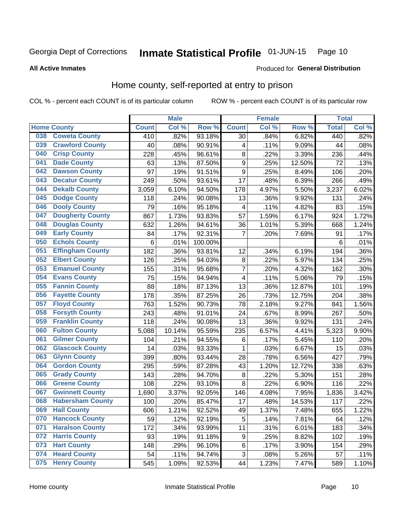#### **Inmate Statistical Profile 01-JUN-15** Page 10

**All Active Inmates** 

### Produced for General Distribution

# Home county, self-reported at entry to prison

COL % - percent each COUNT is of its particular column

|     |                         |              | <b>Male</b> |                  |                         | <b>Female</b> |        | <b>Total</b> |       |
|-----|-------------------------|--------------|-------------|------------------|-------------------------|---------------|--------|--------------|-------|
|     | <b>Home County</b>      | <b>Count</b> | Col %       | Row <sup>%</sup> | <b>Count</b>            | Col %         | Row %  | <b>Total</b> | Col % |
| 038 | <b>Coweta County</b>    | 410          | .82%        | 93.18%           | 30                      | .84%          | 6.82%  | 440          | .82%  |
| 039 | <b>Crawford County</b>  | 40           | .08%        | 90.91%           | 4                       | .11%          | 9.09%  | 44           | .08%  |
| 040 | <b>Crisp County</b>     | 228          | .45%        | 96.61%           | 8                       | .22%          | 3.39%  | 236          | .44%  |
| 041 | <b>Dade County</b>      | 63           | .13%        | 87.50%           | $\boldsymbol{9}$        | .25%          | 12.50% | 72           | .13%  |
| 042 | <b>Dawson County</b>    | 97           | .19%        | 91.51%           | $\boldsymbol{9}$        | .25%          | 8.49%  | 106          | .20%  |
| 043 | <b>Decatur County</b>   | 249          | .50%        | 93.61%           | 17                      | .48%          | 6.39%  | 266          | .49%  |
| 044 | <b>Dekalb County</b>    | 3,059        | 6.10%       | 94.50%           | 178                     | 4.97%         | 5.50%  | 3,237        | 6.02% |
| 045 | <b>Dodge County</b>     | 118          | .24%        | 90.08%           | 13                      | .36%          | 9.92%  | 131          | .24%  |
| 046 | <b>Dooly County</b>     | 79           | .16%        | 95.18%           | 4                       | .11%          | 4.82%  | 83           | .15%  |
| 047 | <b>Dougherty County</b> | 867          | 1.73%       | 93.83%           | 57                      | 1.59%         | 6.17%  | 924          | 1.72% |
| 048 | <b>Douglas County</b>   | 632          | 1.26%       | 94.61%           | 36                      | 1.01%         | 5.39%  | 668          | 1.24% |
| 049 | <b>Early County</b>     | 84           | .17%        | 92.31%           | $\overline{7}$          | .20%          | 7.69%  | 91           | .17%  |
| 050 | <b>Echols County</b>    | 6            | .01%        | 100.00%          |                         |               |        | 6            | .01%  |
| 051 | <b>Effingham County</b> | 182          | .36%        | 93.81%           | 12                      | .34%          | 6.19%  | 194          | .36%  |
| 052 | <b>Elbert County</b>    | 126          | .25%        | 94.03%           | 8                       | .22%          | 5.97%  | 134          | .25%  |
| 053 | <b>Emanuel County</b>   | 155          | .31%        | 95.68%           | 7                       | .20%          | 4.32%  | 162          | .30%  |
| 054 | <b>Evans County</b>     | 75           | .15%        | 94.94%           | $\overline{\mathbf{4}}$ | .11%          | 5.06%  | 79           | .15%  |
| 055 | <b>Fannin County</b>    | 88           | .18%        | 87.13%           | 13                      | .36%          | 12.87% | 101          | .19%  |
| 056 | <b>Fayette County</b>   | 178          | .35%        | 87.25%           | 26                      | .73%          | 12.75% | 204          | .38%  |
| 057 | <b>Floyd County</b>     | 763          | 1.52%       | 90.73%           | 78                      | 2.18%         | 9.27%  | 841          | 1.56% |
| 058 | <b>Forsyth County</b>   | 243          | .48%        | 91.01%           | 24                      | .67%          | 8.99%  | 267          | .50%  |
| 059 | <b>Franklin County</b>  | 118          | .24%        | 90.08%           | 13                      | .36%          | 9.92%  | 131          | .24%  |
| 060 | <b>Fulton County</b>    | 5,088        | 10.14%      | 95.59%           | 235                     | 6.57%         | 4.41%  | 5,323        | 9.90% |
| 061 | <b>Gilmer County</b>    | 104          | .21%        | 94.55%           | 6                       | .17%          | 5.45%  | 110          | .20%  |
| 062 | <b>Glascock County</b>  | 14           | .03%        | 93.33%           | 1                       | .03%          | 6.67%  | 15           | .03%  |
| 063 | <b>Glynn County</b>     | 399          | .80%        | 93.44%           | 28                      | .78%          | 6.56%  | 427          | .79%  |
| 064 | <b>Gordon County</b>    | 295          | .59%        | 87.28%           | 43                      | 1.20%         | 12.72% | 338          | .63%  |
| 065 | <b>Grady County</b>     | 143          | .28%        | 94.70%           | 8                       | .22%          | 5.30%  | 151          | .28%  |
| 066 | <b>Greene County</b>    | 108          | .22%        | 93.10%           | 8                       | .22%          | 6.90%  | 116          | .22%  |
| 067 | <b>Gwinnett County</b>  | 1,690        | 3.37%       | 92.05%           | 146                     | 4.08%         | 7.95%  | 1,836        | 3.42% |
| 068 | <b>Habersham County</b> | 100          | .20%        | 85.47%           | 17                      | .48%          | 14.53% | 117          | .22%  |
| 069 | <b>Hall County</b>      | 606          | 1.21%       | 92.52%           | 49                      | 1.37%         | 7.48%  | 655          | 1.22% |
| 070 | <b>Hancock County</b>   | 59           | .12%        | 92.19%           | 5                       | .14%          | 7.81%  | 64           | .12%  |
| 071 | <b>Haralson County</b>  | 172          | .34%        | 93.99%           | 11                      | .31%          | 6.01%  | 183          | .34%  |
| 072 | <b>Harris County</b>    | 93           | .19%        | 91.18%           | 9                       | .25%          | 8.82%  | 102          | .19%  |
| 073 | <b>Hart County</b>      | 148          | .29%        | 96.10%           | 6                       | .17%          | 3.90%  | 154          | .29%  |
| 074 | <b>Heard County</b>     | 54           | .11%        | 94.74%           | 3                       | .08%          | 5.26%  | 57           | .11%  |
| 075 | <b>Henry County</b>     | 545          | 1.09%       | 92.53%           | 44                      | 1.23%         | 7.47%  | 589          | 1.10% |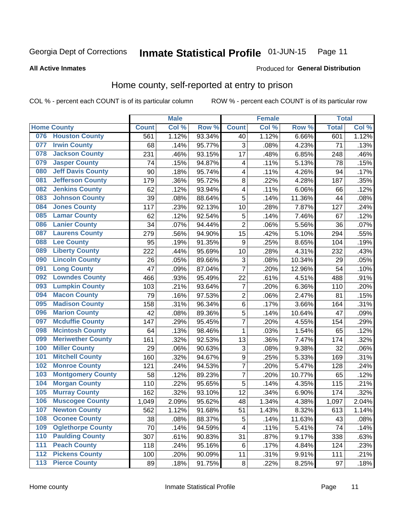#### Inmate Statistical Profile 01-JUN-15 Page 11

### **All Active Inmates**

# Produced for General Distribution

# Home county, self-reported at entry to prison

COL % - percent each COUNT is of its particular column

|                  |                          |              | <b>Male</b> |        |                  | <b>Female</b> |                  | <b>Total</b> |       |
|------------------|--------------------------|--------------|-------------|--------|------------------|---------------|------------------|--------------|-------|
|                  | <b>Home County</b>       | <b>Count</b> | Col %       | Row %  | <b>Count</b>     | Col %         | Row <sup>%</sup> | <b>Total</b> | Col % |
| 076              | <b>Houston County</b>    | 561          | 1.12%       | 93.34% | 40               | 1.12%         | 6.66%            | 601          | 1.12% |
| 077              | <b>Irwin County</b>      | 68           | .14%        | 95.77% | 3                | .08%          | 4.23%            | 71           | .13%  |
| 078              | <b>Jackson County</b>    | 231          | .46%        | 93.15% | 17               | .48%          | 6.85%            | 248          | .46%  |
| 079              | <b>Jasper County</b>     | 74           | .15%        | 94.87% | 4                | .11%          | 5.13%            | 78           | .15%  |
| 080              | <b>Jeff Davis County</b> | 90           | .18%        | 95.74% | 4                | .11%          | 4.26%            | 94           | .17%  |
| 081              | <b>Jefferson County</b>  | 179          | .36%        | 95.72% | 8                | .22%          | 4.28%            | 187          | .35%  |
| 082              | <b>Jenkins County</b>    | 62           | .12%        | 93.94% | 4                | .11%          | 6.06%            | 66           | .12%  |
| 083              | <b>Johnson County</b>    | 39           | .08%        | 88.64% | 5                | .14%          | 11.36%           | 44           | .08%  |
| 084              | <b>Jones County</b>      | 117          | .23%        | 92.13% | 10               | .28%          | 7.87%            | 127          | .24%  |
| 085              | <b>Lamar County</b>      | 62           | .12%        | 92.54% | 5                | .14%          | 7.46%            | 67           | .12%  |
| 086              | <b>Lanier County</b>     | 34           | .07%        | 94.44% | $\overline{2}$   | .06%          | 5.56%            | 36           | .07%  |
| 087              | <b>Laurens County</b>    | 279          | .56%        | 94.90% | 15               | .42%          | 5.10%            | 294          | .55%  |
| 088              | <b>Lee County</b>        | 95           | .19%        | 91.35% | 9                | .25%          | 8.65%            | 104          | .19%  |
| 089              | <b>Liberty County</b>    | 222          | .44%        | 95.69% | 10               | .28%          | 4.31%            | 232          | .43%  |
| 090              | <b>Lincoln County</b>    | 26           | .05%        | 89.66% | 3                | .08%          | 10.34%           | 29           | .05%  |
| 091              | <b>Long County</b>       | 47           | .09%        | 87.04% | $\overline{7}$   | .20%          | 12.96%           | 54           | .10%  |
| 092              | <b>Lowndes County</b>    | 466          | .93%        | 95.49% | 22               | .61%          | 4.51%            | 488          | .91%  |
| 093              | <b>Lumpkin County</b>    | 103          | .21%        | 93.64% | $\overline{7}$   | .20%          | 6.36%            | 110          | .20%  |
| 094              | <b>Macon County</b>      | 79           | .16%        | 97.53% | $\overline{2}$   | .06%          | 2.47%            | 81           | .15%  |
| 095              | <b>Madison County</b>    | 158          | .31%        | 96.34% | $\,6$            | .17%          | 3.66%            | 164          | .31%  |
| 096              | <b>Marion County</b>     | 42           | .08%        | 89.36% | 5                | .14%          | 10.64%           | 47           | .09%  |
| 097              | <b>Mcduffie County</b>   | 147          | .29%        | 95.45% | $\overline{7}$   | .20%          | 4.55%            | 154          | .29%  |
| 098              | <b>Mcintosh County</b>   | 64           | .13%        | 98.46% | $\mathbf{1}$     | .03%          | 1.54%            | 65           | .12%  |
| 099              | <b>Meriwether County</b> | 161          | .32%        | 92.53% | 13               | .36%          | 7.47%            | 174          | .32%  |
| 100              | <b>Miller County</b>     | 29           | .06%        | 90.63% | 3                | .08%          | 9.38%            | 32           | .06%  |
| 101              | <b>Mitchell County</b>   | 160          | .32%        | 94.67% | $\boldsymbol{9}$ | .25%          | 5.33%            | 169          | .31%  |
| 102              | <b>Monroe County</b>     | 121          | .24%        | 94.53% | $\overline{7}$   | .20%          | 5.47%            | 128          | .24%  |
| 103              | <b>Montgomery County</b> | 58           | .12%        | 89.23% | $\overline{7}$   | .20%          | 10.77%           | 65           | .12%  |
| 104              | <b>Morgan County</b>     | 110          | .22%        | 95.65% | 5                | .14%          | 4.35%            | 115          | .21%  |
| 105              | <b>Murray County</b>     | 162          | .32%        | 93.10% | 12               | .34%          | 6.90%            | 174          | .32%  |
| 106              | <b>Muscogee County</b>   | 1,049        | 2.09%       | 95.62% | 48               | 1.34%         | 4.38%            | 1,097        | 2.04% |
| 107              | <b>Newton County</b>     | 562          | 1.12%       | 91.68% | 51               | 1.43%         | 8.32%            | 613          | 1.14% |
| 108              | <b>Oconee County</b>     | 38           | .08%        | 88.37% | 5                | .14%          | 11.63%           | 43           | .08%  |
| 109              | <b>Oglethorpe County</b> | 70           | .14%        | 94.59% | 4                | .11%          | 5.41%            | 74           | .14%  |
| 110              | <b>Paulding County</b>   | 307          | .61%        | 90.83% | 31               | .87%          | 9.17%            | 338          | .63%  |
| 111              | <b>Peach County</b>      | 118          | .24%        | 95.16% | 6                | .17%          | 4.84%            | 124          | .23%  |
| $\overline{112}$ | <b>Pickens County</b>    | 100          | .20%        | 90.09% | 11               | .31%          | 9.91%            | 111          | .21%  |
| 113              | <b>Pierce County</b>     | 89           | .18%        | 91.75% | $\bf 8$          | .22%          | 8.25%            | 97           | .18%  |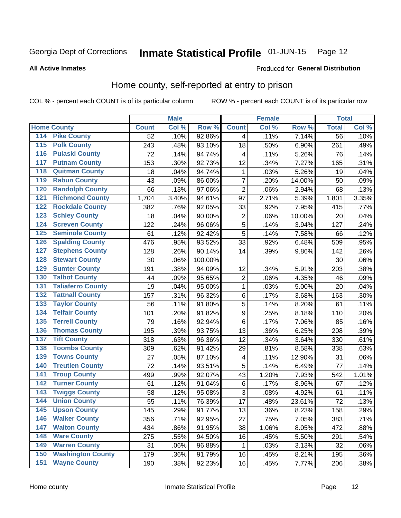#### Inmate Statistical Profile 01-JUN-15 Page 12

**All Active Inmates** 

### Produced for General Distribution

# Home county, self-reported at entry to prison

COL % - percent each COUNT is of its particular column

|                    |                          |                 | <b>Male</b> |         |                  | <b>Female</b> |        | <b>Total</b>    |       |
|--------------------|--------------------------|-----------------|-------------|---------|------------------|---------------|--------|-----------------|-------|
| <b>Home County</b> |                          | <b>Count</b>    | Col %       | Row %   | <b>Count</b>     | Col %         | Row %  | <b>Total</b>    | Col % |
| 114                | <b>Pike County</b>       | $\overline{52}$ | .10%        | 92.86%  | 4                | .11%          | 7.14%  | $\overline{56}$ | .10%  |
| 115                | <b>Polk County</b>       | 243             | .48%        | 93.10%  | 18               | .50%          | 6.90%  | 261             | .49%  |
| 116                | <b>Pulaski County</b>    | 72              | .14%        | 94.74%  | 4                | .11%          | 5.26%  | 76              | .14%  |
| 117                | <b>Putnam County</b>     | 153             | .30%        | 92.73%  | 12               | .34%          | 7.27%  | 165             | .31%  |
| 118                | <b>Quitman County</b>    | 18              | .04%        | 94.74%  | 1                | .03%          | 5.26%  | 19              | .04%  |
| 119                | <b>Rabun County</b>      | 43              | .09%        | 86.00%  | $\overline{7}$   | .20%          | 14.00% | 50              | .09%  |
| 120                | <b>Randolph County</b>   | 66              | .13%        | 97.06%  | $\overline{2}$   | .06%          | 2.94%  | 68              | .13%  |
| 121                | <b>Richmond County</b>   | 1,704           | 3.40%       | 94.61%  | 97               | 2.71%         | 5.39%  | 1,801           | 3.35% |
| 122                | <b>Rockdale County</b>   | 382             | .76%        | 92.05%  | 33               | .92%          | 7.95%  | 415             | .77%  |
| 123                | <b>Schley County</b>     | 18              | .04%        | 90.00%  | $\mathbf 2$      | .06%          | 10.00% | 20              | .04%  |
| 124                | <b>Screven County</b>    | 122             | .24%        | 96.06%  | $\overline{5}$   | .14%          | 3.94%  | 127             | .24%  |
| 125                | <b>Seminole County</b>   | 61              | .12%        | 92.42%  | 5                | .14%          | 7.58%  | 66              | .12%  |
| 126                | <b>Spalding County</b>   | 476             | .95%        | 93.52%  | 33               | .92%          | 6.48%  | 509             | .95%  |
| 127                | <b>Stephens County</b>   | 128             | .26%        | 90.14%  | 14               | .39%          | 9.86%  | 142             | .26%  |
| 128                | <b>Stewart County</b>    | 30              | .06%        | 100.00% |                  |               |        | 30              | .06%  |
| 129                | <b>Sumter County</b>     | 191             | .38%        | 94.09%  | 12               | .34%          | 5.91%  | 203             | .38%  |
| 130                | <b>Talbot County</b>     | 44              | .09%        | 95.65%  | $\overline{c}$   | .06%          | 4.35%  | 46              | .09%  |
| 131                | <b>Taliaferro County</b> | 19              | .04%        | 95.00%  | $\mathbf{1}$     | .03%          | 5.00%  | 20              | .04%  |
| 132                | <b>Tattnall County</b>   | 157             | .31%        | 96.32%  | $\,6$            | .17%          | 3.68%  | 163             | .30%  |
| 133                | <b>Taylor County</b>     | 56              | .11%        | 91.80%  | 5                | .14%          | 8.20%  | 61              | .11%  |
| 134                | <b>Telfair County</b>    | 101             | .20%        | 91.82%  | $\boldsymbol{9}$ | .25%          | 8.18%  | 110             | .20%  |
| 135                | <b>Terrell County</b>    | 79              | .16%        | 92.94%  | $\,6$            | .17%          | 7.06%  | 85              | .16%  |
| 136                | <b>Thomas County</b>     | 195             | .39%        | 93.75%  | 13               | .36%          | 6.25%  | 208             | .39%  |
| 137                | <b>Tift County</b>       | 318             | .63%        | 96.36%  | 12               | .34%          | 3.64%  | 330             | .61%  |
| 138                | <b>Toombs County</b>     | 309             | .62%        | 91.42%  | 29               | .81%          | 8.58%  | 338             | .63%  |
| 139                | <b>Towns County</b>      | 27              | .05%        | 87.10%  | 4                | .11%          | 12.90% | 31              | .06%  |
| 140                | <b>Treutlen County</b>   | 72              | .14%        | 93.51%  | 5                | .14%          | 6.49%  | 77              | .14%  |
| 141                | <b>Troup County</b>      | 499             | .99%        | 92.07%  | 43               | 1.20%         | 7.93%  | 542             | 1.01% |
| $\overline{142}$   | <b>Turner County</b>     | 61              | .12%        | 91.04%  | $\,6$            | .17%          | 8.96%  | 67              | .12%  |
| 143                | <b>Twiggs County</b>     | 58              | .12%        | 95.08%  | 3                | .08%          | 4.92%  | 61              | .11%  |
| 144                | <b>Union County</b>      | 55              | .11%        | 76.39%  | 17               | .48%          | 23.61% | 72              | .13%  |
| 145                | <b>Upson County</b>      | 145             | .29%        | 91.77%  | 13               | .36%          | 8.23%  | 158             | .29%  |
| 146                | <b>Walker County</b>     | 356             | .71%        | 92.95%  | 27               | .75%          | 7.05%  | 383             | .71%  |
| 147                | <b>Walton County</b>     | 434             | .86%        | 91.95%  | 38               | 1.06%         | 8.05%  | 472             | .88%  |
| 148                | <b>Ware County</b>       | 275             | .55%        | 94.50%  | 16               | .45%          | 5.50%  | 291             | .54%  |
| 149                | <b>Warren County</b>     | 31              | .06%        | 96.88%  | 1                | .03%          | 3.13%  | 32              | .06%  |
| 150                | <b>Washington County</b> | 179             | .36%        | 91.79%  | 16               | .45%          | 8.21%  | 195             | .36%  |
| 151                | <b>Wayne County</b>      | 190             | .38%        | 92.23%  | 16               | .45%          | 7.77%  | 206             | .38%  |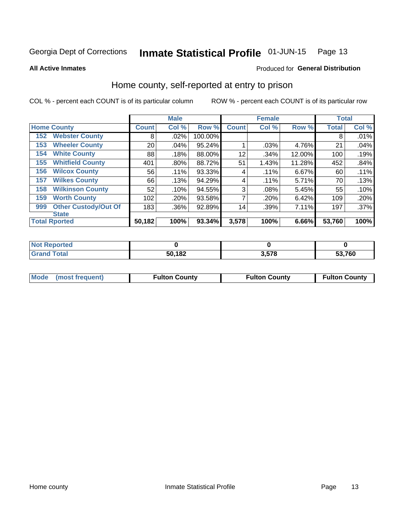#### Inmate Statistical Profile 01-JUN-15 Page 13

**All Active Inmates** 

### Produced for General Distribution

# Home county, self-reported at entry to prison

COL % - percent each COUNT is of its particular column

|     |                             |              | <b>Male</b> |         |              | <b>Female</b> |        | <b>Total</b> |         |
|-----|-----------------------------|--------------|-------------|---------|--------------|---------------|--------|--------------|---------|
|     | <b>Home County</b>          | <b>Count</b> | Col %       | Row %   | <b>Count</b> | Col %         | Row %  | <b>Total</b> | Col %   |
| 152 | <b>Webster County</b>       | 8            | .02%        | 100.00% |              |               |        | 8            | .01%    |
| 153 | <b>Wheeler County</b>       | 20           | .04%        | 95.24%  |              | .03%          | 4.76%  | 21           | .04%    |
| 154 | <b>White County</b>         | 88           | .18%        | 88.00%  | 12           | .34%          | 12.00% | 100          | .19%    |
| 155 | <b>Whitfield County</b>     | 401          | .80%        | 88.72%  | 51           | 1.43%         | 11.28% | 452          | .84%    |
| 156 | <b>Wilcox County</b>        | 56           | .11%        | 93.33%  | 4            | .11%          | 6.67%  | 60           | .11%    |
| 157 | <b>Wilkes County</b>        | 66           | .13%        | 94.29%  | 4            | .11%          | 5.71%  | 70           | .13%    |
| 158 | <b>Wilkinson County</b>     | 52           | .10%        | 94.55%  | 3            | .08%          | 5.45%  | 55           | .10%    |
| 159 | <b>Worth County</b>         | 102          | .20%        | 93.58%  | 7            | .20%          | 6.42%  | 109          | .20%    |
| 999 | <b>Other Custody/Out Of</b> | 183          | .36%        | 92.89%  | 14           | .39%          | 7.11%  | 197          | $.37\%$ |
|     | <b>State</b>                |              |             |         |              |               |        |              |         |
|     | <b>Total Rported</b>        | 50,182       | 100%        | 93.34%  | 3,578        | 100%          | 6.66%  | 53,760       | 100%    |

| 'No<br>rtea<br>.<br>     |        |     |        |
|--------------------------|--------|-----|--------|
| `otal<br><b>Gra</b><br>- | 50,182 | E70 | 53,760 |

| Mode (most frequent) | <b>Fulton County</b> | <b>Fulton County</b> | <b>Fulton County</b> |
|----------------------|----------------------|----------------------|----------------------|
|                      |                      |                      |                      |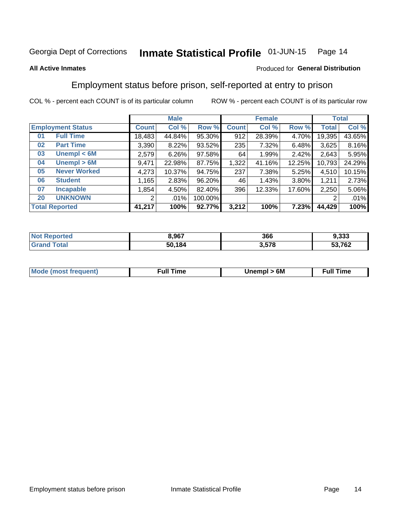#### Inmate Statistical Profile 01-JUN-15 Page 14

### **All Active Inmates**

## Produced for General Distribution

# Employment status before prison, self-reported at entry to prison

COL % - percent each COUNT is of its particular column

|                           |              | <b>Male</b> |         |              | <b>Female</b> |        |        | <b>Total</b> |
|---------------------------|--------------|-------------|---------|--------------|---------------|--------|--------|--------------|
| <b>Employment Status</b>  | <b>Count</b> | Col %       | Row %   | <b>Count</b> | Col %         | Row %  | Total  | Col %        |
| <b>Full Time</b><br>01    | 18,483       | 44.84%      | 95.30%  | 912          | 28.39%        | 4.70%  | 19,395 | 43.65%       |
| <b>Part Time</b><br>02    | 3,390        | 8.22%       | 93.52%  | 235          | 7.32%         | 6.48%  | 3,625  | 8.16%        |
| Unempl $<$ 6M<br>03       | 2,579        | 6.26%       | 97.58%  | 64           | 1.99%         | 2.42%  | 2,643  | 5.95%        |
| Unempl > 6M<br>04         | 9,471        | 22.98%      | 87.75%  | 1,322        | 41.16%        | 12.25% | 10,793 | 24.29%       |
| <b>Never Worked</b><br>05 | 4,273        | 10.37%      | 94.75%  | 237          | 7.38%         | 5.25%  | 4,510  | 10.15%       |
| <b>Student</b><br>06      | ,165         | 2.83%       | 96.20%  | 46           | 1.43%         | 3.80%  | 1,211  | 2.73%        |
| 07<br><b>Incapable</b>    | ,854         | 4.50%       | 82.40%  | 396          | 12.33%        | 17.60% | 2,250  | 5.06%        |
| <b>UNKNOWN</b><br>20      | 2            | .01%        | 100.00% |              |               |        | 2      | .01%         |
| <b>Total Reported</b>     | 41,217       | 100%        | 92.77%  | 3,212        | 100%          | 7.23%  | 44,429 | 100%         |

| <b>Not Reported</b> | 8,967  | 366   | 9,333  |
|---------------------|--------|-------|--------|
| <b>Grand Total</b>  | 50,184 | 3,578 | 53,762 |

| <b>Mode (most frequent)</b> | Unempl > 6M | <b>Full Time</b> |
|-----------------------------|-------------|------------------|
|                             |             |                  |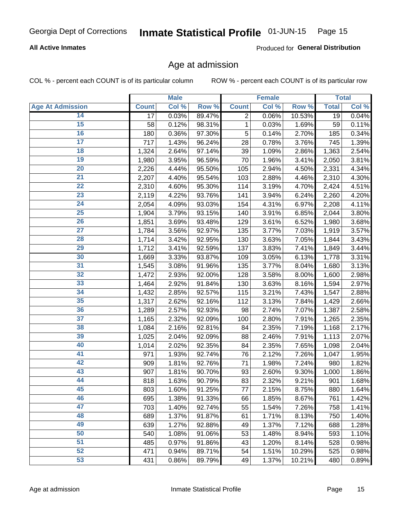### **All Active Inmates**

Produced for General Distribution

# Age at admission

COL % - percent each COUNT is of its particular column

|                         |                 | <b>Male</b> |        |                | <b>Female</b> |        |              | <b>Total</b> |
|-------------------------|-----------------|-------------|--------|----------------|---------------|--------|--------------|--------------|
| <b>Age At Admission</b> | <b>Count</b>    | Col %       | Row %  | <b>Count</b>   | Col %         | Row %  | <b>Total</b> | Col %        |
| 14                      | $\overline{17}$ | 0.03%       | 89.47% | $\overline{2}$ | 0.06%         | 10.53% | 19           | 0.04%        |
| $\overline{15}$         | 58              | 0.12%       | 98.31% | 1              | 0.03%         | 1.69%  | 59           | 0.11%        |
| 16                      | 180             | 0.36%       | 97.30% | 5              | 0.14%         | 2.70%  | 185          | 0.34%        |
| $\overline{17}$         | 717             | 1.43%       | 96.24% | 28             | 0.78%         | 3.76%  | 745          | 1.39%        |
| $\overline{18}$         | 1,324           | 2.64%       | 97.14% | 39             | 1.09%         | 2.86%  | 1,363        | 2.54%        |
| 19                      | 1,980           | 3.95%       | 96.59% | 70             | 1.96%         | 3.41%  | 2,050        | 3.81%        |
| 20                      | 2,226           | 4.44%       | 95.50% | 105            | 2.94%         | 4.50%  | 2,331        | 4.34%        |
| $\overline{21}$         | 2,207           | 4.40%       | 95.54% | 103            | 2.88%         | 4.46%  | 2,310        | 4.30%        |
| $\overline{22}$         | 2,310           | 4.60%       | 95.30% | 114            | 3.19%         | 4.70%  | 2,424        | 4.51%        |
| 23                      | 2,119           | 4.22%       | 93.76% | 141            | 3.94%         | 6.24%  | 2,260        | 4.20%        |
| 24                      | 2,054           | 4.09%       | 93.03% | 154            | 4.31%         | 6.97%  | 2,208        | 4.11%        |
| $\overline{25}$         | 1,904           | 3.79%       | 93.15% | 140            | 3.91%         | 6.85%  | 2,044        | 3.80%        |
| $\overline{26}$         | 1,851           | 3.69%       | 93.48% | 129            | 3.61%         | 6.52%  | 1,980        | 3.68%        |
| $\overline{27}$         | 1,784           | 3.56%       | 92.97% | 135            | 3.77%         | 7.03%  | 1,919        | 3.57%        |
| 28                      | 1,714           | 3.42%       | 92.95% | 130            | 3.63%         | 7.05%  | 1,844        | 3.43%        |
| 29                      | 1,712           | 3.41%       | 92.59% | 137            | 3.83%         | 7.41%  | 1,849        | 3.44%        |
| 30                      | 1,669           | 3.33%       | 93.87% | 109            | 3.05%         | 6.13%  | 1,778        | 3.31%        |
| 31                      | 1,545           | 3.08%       | 91.96% | 135            | 3.77%         | 8.04%  | 1,680        | 3.13%        |
| 32                      | 1,472           | 2.93%       | 92.00% | 128            | 3.58%         | 8.00%  | 1,600        | 2.98%        |
| 33                      | 1,464           | 2.92%       | 91.84% | 130            | 3.63%         | 8.16%  | 1,594        | 2.97%        |
| 34                      | 1,432           | 2.85%       | 92.57% | 115            | 3.21%         | 7.43%  | 1,547        | 2.88%        |
| 35                      | 1,317           | 2.62%       | 92.16% | 112            | 3.13%         | 7.84%  | 1,429        | 2.66%        |
| 36                      | 1,289           | 2.57%       | 92.93% | 98             | 2.74%         | 7.07%  | 1,387        | 2.58%        |
| $\overline{37}$         | 1,165           | 2.32%       | 92.09% | 100            | 2.80%         | 7.91%  | 1,265        | 2.35%        |
| 38                      | 1,084           | 2.16%       | 92.81% | 84             | 2.35%         | 7.19%  | 1,168        | 2.17%        |
| 39                      | 1,025           | 2.04%       | 92.09% | 88             | 2.46%         | 7.91%  | 1,113        | 2.07%        |
| 40                      | 1,014           | 2.02%       | 92.35% | 84             | 2.35%         | 7.65%  | 1,098        | 2.04%        |
| 41                      | 971             | 1.93%       | 92.74% | 76             | 2.12%         | 7.26%  | 1,047        | 1.95%        |
| 42                      | 909             | 1.81%       | 92.76% | 71             | 1.98%         | 7.24%  | 980          | 1.82%        |
| 43                      | 907             | 1.81%       | 90.70% | 93             | 2.60%         | 9.30%  | 1,000        | 1.86%        |
| 44                      | 818             | 1.63%       | 90.79% | 83             | 2.32%         | 9.21%  | 901          | 1.68%        |
| 45                      | 803             | 1.60%       | 91.25% | 77             | 2.15%         | 8.75%  | 880          | 1.64%        |
| 46                      | 695             | 1.38%       | 91.33% | 66             | 1.85%         | 8.67%  | 761          | 1.42%        |
| 47                      | 703             | 1.40%       | 92.74% | 55             | 1.54%         | 7.26%  | 758          | 1.41%        |
| 48                      | 689             | 1.37%       | 91.87% | 61             | 1.71%         | 8.13%  | 750          | 1.40%        |
| 49                      | 639             | 1.27%       | 92.88% | 49             | 1.37%         | 7.12%  | 688          | 1.28%        |
| 50                      | 540             | 1.08%       | 91.06% | 53             | 1.48%         | 8.94%  | 593          | 1.10%        |
| 51                      | 485             | 0.97%       | 91.86% | 43             | 1.20%         | 8.14%  | 528          | 0.98%        |
| 52                      | 471             | 0.94%       | 89.71% | 54             | 1.51%         | 10.29% | 525          | 0.98%        |
| 53                      | 431             | 0.86%       | 89.79% | 49             | 1.37%         | 10.21% | 480          | 0.89%        |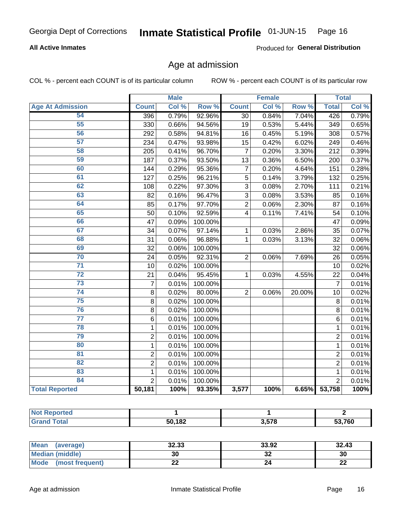### **All Active Inmates**

Produced for General Distribution

# Age at admission

COL % - percent each COUNT is of its particular column

|                         |                | <b>Male</b> |         |                         | <b>Female</b> |                  |                 | <b>Total</b> |
|-------------------------|----------------|-------------|---------|-------------------------|---------------|------------------|-----------------|--------------|
| <b>Age At Admission</b> | <b>Count</b>   | Col %       | Row %   | <b>Count</b>            | Col %         | Row <sup>%</sup> | <b>Total</b>    | Col %        |
| 54                      | 396            | 0.79%       | 92.96%  | $\overline{30}$         | 0.84%         | 7.04%            | 426             | 0.79%        |
| 55                      | 330            | 0.66%       | 94.56%  | 19                      | 0.53%         | 5.44%            | 349             | 0.65%        |
| 56                      | 292            | 0.58%       | 94.81%  | 16                      | 0.45%         | 5.19%            | 308             | 0.57%        |
| $\overline{57}$         | 234            | 0.47%       | 93.98%  | 15                      | 0.42%         | 6.02%            | 249             | 0.46%        |
| 58                      | 205            | 0.41%       | 96.70%  | $\overline{7}$          | 0.20%         | 3.30%            | 212             | 0.39%        |
| 59                      | 187            | 0.37%       | 93.50%  | 13                      | 0.36%         | 6.50%            | 200             | 0.37%        |
| 60                      | 144            | 0.29%       | 95.36%  | $\overline{7}$          | 0.20%         | 4.64%            | 151             | 0.28%        |
| 61                      | 127            | 0.25%       | 96.21%  | 5                       | 0.14%         | 3.79%            | 132             | 0.25%        |
| 62                      | 108            | 0.22%       | 97.30%  | $\overline{3}$          | 0.08%         | 2.70%            | 111             | 0.21%        |
| 63                      | 82             | 0.16%       | 96.47%  | $\overline{3}$          | 0.08%         | 3.53%            | 85              | 0.16%        |
| 64                      | 85             | 0.17%       | 97.70%  | $\overline{2}$          | 0.06%         | 2.30%            | 87              | 0.16%        |
| 65                      | 50             | 0.10%       | 92.59%  | $\overline{\mathbf{4}}$ | 0.11%         | 7.41%            | 54              | 0.10%        |
| 66                      | 47             | 0.09%       | 100.00% |                         |               |                  | 47              | 0.09%        |
| 67                      | 34             | 0.07%       | 97.14%  | 1                       | 0.03%         | 2.86%            | 35              | 0.07%        |
| 68                      | 31             | 0.06%       | 96.88%  | $\mathbf{1}$            | 0.03%         | 3.13%            | 32              | 0.06%        |
| 69                      | 32             | 0.06%       | 100.00% |                         |               |                  | 32              | 0.06%        |
| 70                      | 24             | 0.05%       | 92.31%  | $\overline{2}$          | 0.06%         | 7.69%            | 26              | 0.05%        |
| $\overline{71}$         | 10             | 0.02%       | 100.00% |                         |               |                  | 10              | 0.02%        |
| $\overline{72}$         | 21             | 0.04%       | 95.45%  | 1                       | 0.03%         | 4.55%            | $\overline{22}$ | 0.04%        |
| $\overline{73}$         | $\overline{7}$ | 0.01%       | 100.00% |                         |               |                  | $\overline{7}$  | 0.01%        |
| 74                      | 8              | 0.02%       | 80.00%  | $\overline{2}$          | 0.06%         | 20.00%           | 10              | 0.02%        |
| 75                      | 8              | 0.02%       | 100.00% |                         |               |                  | 8               | 0.01%        |
| 76                      | 8              | 0.02%       | 100.00% |                         |               |                  | 8               | 0.01%        |
| $\overline{77}$         | $\,6$          | 0.01%       | 100.00% |                         |               |                  | 6               | 0.01%        |
| 78                      | $\mathbf{1}$   | 0.01%       | 100.00% |                         |               |                  | $\mathbf{1}$    | 0.01%        |
| 79                      | $\overline{2}$ | 0.01%       | 100.00% |                         |               |                  | $\overline{2}$  | 0.01%        |
| 80                      | $\mathbf{1}$   | 0.01%       | 100.00% |                         |               |                  | $\mathbf{1}$    | 0.01%        |
| 81                      | $\overline{2}$ | 0.01%       | 100.00% |                         |               |                  | $\overline{2}$  | 0.01%        |
| $\overline{82}$         | $\overline{2}$ | 0.01%       | 100.00% |                         |               |                  | $\overline{2}$  | 0.01%        |
| 83                      | 1              | 0.01%       | 100.00% |                         |               |                  | $\mathbf{1}$    | 0.01%        |
| 84                      | $\overline{2}$ | 0.01%       | 100.00% |                         |               |                  | $\overline{2}$  | 0.01%        |
| <b>Total Reported</b>   | 50,181         | 100%        | 93.35%  | 3,577                   | 100%          | 6.65%            | 53,758          | 100%         |

| <b>Not Reported</b> |        |       |        |
|---------------------|--------|-------|--------|
| <b>Total</b>        | 50,182 | 3.578 | 53,760 |

| <b>Mean</b><br>(average)       | 32.33 | 33.92  | 32.43    |
|--------------------------------|-------|--------|----------|
| Median (middle)                | 30    | ົ<br>◡ | 30       |
| <b>Mode</b><br>(most frequent) | ∸∸    |        | n,<br>LL |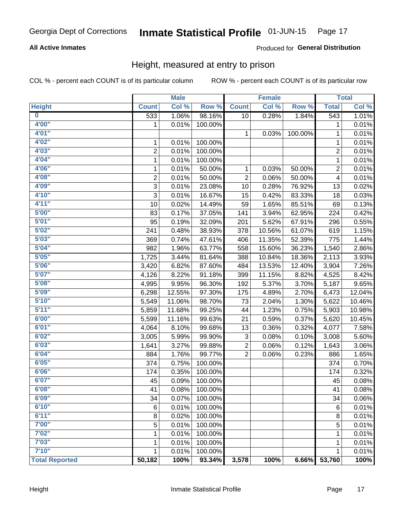## **All Active Inmates**

### Produced for General Distribution

# Height, measured at entry to prison

COL % - percent each COUNT is of its particular column

|                         |                | <b>Male</b> |         |                | <b>Female</b> |         |                | <b>Total</b> |
|-------------------------|----------------|-------------|---------|----------------|---------------|---------|----------------|--------------|
| <b>Height</b>           | <b>Count</b>   | Col %       | Row %   | <b>Count</b>   | Col %         | Row %   | <b>Total</b>   | Col %        |
| $\overline{\mathbf{0}}$ | 533            | 1.06%       | 98.16%  | 10             | 0.28%         | 1.84%   | 543            | 1.01%        |
| 4'00"                   | 1              | 0.01%       | 100.00% |                |               |         | 1              | 0.01%        |
| 4'01''                  |                |             |         | 1              | 0.03%         | 100.00% | 1              | 0.01%        |
| 4'02"                   | 1              | 0.01%       | 100.00% |                |               |         | 1              | 0.01%        |
| 4'03''                  | $\overline{2}$ | 0.01%       | 100.00% |                |               |         | $\overline{2}$ | 0.01%        |
| 4'04"                   | $\mathbf{1}$   | 0.01%       | 100.00% |                |               |         | 1              | 0.01%        |
| 4'06"                   | 1              | 0.01%       | 50.00%  | 1              | 0.03%         | 50.00%  | 2              | 0.01%        |
| 4'08"                   | $\overline{2}$ | 0.01%       | 50.00%  | $\overline{2}$ | 0.06%         | 50.00%  | 4              | 0.01%        |
| 4'09"                   | 3              | 0.01%       | 23.08%  | 10             | 0.28%         | 76.92%  | 13             | 0.02%        |
| 4'10"                   | 3              | 0.01%       | 16.67%  | 15             | 0.42%         | 83.33%  | 18             | 0.03%        |
| 4'11''                  | 10             | 0.02%       | 14.49%  | 59             | 1.65%         | 85.51%  | 69             | 0.13%        |
| 5'00''                  | 83             | 0.17%       | 37.05%  | 141            | 3.94%         | 62.95%  | 224            | 0.42%        |
| 5'01''                  | 95             | 0.19%       | 32.09%  | 201            | 5.62%         | 67.91%  | 296            | 0.55%        |
| 5'02"                   | 241            | 0.48%       | 38.93%  | 378            | 10.56%        | 61.07%  | 619            | 1.15%        |
| 5'03''                  | 369            | 0.74%       | 47.61%  | 406            | 11.35%        | 52.39%  | 775            | 1.44%        |
| 5'04"                   | 982            | 1.96%       | 63.77%  | 558            | 15.60%        | 36.23%  | 1,540          | 2.86%        |
| 5'05"                   | 1,725          | 3.44%       | 81.64%  | 388            | 10.84%        | 18.36%  | 2,113          | 3.93%        |
| 5'06''                  | 3,420          | 6.82%       | 87.60%  | 484            | 13.53%        | 12.40%  | 3,904          | 7.26%        |
| 5'07"                   | 4,126          | 8.22%       | 91.18%  | 399            | 11.15%        | 8.82%   | 4,525          | 8.42%        |
| 5'08''                  | 4,995          | 9.95%       | 96.30%  | 192            | 5.37%         | 3.70%   | 5,187          | 9.65%        |
| 5'09''                  | 6,298          | 12.55%      | 97.30%  | 175            | 4.89%         | 2.70%   | 6,473          | 12.04%       |
| 5'10''                  | 5,549          | 11.06%      | 98.70%  | 73             | 2.04%         | 1.30%   | 5,622          | 10.46%       |
| 5'11"                   | 5,859          | 11.68%      | 99.25%  | 44             | 1.23%         | 0.75%   | 5,903          | 10.98%       |
| 6'00''                  | 5,599          | 11.16%      | 99.63%  | 21             | 0.59%         | 0.37%   | 5,620          | 10.45%       |
| 6'01''                  | 4,064          | 8.10%       | 99.68%  | 13             | 0.36%         | 0.32%   | 4,077          | 7.58%        |
| 6'02"                   | 3,005          | 5.99%       | 99.90%  | 3              | 0.08%         | 0.10%   | 3,008          | 5.60%        |
| 6'03''                  | 1,641          | 3.27%       | 99.88%  | $\overline{c}$ | 0.06%         | 0.12%   | 1,643          | 3.06%        |
| 6'04"                   | 884            | 1.76%       | 99.77%  | $\overline{2}$ | 0.06%         | 0.23%   | 886            | 1.65%        |
| 6'05"                   | 374            | 0.75%       | 100.00% |                |               |         | 374            | 0.70%        |
| 6'06''                  | 174            | 0.35%       | 100.00% |                |               |         | 174            | 0.32%        |
| 6'07''                  | 45             | 0.09%       | 100.00% |                |               |         | 45             | 0.08%        |
| 6'08"                   | 41             | 0.08%       | 100.00% |                |               |         | 41             | 0.08%        |
| 6'09''                  | 34             | 0.07%       | 100.00% |                |               |         | 34             | 0.06%        |
| 6'10''                  | 6              | 0.01%       | 100.00% |                |               |         | 6              | 0.01%        |
| 6'11''                  | 8              | 0.02%       | 100.00% |                |               |         | 8              | 0.01%        |
| 7'00"                   | 5              | 0.01%       | 100.00% |                |               |         | 5              | 0.01%        |
| 7'02"                   | 1              | 0.01%       | 100.00% |                |               |         | 1              | 0.01%        |
| 7'03''                  | 1              | 0.01%       | 100.00% |                |               |         | 1              | 0.01%        |
| 7'10''                  | 1              | 0.01%       | 100.00% |                |               |         | 1              | 0.01%        |
| <b>Total Reported</b>   | 50,182         | 100%        | 93.34%  | 3,578          | 100%          | 6.66%   | 53,760         | 100%         |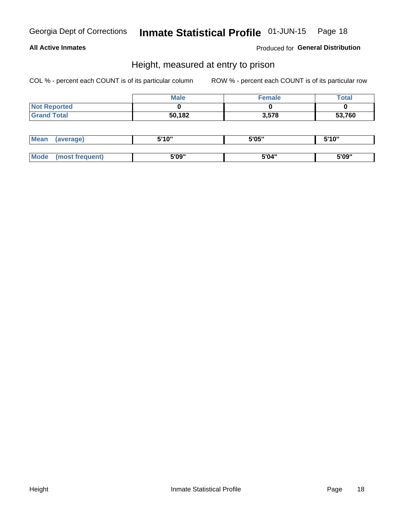### **All Active Inmates**

Produced for General Distribution

# Height, measured at entry to prison

COL % - percent each COUNT is of its particular column

|                     | <b>Male</b> | Female | $\tau$ otal |
|---------------------|-------------|--------|-------------|
| <b>Not Reported</b> |             |        |             |
| <b>Grand Total</b>  | 50,182      | 3,578  | 53,760      |

| <b>Mean</b> | erage) | 5'10" | 5'05" | <b>CIA AIL</b><br>. . |
|-------------|--------|-------|-------|-----------------------|
|             |        |       |       |                       |
| <b>Mode</b> |        | 5'09" | 5'04" | 5'09"                 |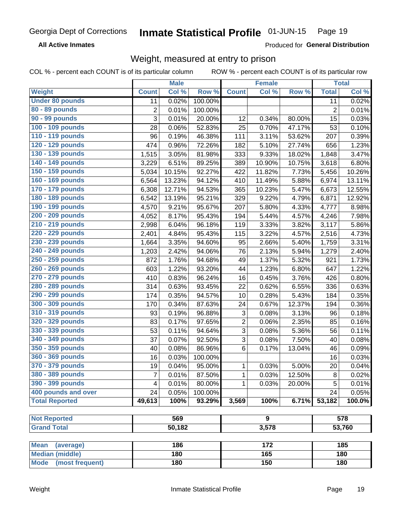**All Active Inmates** 

Produced for General Distribution

# Weight, measured at entry to prison

COL % - percent each COUNT is of its particular column ROW % - percent each COUNT is of its particular row

|                                |                | <b>Male</b> |         |                | Female           |        |                | <b>Total</b>        |
|--------------------------------|----------------|-------------|---------|----------------|------------------|--------|----------------|---------------------|
| Weight                         | <b>Count</b>   | Col %       | Row %   | <b>Count</b>   | Col %            | Row %  | <b>Total</b>   | Col %               |
| <b>Under 80 pounds</b>         | 11             | 0.02%       | 100.00% |                |                  |        | 11             | 0.02%               |
| 80 - 89 pounds                 | $\overline{2}$ | 0.01%       | 100.00% |                |                  |        | $\overline{2}$ | 0.01%               |
| 90 - 99 pounds                 | 3              | 0.01%       | 20.00%  | 12             | 0.34%            | 80.00% | 15             | 0.03%               |
| 100 - 109 pounds               | 28             | 0.06%       | 52.83%  | 25             | 0.70%            | 47.17% | 53             | 0.10%               |
| 110 - 119 pounds               | 96             | 0.19%       | 46.38%  | 111            | 3.11%            | 53.62% | 207            | 0.39%               |
| 120 - 129 pounds               | 474            | 0.96%       | 72.26%  | 182            | 5.10%            | 27.74% | 656            | 1.23%               |
| 130 - 139 pounds               | 1,515          | 3.05%       | 81.98%  | 333            | 9.33%            | 18.02% | 1,848          | 3.47%               |
| 140 - 149 pounds               | 3,229          | 6.51%       | 89.25%  | 389            | 10.90%           | 10.75% | 3,618          | 6.80%               |
| 150 - 159 pounds               | 5,034          | 10.15%      | 92.27%  | 422            | 11.82%           | 7.73%  | 5,456          | 10.26%              |
| 160 - 169 pounds               | 6,564          | 13.23%      | 94.12%  | 410            | 11.49%           | 5.88%  | 6,974          | 13.11%              |
| 170 - 179 pounds               | 6,308          | 12.71%      | 94.53%  | 365            | 10.23%           | 5.47%  | 6,673          | 12.55%              |
| 180 - 189 pounds               | 6,542          | 13.19%      | 95.21%  | 329            | 9.22%            | 4.79%  | 6,871          | 12.92%              |
| 190 - 199 pounds               | 4,570          | 9.21%       | 95.67%  | 207            | 5.80%            | 4.33%  | 4,777          | 8.98%               |
| 200 - 209 pounds               | 4,052          | 8.17%       | 95.43%  | 194            | 5.44%            | 4.57%  | 4,246          | 7.98%               |
| 210 - 219 pounds               | 2,998          | 6.04%       | 96.18%  | 119            | 3.33%            | 3.82%  | 3,117          | 5.86%               |
| 220 - 229 pounds               | 2,401          | 4.84%       | 95.43%  | 115            | 3.22%            | 4.57%  | 2,516          | 4.73%               |
| 230 - 239 pounds               | 1,664          | 3.35%       | 94.60%  | 95             | 2.66%            | 5.40%  | 1,759          | 3.31%               |
| 240 - 249 pounds               | 1,203          | 2.42%       | 94.06%  | 76             | 2.13%            | 5.94%  | 1,279          | 2.40%               |
| 250 - 259 pounds               | 872            | 1.76%       | 94.68%  | 49             | 1.37%            | 5.32%  | 921            | 1.73%               |
| 260 - 269 pounds               | 603            | 1.22%       | 93.20%  | 44             | 1.23%            | 6.80%  | 647            | 1.22%               |
| 270 - 279 pounds               | 410            | 0.83%       | 96.24%  | 16             | 0.45%            | 3.76%  | 426            | 0.80%               |
| 280 - 289 pounds               | 314            | 0.63%       | 93.45%  | 22             | 0.62%            | 6.55%  | 336            | 0.63%               |
| 290 - 299 pounds               | 174            | 0.35%       | 94.57%  | 10             | 0.28%            | 5.43%  | 184            | 0.35%               |
| 300 - 309 pounds               | 170            | 0.34%       | 87.63%  | 24             | 0.67%            | 12.37% | 194            | 0.36%               |
| 310 - 319 pounds               | 93             | 0.19%       | 96.88%  | 3              | 0.08%            | 3.13%  | 96             | 0.18%               |
| 320 - 329 pounds               | 83             | 0.17%       | 97.65%  | $\overline{2}$ | 0.06%            | 2.35%  | 85             | 0.16%               |
| 330 - 339 pounds               | 53             | 0.11%       | 94.64%  | 3              | 0.08%            | 5.36%  | 56             | 0.11%               |
| 340 - 349 pounds               | 37             | 0.07%       | 92.50%  | $\overline{3}$ | 0.08%            | 7.50%  | 40             | 0.08%               |
| 350 - 359 pounds               | 40             | 0.08%       | 86.96%  | 6              | 0.17%            | 13.04% | 46             | 0.09%               |
| 360 - 369 pounds               | 16             | 0.03%       | 100.00% |                |                  |        | 16             | 0.03%               |
| 370 - 379 pounds               | 19             | 0.04%       | 95.00%  | 1              | 0.03%            | 5.00%  | 20             | $\overline{0.04\%}$ |
| 380 - 389 pounds               | 7              | 0.01%       | 87.50%  | 1              | 0.03%            | 12.50% | 8              | 0.02%               |
| 390 - 399 pounds               | $\overline{4}$ | 0.01%       | 80.00%  | 1              | 0.03%            | 20.00% | 5              | 0.01%               |
| 400 pounds and over            | 24             | 0.05%       | 100.00% |                |                  |        | 24             | 0.05%               |
| <b>Total Reported</b>          | 49,613         | 100%        | 93.29%  | 3,569          | 100%             | 6.71%  | 53,182         | 100.0%              |
|                                |                |             |         |                |                  |        |                |                     |
| <b>Not Reported</b>            |                | 569         |         |                | 9                |        |                | 578                 |
| <b>Grand Total</b>             |                | 50,182      |         |                | 3,578            |        |                | 53,760              |
|                                |                |             |         |                |                  |        |                |                     |
| <b>Mean</b><br>(average)       |                | 186         |         |                | $\overline{172}$ |        |                | 185                 |
| <b>Median (middle)</b>         |                | 180         |         |                | 165              |        |                | 180                 |
| <b>Mode</b><br>(most frequent) |                | 180         |         |                | 150              |        |                | 180                 |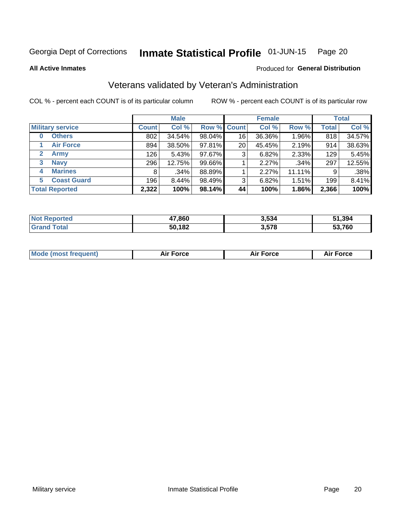#### Inmate Statistical Profile 01-JUN-15 Page 20

**All Active Inmates** 

### Produced for General Distribution

# Veterans validated by Veteran's Administration

COL % - percent each COUNT is of its particular column

|                             |              | <b>Male</b> |        |                    | <b>Female</b> |        |              | <b>Total</b> |  |
|-----------------------------|--------------|-------------|--------|--------------------|---------------|--------|--------------|--------------|--|
| <b>Military service</b>     | <b>Count</b> | Col %       |        | <b>Row % Count</b> | Col %         | Row %  | <b>Total</b> | Col %        |  |
| <b>Others</b><br>$\bf{0}$   | 802          | 34.54%      | 98.04% | 16                 | 36.36%        | 1.96%  | 818          | 34.57%       |  |
| <b>Air Force</b>            | 894          | 38.50%      | 97.81% | 20                 | 45.45%        | 2.19%  | 914          | 38.63%       |  |
| $\mathbf{2}$<br><b>Army</b> | 126          | 5.43%       | 97.67% | 3                  | 6.82%         | 2.33%  | 129          | 5.45%        |  |
| <b>Navy</b><br>3            | 296          | 12.75%      | 99.66% |                    | 2.27%         | .34%   | 297          | 12.55%       |  |
| <b>Marines</b><br>4         | 8            | .34%        | 88.89% |                    | 2.27%         | 11.11% | 9            | .38%         |  |
| <b>Coast Guard</b><br>5.    | 196          | 8.44%       | 98.49% | 3                  | 6.82%         | 1.51%  | 199          | 8.41%        |  |
| <b>Total Reported</b>       | 2,322        | 100%        | 98.14% | 44                 | 100%          | 1.86%  | 2,366        | 100%         |  |

| rted | 47,860 | 3.534 | 51,394         |
|------|--------|-------|----------------|
|      | 50,182 | 3,578 | 53,760<br>$-1$ |

| <b>Mode (most frequent)</b> | <b>Force</b> | ™∩rra | <b>Force</b><br>- |
|-----------------------------|--------------|-------|-------------------|
|                             |              |       |                   |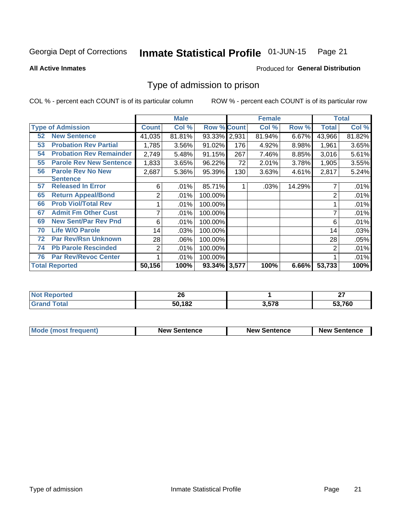#### Inmate Statistical Profile 01-JUN-15 Page 21

### **All Active Inmates**

# Produced for General Distribution

# Type of admission to prison

COL % - percent each COUNT is of its particular column

|    |                                |                | <b>Male</b> |                    |     | <b>Female</b> |        | <b>Total</b> |        |
|----|--------------------------------|----------------|-------------|--------------------|-----|---------------|--------|--------------|--------|
|    | <b>Type of Admission</b>       | <b>Count</b>   | Col %       | <b>Row % Count</b> |     | Col %         | Row %  | Total        | Col %  |
| 52 | <b>New Sentence</b>            | 41,035         | 81.81%      | 93.33% 2,931       |     | 81.94%        | 6.67%  | 43,966       | 81.82% |
| 53 | <b>Probation Rev Partial</b>   | 1,785          | 3.56%       | 91.02%             | 176 | 4.92%         | 8.98%  | 1,961        | 3.65%  |
| 54 | <b>Probation Rev Remainder</b> | 2,749          | 5.48%       | 91.15%             | 267 | 7.46%         | 8.85%  | 3,016        | 5.61%  |
| 55 | <b>Parole Rev New Sentence</b> | 1,833          | 3.65%       | 96.22%             | 72  | 2.01%         | 3.78%  | 1,905        | 3.55%  |
| 56 | <b>Parole Rev No New</b>       | 2,687          | 5.36%       | 95.39%             | 130 | 3.63%         | 4.61%  | 2,817        | 5.24%  |
|    | <b>Sentence</b>                |                |             |                    |     |               |        |              |        |
| 57 | <b>Released In Error</b>       | 6              | .01%        | 85.71%             |     | .03%          | 14.29% |              | .01%   |
| 65 | <b>Return Appeal/Bond</b>      | 2              | .01%        | 100.00%            |     |               |        | 2            | .01%   |
| 66 | <b>Prob Viol/Total Rev</b>     |                | .01%        | 100.00%            |     |               |        |              | .01%   |
| 67 | <b>Admit Fm Other Cust</b>     | 7              | .01%        | 100.00%            |     |               |        |              | .01%   |
| 69 | <b>New Sent/Par Rev Pnd</b>    | 6              | .01%        | 100.00%            |     |               |        | 6            | .01%   |
| 70 | <b>Life W/O Parole</b>         | 14             | .03%        | 100.00%            |     |               |        | 14           | .03%   |
| 72 | <b>Par Rev/Rsn Unknown</b>     | 28             | .06%        | 100.00%            |     |               |        | 28           | .05%   |
| 74 | <b>Pb Parole Rescinded</b>     | $\overline{2}$ | .01%        | 100.00%            |     |               |        | 2            | .01%   |
| 76 | <b>Par Rev/Revoc Center</b>    |                | .01%        | 100.00%            |     |               |        |              | .01%   |
|    | <b>Total Reported</b>          | 50,156         | 100%        | 93.34% 3,577       |     | 100%          | 6.66%  | 53,733       | 100%   |

| N <sub>of</sub> | ^^     |                | $\sim$ |
|-----------------|--------|----------------|--------|
| ™orted in       | ZU     |                |        |
| Total<br>Grr    | 50,182 | E70<br>ა.ა / ი | 53,760 |

| <b>Mode (most frequent)</b> | <b>New Sentence</b> | <b>New Sentence</b> | <b>New Sentence</b> |
|-----------------------------|---------------------|---------------------|---------------------|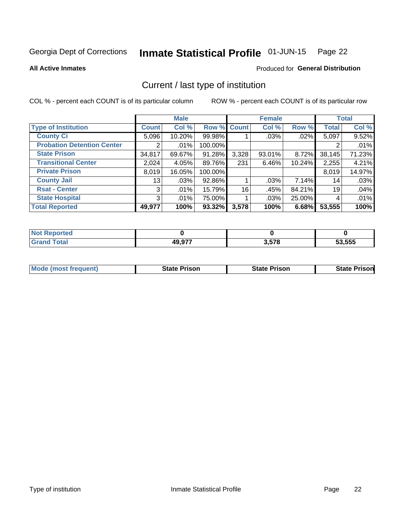#### Inmate Statistical Profile 01-JUN-15 Page 22

**All Active Inmates** 

### Produced for General Distribution

# Current / last type of institution

COL % - percent each COUNT is of its particular column

|                                   |                | <b>Male</b> |             |       | <b>Female</b> |        |              | <b>Total</b> |
|-----------------------------------|----------------|-------------|-------------|-------|---------------|--------|--------------|--------------|
| <b>Type of Institution</b>        | <b>Count</b>   | Col %       | Row % Count |       | Col %         | Row %  | <b>Total</b> | Col %        |
| <b>County Ci</b>                  | 5,096          | 10.20%      | 99.98%      |       | .03%          | .02%   | 5,097        | 9.52%        |
| <b>Probation Detention Center</b> |                | .01%        | 100.00%     |       |               |        |              | .01%         |
| <b>State Prison</b>               | 34,817         | 69.67%      | 91.28%      | 3,328 | 93.01%        | 8.72%  | 38,145       | 71.23%       |
| <b>Transitional Center</b>        | 2,024          | 4.05%       | 89.76%      | 231   | $6.46\%$      | 10.24% | 2,255        | 4.21%        |
| <b>Private Prison</b>             | 8,019          | 16.05%      | 100.00%     |       |               |        | 8,019        | 14.97%       |
| <b>County Jail</b>                | 13             | .03%        | 92.86%      |       | .03%          | 7.14%  | 14           | .03%         |
| <b>Rsat - Center</b>              | 3 <sup>1</sup> | .01%        | 15.79%      | 16    | .45%          | 84.21% | 19           | .04%         |
| <b>State Hospital</b>             | 3 <sup>1</sup> | .01%        | 75.00%      |       | .03%          | 25.00% | 4            | .01%         |
| <b>Total Reported</b>             | 49,977         | 100%        | $93.32\%$   | 3,578 | 100%          | 6.68%  | 53,555       | 100%         |

| Reported |        |       |        |
|----------|--------|-------|--------|
| Total    | 49,977 | 3,578 | 53.555 |

| Mode (most frequent) | <b>State Prison</b> | <b>State Prison</b> | <b>State Prisonl</b> |
|----------------------|---------------------|---------------------|----------------------|
|                      |                     |                     |                      |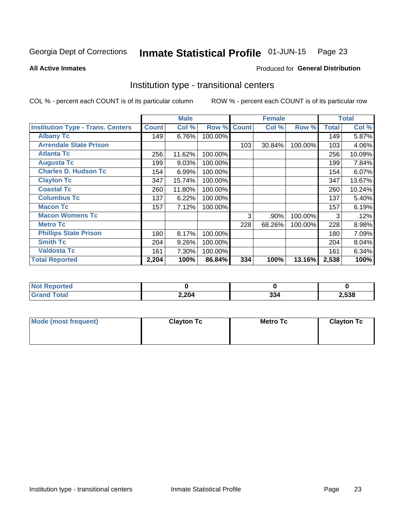#### Inmate Statistical Profile 01-JUN-15 Page 23

**All Active Inmates** 

### Produced for General Distribution

# Institution type - transitional centers

COL % - percent each COUNT is of its particular column

|                                          |              | <b>Male</b> |         |              | <b>Female</b> |         |              | <b>Total</b> |
|------------------------------------------|--------------|-------------|---------|--------------|---------------|---------|--------------|--------------|
| <b>Institution Type - Trans. Centers</b> | <b>Count</b> | Col %       | Row %   | <b>Count</b> | Col %         | Row %   | <b>Total</b> | Col %        |
| <b>Albany Tc</b>                         | 149          | 6.76%       | 100.00% |              |               |         | 149          | 5.87%        |
| <b>Arrendale State Prison</b>            |              |             |         | 103          | 30.84%        | 100.00% | 103          | 4.06%        |
| <b>Atlanta Tc</b>                        | 256          | 11.62%      | 100.00% |              |               |         | 256          | 10.09%       |
| <b>Augusta Tc</b>                        | 199          | 9.03%       | 100.00% |              |               |         | 199          | 7.84%        |
| <b>Charles D. Hudson Tc</b>              | 154          | 6.99%       | 100.00% |              |               |         | 154          | 6.07%        |
| <b>Clayton Tc</b>                        | 347          | 15.74%      | 100.00% |              |               |         | 347          | 13.67%       |
| <b>Coastal Tc</b>                        | 260          | 11.80%      | 100.00% |              |               |         | 260          | 10.24%       |
| <b>Columbus Tc</b>                       | 137          | 6.22%       | 100.00% |              |               |         | 137          | 5.40%        |
| <b>Macon Tc</b>                          | 157          | 7.12%       | 100.00% |              |               |         | 157          | 6.19%        |
| <b>Macon Womens Tc</b>                   |              |             |         | 3            | .90%          | 100.00% | 3            | .12%         |
| <b>Metro Tc</b>                          |              |             |         | 228          | 68.26%        | 100.00% | 228          | 8.98%        |
| <b>Phillips State Prison</b>             | 180          | 8.17%       | 100.00% |              |               |         | 180          | 7.09%        |
| <b>Smith Tc</b>                          | 204          | 9.26%       | 100.00% |              |               |         | 204          | 8.04%        |
| <b>Valdosta Tc</b>                       | 161          | 7.30%       | 100.00% |              |               |         | 161          | 6.34%        |
| <b>Total Reported</b>                    | 2,204        | 100%        | 86.84%  | 334          | 100%          | 13.16%  | 2,538        | 100%         |

| <b>orted</b><br>$\sim$ |       |                    |       |
|------------------------|-------|--------------------|-------|
| <b>ota</b>             | 2,204 | <b>00.</b><br>ىر ر | 2,538 |

| Mode (most frequent) | <b>Clayton Tc</b> | <b>Metro Tc</b> | <b>Clayton Tc</b> |
|----------------------|-------------------|-----------------|-------------------|
|                      |                   |                 |                   |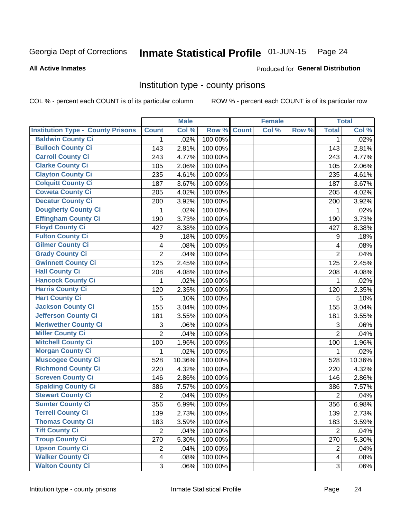#### Inmate Statistical Profile 01-JUN-15 Page 24

### **All Active Inmates**

# Produced for General Distribution

# Institution type - county prisons

COL % - percent each COUNT is of its particular column

|                                          |                         | <b>Male</b> |         |              | <b>Female</b> |       |                | <b>Total</b> |
|------------------------------------------|-------------------------|-------------|---------|--------------|---------------|-------|----------------|--------------|
| <b>Institution Type - County Prisons</b> | <b>Count</b>            | Col %       | Row %   | <b>Count</b> | Col %         | Row % | <b>Total</b>   | Col %        |
| <b>Baldwin County Ci</b>                 | 1                       | .02%        | 100.00% |              |               |       | 1              | .02%         |
| <b>Bulloch County Ci</b>                 | 143                     | 2.81%       | 100.00% |              |               |       | 143            | 2.81%        |
| <b>Carroll County Ci</b>                 | 243                     | 4.77%       | 100.00% |              |               |       | 243            | 4.77%        |
| <b>Clarke County Ci</b>                  | 105                     | 2.06%       | 100.00% |              |               |       | 105            | 2.06%        |
| <b>Clayton County Ci</b>                 | 235                     | 4.61%       | 100.00% |              |               |       | 235            | 4.61%        |
| <b>Colquitt County Ci</b>                | 187                     | 3.67%       | 100.00% |              |               |       | 187            | 3.67%        |
| <b>Coweta County Ci</b>                  | 205                     | 4.02%       | 100.00% |              |               |       | 205            | 4.02%        |
| <b>Decatur County Ci</b>                 | 200                     | 3.92%       | 100.00% |              |               |       | 200            | 3.92%        |
| <b>Dougherty County Ci</b>               | 1                       | .02%        | 100.00% |              |               |       | 1              | .02%         |
| <b>Effingham County Ci</b>               | 190                     | 3.73%       | 100.00% |              |               |       | 190            | 3.73%        |
| <b>Floyd County Ci</b>                   | 427                     | 8.38%       | 100.00% |              |               |       | 427            | 8.38%        |
| <b>Fulton County Ci</b>                  | 9                       | .18%        | 100.00% |              |               |       | 9              | .18%         |
| <b>Gilmer County Ci</b>                  | $\overline{\mathbf{4}}$ | .08%        | 100.00% |              |               |       | 4              | .08%         |
| <b>Grady County Ci</b>                   | $\overline{2}$          | .04%        | 100.00% |              |               |       | $\overline{2}$ | .04%         |
| <b>Gwinnett County Ci</b>                | 125                     | 2.45%       | 100.00% |              |               |       | 125            | 2.45%        |
| <b>Hall County Ci</b>                    | 208                     | 4.08%       | 100.00% |              |               |       | 208            | 4.08%        |
| <b>Hancock County Ci</b>                 | 1                       | .02%        | 100.00% |              |               |       | 1              | .02%         |
| Harris County Ci                         | 120                     | 2.35%       | 100.00% |              |               |       | 120            | 2.35%        |
| <b>Hart County Ci</b>                    | 5                       | .10%        | 100.00% |              |               |       | 5              | .10%         |
| <b>Jackson County Ci</b>                 | 155                     | 3.04%       | 100.00% |              |               |       | 155            | 3.04%        |
| Jefferson County Ci                      | 181                     | 3.55%       | 100.00% |              |               |       | 181            | 3.55%        |
| <b>Meriwether County Ci</b>              | 3                       | .06%        | 100.00% |              |               |       | 3              | .06%         |
| <b>Miller County Ci</b>                  | $\overline{2}$          | .04%        | 100.00% |              |               |       | $\overline{2}$ | .04%         |
| <b>Mitchell County Ci</b>                | 100                     | 1.96%       | 100.00% |              |               |       | 100            | 1.96%        |
| <b>Morgan County Ci</b>                  | $\mathbf{1}$            | .02%        | 100.00% |              |               |       | 1              | .02%         |
| <b>Muscogee County Ci</b>                | 528                     | 10.36%      | 100.00% |              |               |       | 528            | 10.36%       |
| <b>Richmond County Ci</b>                | 220                     | 4.32%       | 100.00% |              |               |       | 220            | 4.32%        |
| <b>Screven County Ci</b>                 | 146                     | 2.86%       | 100.00% |              |               |       | 146            | 2.86%        |
| <b>Spalding County Ci</b>                | 386                     | 7.57%       | 100.00% |              |               |       | 386            | 7.57%        |
| <b>Stewart County Ci</b>                 | $\overline{2}$          | .04%        | 100.00% |              |               |       | $\overline{2}$ | .04%         |
| <b>Sumter County Ci</b>                  | 356                     | 6.99%       | 100.00% |              |               |       | 356            | 6.98%        |
| Terrell County Ci                        | 139                     | 2.73%       | 100.00% |              |               |       | 139            | 2.73%        |
| <b>Thomas County Ci</b>                  | 183                     | 3.59%       | 100.00% |              |               |       | 183            | 3.59%        |
| <b>Tift County Ci</b>                    | $\overline{2}$          | .04%        | 100.00% |              |               |       | $\overline{2}$ | .04%         |
| <b>Troup County Ci</b>                   | 270                     | 5.30%       | 100.00% |              |               |       | 270            | 5.30%        |
| <b>Upson County Ci</b>                   | $\overline{c}$          | .04%        | 100.00% |              |               |       | $\overline{2}$ | .04%         |
| <b>Walker County Ci</b>                  | $\overline{\mathbf{4}}$ | .08%        | 100.00% |              |               |       | 4              | .08%         |
| <b>Walton County Ci</b>                  | 3                       | .06%        | 100.00% |              |               |       | 3              | .06%         |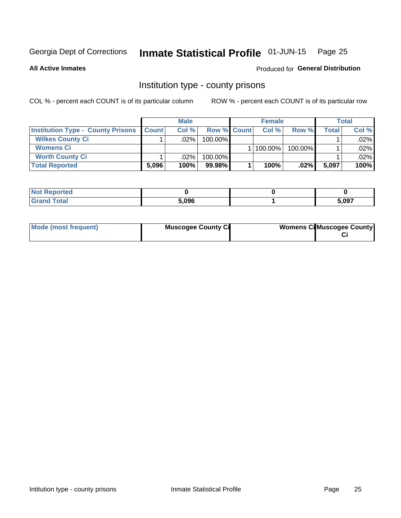# Inmate Statistical Profile 01-JUN-15 Page 25

**All Active Inmates** 

### Produced for General Distribution

# Institution type - county prisons

COL % - percent each COUNT is of its particular column

|                                          | <b>Male</b>  |         |                    | <b>Female</b> | <b>Total</b> |       |         |
|------------------------------------------|--------------|---------|--------------------|---------------|--------------|-------|---------|
| <b>Institution Type - County Prisons</b> | <b>Count</b> | Col%    | <b>Row % Count</b> | Col%          | Row %        | Total | Col %   |
| <b>Wilkes County Ci</b>                  |              | .02%    | 100.00%            |               |              |       | $.02\%$ |
| <b>Womens Ci</b>                         |              |         |                    | 100.00%       | 100.00%      |       | .02%    |
| <b>Worth County Ci</b>                   |              | $.02\%$ | 100.00%            |               |              |       | $.02\%$ |
| <b>Total Reported</b>                    | 5,096        | 100%    | $99.98\%$          | 100%          | $.02\%$      | 5,097 | 100%    |

| τeα |       |       |
|-----|-------|-------|
|     | 5.096 | 5,097 |

| Mode (most frequent) | <b>Muscogee County Ci</b> | <b>Womens CilMuscogee County</b> |
|----------------------|---------------------------|----------------------------------|
|----------------------|---------------------------|----------------------------------|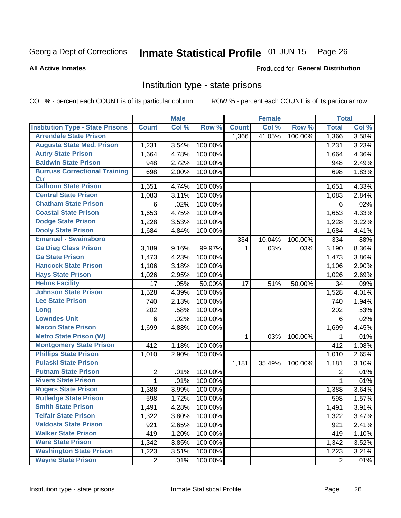#### Inmate Statistical Profile 01-JUN-15 Page 26

### **All Active Inmates**

### Produced for General Distribution

# Institution type - state prisons

COL % - percent each COUNT is of its particular column

|                                         |                | <b>Male</b> |         |              | <b>Female</b> |         | <b>Total</b>   |       |
|-----------------------------------------|----------------|-------------|---------|--------------|---------------|---------|----------------|-------|
| <b>Institution Type - State Prisons</b> | <b>Count</b>   | Col %       | Row %   | <b>Count</b> | Col %         | Row %   | <b>Total</b>   | Col % |
| <b>Arrendale State Prison</b>           |                |             |         | 1,366        | 41.05%        | 100.00% | 1,366          | 3.58% |
| <b>Augusta State Med. Prison</b>        | 1,231          | 3.54%       | 100.00% |              |               |         | 1,231          | 3.23% |
| <b>Autry State Prison</b>               | 1,664          | 4.78%       | 100.00% |              |               |         | 1,664          | 4.36% |
| <b>Baldwin State Prison</b>             | 948            | 2.72%       | 100.00% |              |               |         | 948            | 2.49% |
| <b>Burruss Correctional Training</b>    | 698            | 2.00%       | 100.00% |              |               |         | 698            | 1.83% |
| <b>Ctr</b>                              |                |             |         |              |               |         |                |       |
| <b>Calhoun State Prison</b>             | 1,651          | 4.74%       | 100.00% |              |               |         | 1,651          | 4.33% |
| <b>Central State Prison</b>             | 1,083          | 3.11%       | 100.00% |              |               |         | 1,083          | 2.84% |
| <b>Chatham State Prison</b>             | 6              | .02%        | 100.00% |              |               |         | 6              | .02%  |
| <b>Coastal State Prison</b>             | 1,653          | 4.75%       | 100.00% |              |               |         | 1,653          | 4.33% |
| <b>Dodge State Prison</b>               | 1,228          | 3.53%       | 100.00% |              |               |         | 1,228          | 3.22% |
| <b>Dooly State Prison</b>               | 1,684          | 4.84%       | 100.00% |              |               |         | 1,684          | 4.41% |
| <b>Emanuel - Swainsboro</b>             |                |             |         | 334          | 10.04%        | 100.00% | 334            | .88%  |
| <b>Ga Diag Class Prison</b>             | 3,189          | 9.16%       | 99.97%  | 1            | .03%          | .03%    | 3,190          | 8.36% |
| <b>Ga State Prison</b>                  | 1,473          | 4.23%       | 100.00% |              |               |         | 1,473          | 3.86% |
| <b>Hancock State Prison</b>             | 1,106          | 3.18%       | 100.00% |              |               |         | 1,106          | 2.90% |
| <b>Hays State Prison</b>                | 1,026          | 2.95%       | 100.00% |              |               |         | 1,026          | 2.69% |
| <b>Helms Facility</b>                   | 17             | .05%        | 50.00%  | 17           | .51%          | 50.00%  | 34             | .09%  |
| <b>Johnson State Prison</b>             | 1,528          | 4.39%       | 100.00% |              |               |         | 1,528          | 4.01% |
| <b>Lee State Prison</b>                 | 740            | 2.13%       | 100.00% |              |               |         | 740            | 1.94% |
| Long                                    | 202            | .58%        | 100.00% |              |               |         | 202            | .53%  |
| <b>Lowndes Unit</b>                     | 6              | .02%        | 100.00% |              |               |         | 6              | .02%  |
| <b>Macon State Prison</b>               | 1,699          | 4.88%       | 100.00% |              |               |         | 1,699          | 4.45% |
| <b>Metro State Prison (W)</b>           |                |             |         | $\mathbf 1$  | .03%          | 100.00% | 1              | .01%  |
| <b>Montgomery State Prison</b>          | 412            | 1.18%       | 100.00% |              |               |         | 412            | 1.08% |
| <b>Phillips State Prison</b>            | 1,010          | 2.90%       | 100.00% |              |               |         | 1,010          | 2.65% |
| <b>Pulaski State Prison</b>             |                |             |         | 1,181        | 35.49%        | 100.00% | 1,181          | 3.10% |
| <b>Putnam State Prison</b>              | $\overline{2}$ | .01%        | 100.00% |              |               |         | 2              | .01%  |
| <b>Rivers State Prison</b>              | $\mathbf{1}$   | .01%        | 100.00% |              |               |         | $\mathbf{1}$   | .01%  |
| <b>Rogers State Prison</b>              | 1,388          | 3.99%       | 100.00% |              |               |         | 1,388          | 3.64% |
| <b>Rutledge State Prison</b>            | 598            | 1.72%       | 100.00% |              |               |         | 598            | 1.57% |
| <b>Smith State Prison</b>               | 1,491          | 4.28%       | 100.00% |              |               |         | 1,491          | 3.91% |
| <b>Telfair State Prison</b>             | 1,322          | 3.80%       | 100.00% |              |               |         | 1,322          | 3.47% |
| <b>Valdosta State Prison</b>            | 921            | 2.65%       | 100.00% |              |               |         | 921            | 2.41% |
| <b>Walker State Prison</b>              | 419            | 1.20%       | 100.00% |              |               |         | 419            | 1.10% |
| <b>Ware State Prison</b>                | 1,342          | 3.85%       | 100.00% |              |               |         | 1,342          | 3.52% |
| <b>Washington State Prison</b>          | 1,223          | 3.51%       | 100.00% |              |               |         | 1,223          | 3.21% |
| <b>Wayne State Prison</b>               | $\overline{2}$ | .01%        | 100.00% |              |               |         | $\overline{2}$ | .01%  |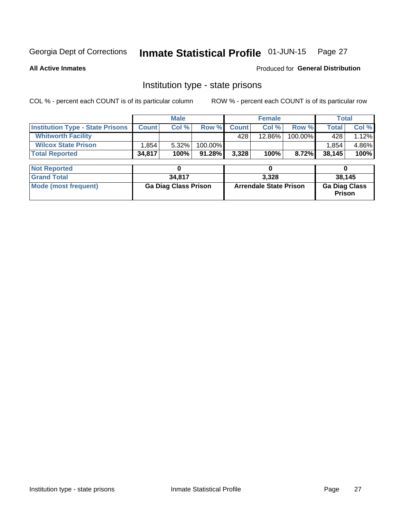#### Inmate Statistical Profile 01-JUN-15 Page 27

**All Active Inmates** 

Produced for General Distribution

# Institution type - state prisons

COL % - percent each COUNT is of its particular column

|                                         | <b>Male</b>                 |        |         |                               | <b>Female</b> | <b>Total</b> |                                       |        |  |
|-----------------------------------------|-----------------------------|--------|---------|-------------------------------|---------------|--------------|---------------------------------------|--------|--|
| <b>Institution Type - State Prisons</b> | <b>Count</b>                | Col %  | Row %   | <b>Count</b>                  | Col %         | Row %        | <b>Total</b>                          | Col %  |  |
| <b>Whitworth Facility</b>               |                             |        |         | 428                           | 12.86%        | 100.00%      | 428                                   | 1.12%  |  |
| <b>Wilcox State Prison</b>              | 1,854                       | 5.32%  | 100.00% |                               |               |              | 1,854                                 | 4.86%  |  |
| <b>Total Reported</b>                   | 34,817                      | 100%   | 91.28%  | 3,328                         | 100%          | 8.72%        | 38,145                                | 100%   |  |
| <b>Not Reported</b>                     |                             | 0      |         |                               | 0             |              | 0                                     |        |  |
|                                         |                             |        |         |                               |               |              |                                       |        |  |
| <b>Grand Total</b>                      |                             | 34,817 |         |                               | 3,328         |              |                                       | 38,145 |  |
| <b>Mode (most frequent)</b>             | <b>Ga Diag Class Prison</b> |        |         | <b>Arrendale State Prison</b> |               |              | <b>Ga Diag Class</b><br><b>Prison</b> |        |  |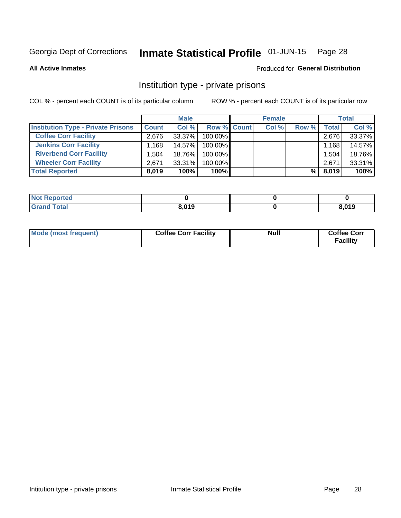#### Inmate Statistical Profile 01-JUN-15 Page 28

**All Active Inmates** 

### Produced for General Distribution

# Institution type - private prisons

COL % - percent each COUNT is of its particular column

|                                           | <b>Male</b>  |        |                    | <b>Female</b> |       |       | <b>Total</b> |        |
|-------------------------------------------|--------------|--------|--------------------|---------------|-------|-------|--------------|--------|
| <b>Institution Type - Private Prisons</b> | <b>Count</b> | Col %  | <b>Row % Count</b> |               | Col % | Row % | Total        | Col %  |
| <b>Coffee Corr Facility</b>               | 2.676        | 33.37% | 100.00%            |               |       |       | 2,676        | 33.37% |
| <b>Jenkins Corr Facility</b>              | $.168+$      | 14.57% | $100.00\%$         |               |       |       | 1,168        | 14.57% |
| <b>Riverbend Corr Facility</b>            | 1.504        | 18.76% | 100.00%            |               |       |       | 1,504        | 18.76% |
| <b>Wheeler Corr Facility</b>              | 2,671        | 33.31% | 100.00%            |               |       |       | 2,671        | 33.31% |
| <b>Total Reported</b>                     | 8,019        | 100%   | 100%               |               |       | %     | 8,019        | 100%   |

| <b>Not</b><br>Reported |       |       |
|------------------------|-------|-------|
| <b>Total</b>           | 8,019 | 8,019 |

| Mode (most frequent) | <b>Coffee Corr Facility</b> | <b>Null</b> | <b>Coffee Corr</b><br><b>Facility</b> |
|----------------------|-----------------------------|-------------|---------------------------------------|
|----------------------|-----------------------------|-------------|---------------------------------------|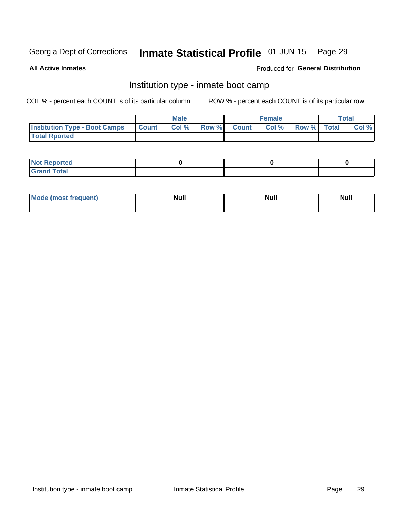#### Inmate Statistical Profile 01-JUN-15 Page 29

**All Active Inmates** 

### Produced for General Distribution

# Institution type - inmate boot camp

COL % - percent each COUNT is of its particular column

|                                      |                 | <b>Male</b> |              |              | <b>Female</b> |             | <b>Total</b> |
|--------------------------------------|-----------------|-------------|--------------|--------------|---------------|-------------|--------------|
| <b>Institution Type - Boot Camps</b> | <b>I</b> Count⊥ | Col %       | <b>Row %</b> | <b>Count</b> | Col %         | Row % Total | Col %        |
| <b>Total Rported</b>                 |                 |             |              |              |               |             |              |

| <b>Not Reported</b>            |  |  |
|--------------------------------|--|--|
| <b>Total</b><br>C <sub>r</sub> |  |  |

| Mod<br>uamo | Nul.<br>$- - - - - -$ | <b>Null</b> | <br>uu.<br>------ |
|-------------|-----------------------|-------------|-------------------|
|             |                       |             |                   |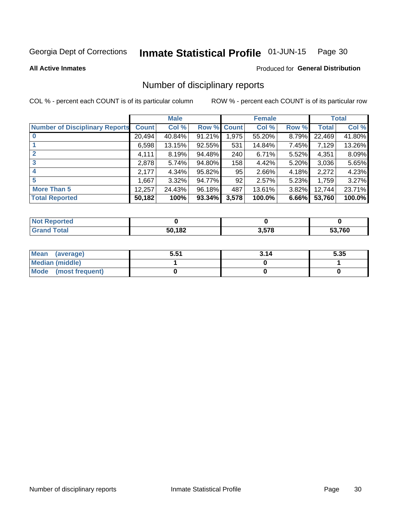#### Inmate Statistical Profile 01-JUN-15 Page 30

#### **All Active Inmates**

### Produced for General Distribution

# Number of disciplinary reports

COL % - percent each COUNT is of its particular column

|                                       |              | <b>Male</b> |             |       | <b>Female</b> |          |              | <b>Total</b> |
|---------------------------------------|--------------|-------------|-------------|-------|---------------|----------|--------------|--------------|
| <b>Number of Disciplinary Reports</b> | <b>Count</b> | Col %       | Row % Count |       | Col %         | Row %    | <b>Total</b> | Col %        |
|                                       | 20,494       | 40.84%      | 91.21%      | 1,975 | 55.20%        | 8.79%    | 22,469       | 41.80%       |
|                                       | 6,598        | 13.15%      | 92.55%      | 531   | 14.84%        | 7.45%    | 7,129        | 13.26%       |
| $\mathbf{2}$                          | 4,111        | 8.19%       | 94.48%      | 240   | 6.71%         | $5.52\%$ | 4,351        | 8.09%        |
| 3                                     | 2,878        | 5.74%       | 94.80%      | 158   | 4.42%         | $5.20\%$ | 3,036        | 5.65%        |
|                                       | 2,177        | 4.34%       | 95.82%      | 95    | 2.66%         | 4.18%    | 2,272        | 4.23%        |
| 5                                     | 1,667        | $3.32\%$    | 94.77%      | 92    | 2.57%         | 5.23%    | 1,759        | 3.27%        |
| <b>More Than 5</b>                    | 12,257       | 24.43%      | 96.18%      | 487   | 13.61%        | 3.82%    | 12,744       | 23.71%       |
| <b>Total Reported</b>                 | 50,182       | 100%        | 93.34%      | 3,578 | 100.0%        | 6.66%    | 53,760       | 100.0%       |

| วrted<br>NO: |        |       |        |
|--------------|--------|-------|--------|
| Total        | 50,182 | 3,578 | 53,760 |

| Mean (average)         | 5.51 | 3.14 | 5.35 |
|------------------------|------|------|------|
| <b>Median (middle)</b> |      |      |      |
| Mode (most frequent)   |      |      |      |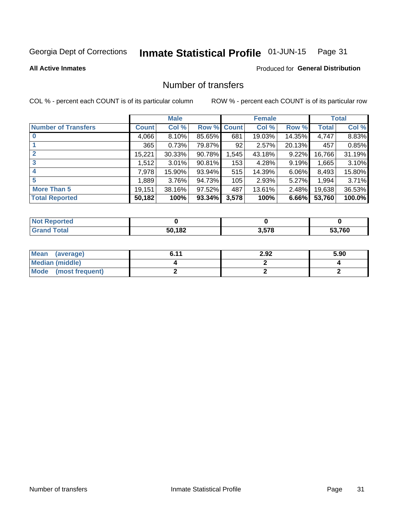#### Inmate Statistical Profile 01-JUN-15 Page 31

**All Active Inmates** 

### **Produced for General Distribution**

# Number of transfers

COL % - percent each COUNT is of its particular column

|                            |              | <b>Male</b> |                    |                 | <b>Female</b> |        |              | <b>Total</b> |
|----------------------------|--------------|-------------|--------------------|-----------------|---------------|--------|--------------|--------------|
| <b>Number of Transfers</b> | <b>Count</b> | Col %       | <b>Row % Count</b> |                 | Col %         | Row %  | <b>Total</b> | Col %        |
|                            | 4,066        | $8.10\%$    | 85.65%             | 681             | 19.03%        | 14.35% | 4,747        | 8.83%        |
|                            | 365          | 0.73%       | 79.87%             | 92 <sub>1</sub> | 2.57%         | 20.13% | 457          | 0.85%        |
| $\mathbf{2}$               | 15,221       | 30.33%      | 90.78%             | 1,545           | 43.18%        | 9.22%  | 16,766       | 31.19%       |
| 3                          | 1.512        | 3.01%       | 90.81%             | 153             | 4.28%         | 9.19%  | 1,665        | 3.10%        |
|                            | 7,978        | 15.90%      | 93.94%             | 515             | 14.39%        | 6.06%  | 8,493        | 15.80%       |
| 5                          | ,889         | 3.76%       | 94.73%             | 105             | 2.93%         | 5.27%  | 1,994        | 3.71%        |
| <b>More Than 5</b>         | 19,151       | 38.16%      | 97.52%             | 487             | 13.61%        | 2.48%  | 19,638       | 36.53%       |
| <b>Total Reported</b>      | 50,182       | 100%        | 93.34%             | 3,578           | 100%          | 6.66%  | 53,760       | 100.0%       |

| วrted<br>NO1 |        |       |        |
|--------------|--------|-------|--------|
| <b>Total</b> | 50 182 | 3,578 | 53.760 |

| Mean (average)       | 6.11 | 2.92 | 5.90 |
|----------------------|------|------|------|
| Median (middle)      |      |      |      |
| Mode (most frequent) |      |      |      |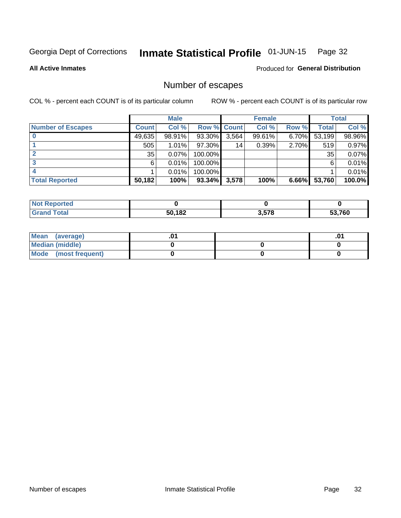#### Inmate Statistical Profile 01-JUN-15 Page 32

**All Active Inmates** 

Produced for General Distribution

# Number of escapes

COL % - percent each COUNT is of its particular column

|                          |              | <b>Male</b> |             |       | <b>Female</b> |          |        | <b>Total</b> |
|--------------------------|--------------|-------------|-------------|-------|---------------|----------|--------|--------------|
| <b>Number of Escapes</b> | <b>Count</b> | Col %       | Row % Count |       | Col %         | Row %    | Total  | Col %        |
|                          | 49,635       | 98.91%      | 93.30%      | 3,564 | 99.61%        | $6.70\%$ | 53,199 | 98.96%       |
|                          | 505          | 1.01%       | $97.30\%$   | 14    | 0.39%         | 2.70%    | 519    | 0.97%        |
|                          | 35           | 0.07%       | 100.00%     |       |               |          | 35     | 0.07%        |
|                          | 6.           | 0.01%       | $100.00\%$  |       |               |          | 6      | 0.01%        |
|                          |              | 0.01%       | 100.00%     |       |               |          |        | 0.01%        |
| <b>Total Reported</b>    | 50,182       | 100%        | $93.34\%$   | 3,578 | 100%          | $6.66\%$ | 53,760 | 100.0%       |

| <b>norted</b><br>NOT. |        |       |        |
|-----------------------|--------|-------|--------|
| <b>Total</b>          | 50,182 | 3,578 | 53,760 |

| Mean (average)       |  |  |
|----------------------|--|--|
| Median (middle)      |  |  |
| Mode (most frequent) |  |  |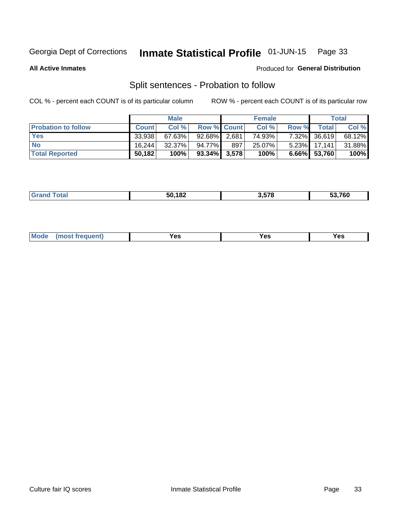#### Inmate Statistical Profile 01-JUN-15 Page 33

**All Active Inmates** 

### Produced for General Distribution

# Split sentences - Probation to follow

COL % - percent each COUNT is of its particular column

|                            |              | <b>Male</b> |                    |     | <b>Female</b> |       |                 | <b>Total</b> |
|----------------------------|--------------|-------------|--------------------|-----|---------------|-------|-----------------|--------------|
| <b>Probation to follow</b> | <b>Count</b> | Col%        | <b>Row % Count</b> |     | Col %         | Row % | Total           | Col %        |
| <b>Yes</b>                 | 33.938       | 67.63%      | 92.68% 2.681       |     | 74.93%        |       | 7.32% 36,619    | 68.12%       |
| <b>No</b>                  | 16.244       | $32.37\%$   | 94.77%             | 897 | 25.07%        |       | 5.23% 17,141    | 31.88%       |
| <b>Total Reported</b>      | 50,182       | 100%        | $93.34\%$ 3,578    |     | 100%          |       | $6.66\%$ 53,760 | 100%         |

| ________ | 50,182<br>.<br>___ | 3.578 | - - - - - |
|----------|--------------------|-------|-----------|
|          |                    |       |           |

| requent<br>′es<br>Yes<br><b>YAC</b><br>. |  | $Moo$ |  |  |  |
|------------------------------------------|--|-------|--|--|--|
|------------------------------------------|--|-------|--|--|--|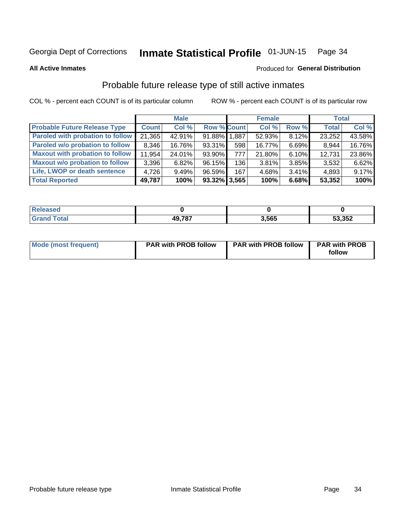#### Inmate Statistical Profile 01-JUN-15 Page 34

**All Active Inmates** 

### **Produced for General Distribution**

# Probable future release type of still active inmates

COL % - percent each COUNT is of its particular column

|                                         |              | <b>Male</b> |                    |       | <b>Female</b> |          | <b>Total</b> |        |
|-----------------------------------------|--------------|-------------|--------------------|-------|---------------|----------|--------------|--------|
| <b>Probable Future Release Type</b>     | <b>Count</b> | Col %       | <b>Row % Count</b> |       | Col %         | Row %    | <b>Total</b> | Col %  |
| <b>Paroled with probation to follow</b> | 21,365       | 42.91%      | 91.88% 1.887       |       | 52.93%        | 8.12%    | 23,252       | 43.58% |
| Paroled w/o probation to follow         | 8,346        | 16.76%      | 93.31%             | 598   | 16.77%        | 6.69%    | 8,944        | 16.76% |
| <b>Maxout with probation to follow</b>  | 11,954       | 24.01%      | $93.90\%$          | 777 I | 21.80%        | 6.10%    | 12,731       | 23.86% |
| <b>Maxout w/o probation to follow</b>   | 3,396        | 6.82%       | 96.15%             | 136   | 3.81%         | 3.85%    | 3,532        | 6.62%  |
| Life, LWOP or death sentence            | 4.726        | 9.49%       | 96.59%             | 167   | 4.68%         | $3.41\%$ | 4,893        | 9.17%  |
| <b>Total Reported</b>                   | 49,787       | 100%        | $93.32\%$ 3,565    |       | 100%          | 6.68%    | 53,352       | 100%   |

| <b>10 787</b> | 3.565 | 53,352 |
|---------------|-------|--------|

| Mode (most frequent) | <b>PAR with PROB follow</b> | <b>PAR with PROB follow</b> | <b>PAR with PROB</b><br>follow |
|----------------------|-----------------------------|-----------------------------|--------------------------------|
|                      |                             |                             |                                |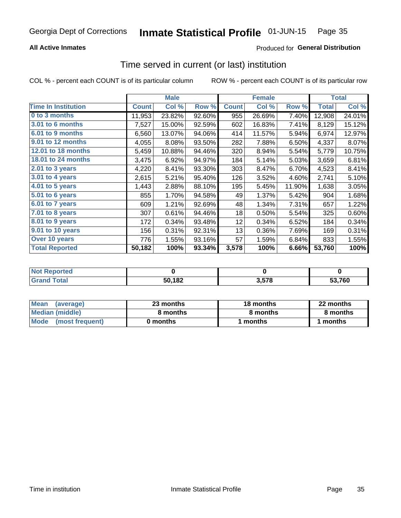### **All Active Inmates**

# Produced for General Distribution

# Time served in current (or last) institution

COL % - percent each COUNT is of its particular column

|                            | <b>Male</b>  |        | <b>Female</b> |              |        | <b>Total</b> |              |        |
|----------------------------|--------------|--------|---------------|--------------|--------|--------------|--------------|--------|
| <b>Time In Institution</b> | <b>Count</b> | Col %  | Row %         | <b>Count</b> | Col %  | Row %        | <b>Total</b> | Col %  |
| 0 to 3 months              | 11,953       | 23.82% | 92.60%        | 955          | 26.69% | 7.40%        | 12,908       | 24.01% |
| 3.01 to 6 months           | 7,527        | 15.00% | 92.59%        | 602          | 16.83% | 7.41%        | 8,129        | 15.12% |
| 6.01 to 9 months           | 6,560        | 13.07% | 94.06%        | 414          | 11.57% | 5.94%        | 6,974        | 12.97% |
| 9.01 to 12 months          | 4,055        | 8.08%  | 93.50%        | 282          | 7.88%  | 6.50%        | 4,337        | 8.07%  |
| 12.01 to 18 months         | 5,459        | 10.88% | 94.46%        | 320          | 8.94%  | 5.54%        | 5,779        | 10.75% |
| <b>18.01 to 24 months</b>  | 3,475        | 6.92%  | 94.97%        | 184          | 5.14%  | 5.03%        | 3,659        | 6.81%  |
| 2.01 to 3 years            | 4,220        | 8.41%  | 93.30%        | 303          | 8.47%  | 6.70%        | 4,523        | 8.41%  |
| $3.01$ to 4 years          | 2,615        | 5.21%  | 95.40%        | 126          | 3.52%  | 4.60%        | 2,741        | 5.10%  |
| 4.01 to 5 years            | 1,443        | 2.88%  | 88.10%        | 195          | 5.45%  | 11.90%       | 1,638        | 3.05%  |
| 5.01 to 6 years            | 855          | 1.70%  | 94.58%        | 49           | 1.37%  | 5.42%        | 904          | 1.68%  |
| 6.01 to 7 years            | 609          | 1.21%  | 92.69%        | 48           | 1.34%  | 7.31%        | 657          | 1.22%  |
| 7.01 to 8 years            | 307          | 0.61%  | 94.46%        | 18           | 0.50%  | 5.54%        | 325          | 0.60%  |
| $8.01$ to 9 years          | 172          | 0.34%  | 93.48%        | 12           | 0.34%  | 6.52%        | 184          | 0.34%  |
| 9.01 to 10 years           | 156          | 0.31%  | 92.31%        | 13           | 0.36%  | 7.69%        | 169          | 0.31%  |
| Over 10 years              | 776          | 1.55%  | 93.16%        | 57           | 1.59%  | 6.84%        | 833          | 1.55%  |
| <b>Total Reported</b>      | 50,182       | 100%   | 93.34%        | 3,578        | 100%   | 6.66%        | 53,760       | 100%   |

| <b>NOT</b><br>пео |        |     |        |
|-------------------|--------|-----|--------|
|                   | 50,182 | E70 | 53.760 |

| <b>Mean</b><br>(average) | 23 months | 18 months | 22 months |  |
|--------------------------|-----------|-----------|-----------|--|
| Median (middle)          | 8 months  | 8 months  | 8 months  |  |
| Mode<br>(most frequent)  | 0 months  | months    | ∖ months  |  |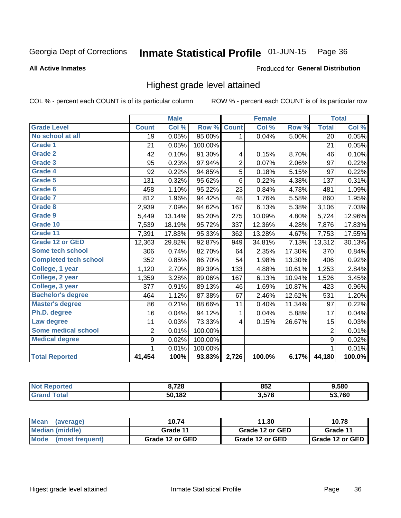#### Inmate Statistical Profile 01-JUN-15 Page 36

#### **All Active Inmates**

### Produced for General Distribution

# Highest grade level attained

COL % - percent each COUNT is of its particular column

|                              |                 | <b>Male</b> |         |                | <b>Female</b> |        |                 | <b>Total</b> |
|------------------------------|-----------------|-------------|---------|----------------|---------------|--------|-----------------|--------------|
| <b>Grade Level</b>           | <b>Count</b>    | Col %       | Row %   | <b>Count</b>   | Col %         | Row %  | <b>Total</b>    | Col %        |
| No school at all             | $\overline{19}$ | 0.05%       | 95.00%  | 1              | 0.04%         | 5.00%  | $\overline{20}$ | 0.05%        |
| <b>Grade 1</b>               | 21              | 0.05%       | 100.00% |                |               |        | 21              | 0.05%        |
| <b>Grade 2</b>               | 42              | 0.10%       | 91.30%  | 4              | 0.15%         | 8.70%  | 46              | 0.10%        |
| Grade 3                      | 95              | 0.23%       | 97.94%  | $\overline{2}$ | 0.07%         | 2.06%  | 97              | 0.22%        |
| <b>Grade 4</b>               | 92              | 0.22%       | 94.85%  | 5              | 0.18%         | 5.15%  | 97              | 0.22%        |
| <b>Grade 5</b>               | 131             | 0.32%       | 95.62%  | $\,6$          | 0.22%         | 4.38%  | 137             | 0.31%        |
| Grade 6                      | 458             | 1.10%       | 95.22%  | 23             | 0.84%         | 4.78%  | 481             | 1.09%        |
| <b>Grade 7</b>               | 812             | 1.96%       | 94.42%  | 48             | 1.76%         | 5.58%  | 860             | 1.95%        |
| Grade 8                      | 2,939           | 7.09%       | 94.62%  | 167            | 6.13%         | 5.38%  | 3,106           | 7.03%        |
| Grade 9                      | 5,449           | 13.14%      | 95.20%  | 275            | 10.09%        | 4.80%  | 5,724           | 12.96%       |
| Grade 10                     | 7,539           | 18.19%      | 95.72%  | 337            | 12.36%        | 4.28%  | 7,876           | 17.83%       |
| Grade 11                     | 7,391           | 17.83%      | 95.33%  | 362            | 13.28%        | 4.67%  | 7,753           | 17.55%       |
| <b>Grade 12 or GED</b>       | 12,363          | 29.82%      | 92.87%  | 949            | 34.81%        | 7.13%  | 13,312          | 30.13%       |
| Some tech school             | 306             | 0.74%       | 82.70%  | 64             | 2.35%         | 17.30% | 370             | 0.84%        |
| <b>Completed tech school</b> | 352             | 0.85%       | 86.70%  | 54             | 1.98%         | 13.30% | 406             | 0.92%        |
| College, 1 year              | 1,120           | 2.70%       | 89.39%  | 133            | 4.88%         | 10.61% | 1,253           | 2.84%        |
| College, 2 year              | 1,359           | 3.28%       | 89.06%  | 167            | 6.13%         | 10.94% | 1,526           | 3.45%        |
| College, 3 year              | 377             | 0.91%       | 89.13%  | 46             | 1.69%         | 10.87% | 423             | 0.96%        |
| <b>Bachelor's degree</b>     | 464             | 1.12%       | 87.38%  | 67             | 2.46%         | 12.62% | 531             | 1.20%        |
| <b>Master's degree</b>       | 86              | 0.21%       | 88.66%  | 11             | 0.40%         | 11.34% | 97              | 0.22%        |
| Ph.D. degree                 | 16              | 0.04%       | 94.12%  | 1              | 0.04%         | 5.88%  | 17              | 0.04%        |
| Law degree                   | 11              | 0.03%       | 73.33%  | 4              | 0.15%         | 26.67% | 15              | 0.03%        |
| <b>Some medical school</b>   | $\overline{2}$  | 0.01%       | 100.00% |                |               |        | $\overline{2}$  | 0.01%        |
| <b>Medical degree</b>        | 9               | 0.02%       | 100.00% |                |               |        | 9               | 0.02%        |
|                              | 1               | 0.01%       | 100.00% |                |               |        | 1               | 0.01%        |
| <b>Total Reported</b>        | 41,454          | 100%        | 93.83%  | 2,726          | 100.0%        | 6.17%  | 44,180          | 100.0%       |

| 3,728  | 852  | 1,580 |
|--------|------|-------|
| 50,182 | 2572 | 700   |

| <b>Mean</b><br>(average) | 10.74           | 11.30           | 10.78           |
|--------------------------|-----------------|-----------------|-----------------|
| Median (middle)          | Grade 11        | Grade 12 or GED | Grade 11        |
| Mode<br>(most frequent)  | Grade 12 or GED | Grade 12 or GED | Grade 12 or GED |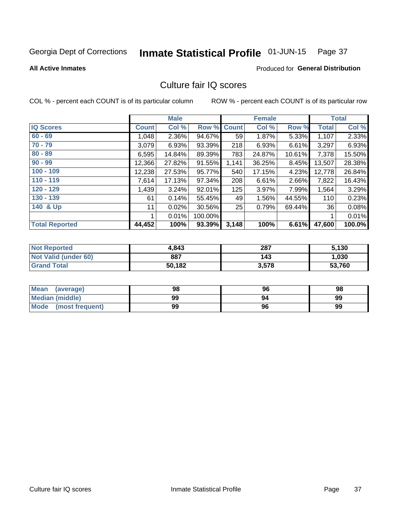#### Inmate Statistical Profile 01-JUN-15 Page 37

**Produced for General Distribution** 

#### **All Active Inmates**

## Culture fair IQ scores

COL % - percent each COUNT is of its particular column

|                       |              | <b>Male</b> |         |              | <b>Female</b> |        |              | <b>Total</b> |
|-----------------------|--------------|-------------|---------|--------------|---------------|--------|--------------|--------------|
| <b>IQ Scores</b>      | <b>Count</b> | Col %       | Row %   | <b>Count</b> | Col %         | Row %  | <b>Total</b> | Col %        |
| $60 - 69$             | 1,048        | 2.36%       | 94.67%  | 59           | 1.87%         | 5.33%  | 1,107        | 2.33%        |
| $70 - 79$             | 3,079        | 6.93%       | 93.39%  | 218          | 6.93%         | 6.61%  | 3,297        | 6.93%        |
| $80 - 89$             | 6,595        | 14.84%      | 89.39%  | 783          | 24.87%        | 10.61% | 7,378        | 15.50%       |
| $90 - 99$             | 12,366       | 27.82%      | 91.55%  | 1,141        | 36.25%        | 8.45%  | 13,507       | 28.38%       |
| $100 - 109$           | 12,238       | 27.53%      | 95.77%  | 540          | 17.15%        | 4.23%  | 12,778       | 26.84%       |
| $110 - 119$           | 7,614        | 17.13%      | 97.34%  | 208          | 6.61%         | 2.66%  | 7,822        | 16.43%       |
| 120 - 129             | 1,439        | 3.24%       | 92.01%  | 125          | 3.97%         | 7.99%  | 1,564        | 3.29%        |
| 130 - 139             | 61           | 0.14%       | 55.45%  | 49           | 1.56%         | 44.55% | 110          | 0.23%        |
| 140 & Up              | 11           | 0.02%       | 30.56%  | 25           | 0.79%         | 69.44% | 36           | 0.08%        |
|                       |              | 0.01%       | 100.00% |              |               |        |              | 0.01%        |
| <b>Total Reported</b> | 44,452       | 100%        | 93.39%  | 3,148        | 100%          | 6.61%  | 47,600       | 100.0%       |

| <b>Not Reported</b>  | 4,843  | 287   | 5,130  |
|----------------------|--------|-------|--------|
| Not Valid (under 60) | 887    | 143   | 1,030  |
| <b>Grand Total</b>   | 50,182 | 3,578 | 53,760 |

| Mean<br>(average)      | 98 | 96 | 98 |
|------------------------|----|----|----|
| <b>Median (middle)</b> | 99 | 94 | 99 |
| Mode (most frequent)   | 99 | 96 | 99 |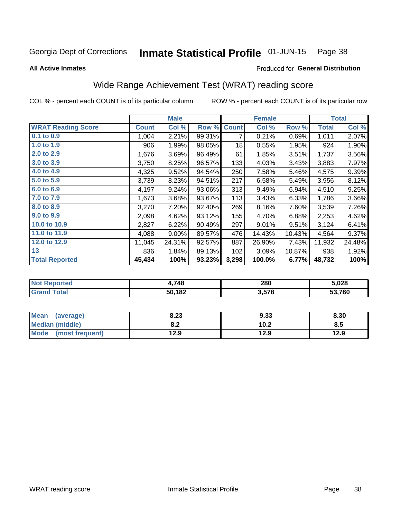**All Active Inmates** 

#### Inmate Statistical Profile 01-JUN-15 Page 38

### Produced for General Distribution

## Wide Range Achievement Test (WRAT) reading score

COL % - percent each COUNT is of its particular column

|                           |              | <b>Male</b> |        |              | <b>Female</b> |        |              | <b>Total</b> |
|---------------------------|--------------|-------------|--------|--------------|---------------|--------|--------------|--------------|
| <b>WRAT Reading Score</b> | <b>Count</b> | Col %       | Row %  | <b>Count</b> | Col %         | Row %  | <b>Total</b> | Col %        |
| $0.1$ to $0.9$            | 1,004        | 2.21%       | 99.31% | 7            | 0.21%         | 0.69%  | 1,011        | 2.07%        |
| 1.0 to 1.9                | 906          | 1.99%       | 98.05% | 18           | 0.55%         | 1.95%  | 924          | 1.90%        |
| 2.0 to 2.9                | 1,676        | 3.69%       | 96.49% | 61           | 1.85%         | 3.51%  | 1,737        | 3.56%        |
| 3.0 to 3.9                | 3,750        | 8.25%       | 96.57% | 133          | 4.03%         | 3.43%  | 3,883        | 7.97%        |
| 4.0 to 4.9                | 4,325        | 9.52%       | 94.54% | 250          | 7.58%         | 5.46%  | 4,575        | 9.39%        |
| 5.0 to 5.9                | 3,739        | 8.23%       | 94.51% | 217          | 6.58%         | 5.49%  | 3,956        | 8.12%        |
| 6.0 to 6.9                | 4,197        | 9.24%       | 93.06% | 313          | 9.49%         | 6.94%  | 4,510        | 9.25%        |
| 7.0 to 7.9                | 1,673        | 3.68%       | 93.67% | 113          | 3.43%         | 6.33%  | 1,786        | 3.66%        |
| 8.0 to 8.9                | 3,270        | 7.20%       | 92.40% | 269          | 8.16%         | 7.60%  | 3,539        | 7.26%        |
| 9.0 to 9.9                | 2,098        | 4.62%       | 93.12% | 155          | 4.70%         | 6.88%  | 2,253        | 4.62%        |
| 10.0 to 10.9              | 2,827        | 6.22%       | 90.49% | 297          | 9.01%         | 9.51%  | 3,124        | 6.41%        |
| 11.0 to 11.9              | 4,088        | 9.00%       | 89.57% | 476          | 14.43%        | 10.43% | 4,564        | 9.37%        |
| 12.0 to 12.9              | 11,045       | 24.31%      | 92.57% | 887          | 26.90%        | 7.43%  | 11,932       | 24.48%       |
| 13                        | 836          | 1.84%       | 89.13% | 102          | 3.09%         | 10.87% | 938          | 1.92%        |
| <b>Total Reported</b>     | 45,434       | 100%        | 93.23% | 3,298        | 100.0%        | 6.77%  | 48,732       | 100%         |

| erteu.<br>INO: | .748   | 280            | 5.028  |
|----------------|--------|----------------|--------|
| $-1$           | 50,182 | 578<br>J.J I U | 53.760 |

| <b>Mean</b><br>(average) | 8.23       | 9.33 | 8.30 |
|--------------------------|------------|------|------|
| Median (middle)          | י ה<br>0.Z | 10.2 | 8.5  |
| Mode<br>(most frequent)  | 12.9       | 12.9 | 12.9 |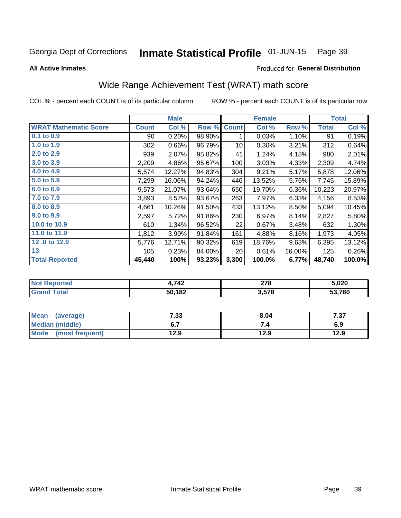#### Inmate Statistical Profile 01-JUN-15 Page 39

**All Active Inmates** 

### Produced for General Distribution

## Wide Range Achievement Test (WRAT) math score

COL % - percent each COUNT is of its particular column

|                              |              | <b>Male</b> |        |              | <b>Female</b> |        |              | <b>Total</b> |
|------------------------------|--------------|-------------|--------|--------------|---------------|--------|--------------|--------------|
| <b>WRAT Mathematic Score</b> | <b>Count</b> | Col %       | Row %  | <b>Count</b> | Col %         | Row %  | <b>Total</b> | Col %        |
| $0.1$ to $0.9$               | 90           | 0.20%       | 98.90% | 1            | 0.03%         | 1.10%  | 91           | 0.19%        |
| 1.0 to 1.9                   | 302          | 0.66%       | 96.79% | 10           | 0.30%         | 3.21%  | 312          | 0.64%        |
| 2.0 to 2.9                   | 939          | 2.07%       | 95.82% | 41           | 1.24%         | 4.18%  | 980          | 2.01%        |
| 3.0 to 3.9                   | 2,209        | 4.86%       | 95.67% | 100          | 3.03%         | 4.33%  | 2,309        | 4.74%        |
| 4.0 to 4.9                   | 5,574        | 12.27%      | 94.83% | 304          | 9.21%         | 5.17%  | 5,878        | 12.06%       |
| 5.0 to 5.9                   | 7,299        | 16.06%      | 94.24% | 446          | 13.52%        | 5.76%  | 7,745        | 15.89%       |
| 6.0 to 6.9                   | 9,573        | 21.07%      | 93.64% | 650          | 19.70%        | 6.36%  | 10,223       | 20.97%       |
| 7.0 to 7.9                   | 3,893        | 8.57%       | 93.67% | 263          | 7.97%         | 6.33%  | 4,156        | 8.53%        |
| 8.0 to 8.9                   | 4,661        | 10.26%      | 91.50% | 433          | 13.12%        | 8.50%  | 5,094        | 10.45%       |
| 9.0 to 9.9                   | 2,597        | 5.72%       | 91.86% | 230          | 6.97%         | 8.14%  | 2,827        | 5.80%        |
| 10.0 to 10.9                 | 610          | 1.34%       | 96.52% | 22           | 0.67%         | 3.48%  | 632          | 1.30%        |
| 11.0 to 11.9                 | 1,812        | 3.99%       | 91.84% | 161          | 4.88%         | 8.16%  | 1,973        | 4.05%        |
| 12.0 to 12.9                 | 5,776        | 12.71%      | 90.32% | 619          | 18.76%        | 9.68%  | 6,395        | 13.12%       |
| 13                           | 105          | 0.23%       | 84.00% | 20           | 0.61%         | 16.00% | 125          | 0.26%        |
| <b>Total Reported</b>        | 45,440       | 100%        | 93.23% | 3,300        | 100.0%        | 6.77%  | 48,740       | 100.0%       |

| Reported<br><b>NOT</b> | .742   | 270<br>21 V | 5,020  |
|------------------------|--------|-------------|--------|
| <b>cotal</b>           | 50,182 | 3,578       | 53,760 |

| <b>Mean</b><br>(average) | 7.33 | 8.04 | 7 27<br>، د ، |
|--------------------------|------|------|---------------|
| Median (middle)          | ν.,  |      | 6.9           |
| Mode<br>(most frequent)  | l2.9 | 12.9 | 12.9          |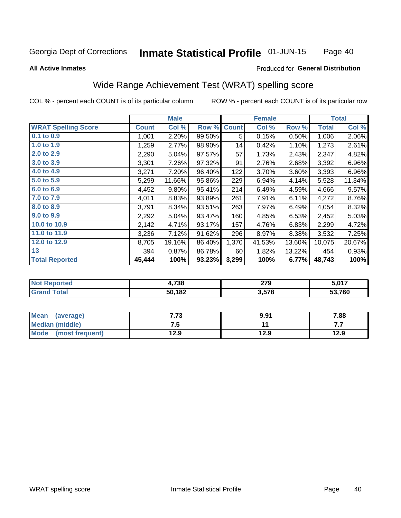#### Inmate Statistical Profile 01-JUN-15 Page 40

#### **All Active Inmates**

### Produced for General Distribution

## Wide Range Achievement Test (WRAT) spelling score

COL % - percent each COUNT is of its particular column

|                            |              | <b>Male</b> |        |              | <b>Female</b> |        |              | <b>Total</b> |
|----------------------------|--------------|-------------|--------|--------------|---------------|--------|--------------|--------------|
| <b>WRAT Spelling Score</b> | <b>Count</b> | Col %       | Row %  | <b>Count</b> | Col %         | Row %  | <b>Total</b> | Col %        |
| 0.1 to 0.9                 | 1,001        | 2.20%       | 99.50% | 5            | 0.15%         | 0.50%  | 1,006        | 2.06%        |
| 1.0 to 1.9                 | 1,259        | 2.77%       | 98.90% | 14           | 0.42%         | 1.10%  | 1,273        | 2.61%        |
| 2.0 to 2.9                 | 2,290        | 5.04%       | 97.57% | 57           | 1.73%         | 2.43%  | 2,347        | 4.82%        |
| 3.0 to 3.9                 | 3,301        | 7.26%       | 97.32% | 91           | 2.76%         | 2.68%  | 3,392        | 6.96%        |
| 4.0 to 4.9                 | 3,271        | 7.20%       | 96.40% | 122          | 3.70%         | 3.60%  | 3,393        | 6.96%        |
| 5.0 to 5.9                 | 5,299        | 11.66%      | 95.86% | 229          | 6.94%         | 4.14%  | 5,528        | 11.34%       |
| 6.0 to 6.9                 | 4,452        | 9.80%       | 95.41% | 214          | 6.49%         | 4.59%  | 4,666        | 9.57%        |
| 7.0 to 7.9                 | 4,011        | 8.83%       | 93.89% | 261          | 7.91%         | 6.11%  | 4,272        | 8.76%        |
| 8.0 to 8.9                 | 3,791        | 8.34%       | 93.51% | 263          | 7.97%         | 6.49%  | 4,054        | 8.32%        |
| 9.0 to 9.9                 | 2,292        | 5.04%       | 93.47% | 160          | 4.85%         | 6.53%  | 2,452        | 5.03%        |
| 10.0 to 10.9               | 2,142        | 4.71%       | 93.17% | 157          | 4.76%         | 6.83%  | 2,299        | 4.72%        |
| 11.0 to 11.9               | 3,236        | 7.12%       | 91.62% | 296          | 8.97%         | 8.38%  | 3,532        | 7.25%        |
| 12.0 to 12.9               | 8,705        | 19.16%      | 86.40% | 1,370        | 41.53%        | 13.60% | 10,075       | 20.67%       |
| 13                         | 394          | 0.87%       | 86.78% | 60           | 1.82%         | 13.22% | 454          | 0.93%        |
| <b>Total Reported</b>      | 45,444       | 100%        | 93.23% | 3,299        | 100%          | 6.77%  | 48,743       | 100%         |

| τeα<br>NO | +,738  | 270<br><u>.</u><br>__ | こ ハイフ<br>. |
|-----------|--------|-----------------------|------------|
| int       | 50,182 | 2 57R<br>J.J I U      | 53,760     |

| <b>Mean</b><br>(average) | , ,<br>د ، | 9.91 | 7.88 |
|--------------------------|------------|------|------|
| <b>Median (middle)</b>   | ن. ا       |      | .    |
| Mode (most frequent)     | 12.9       | 12.9 | 12.9 |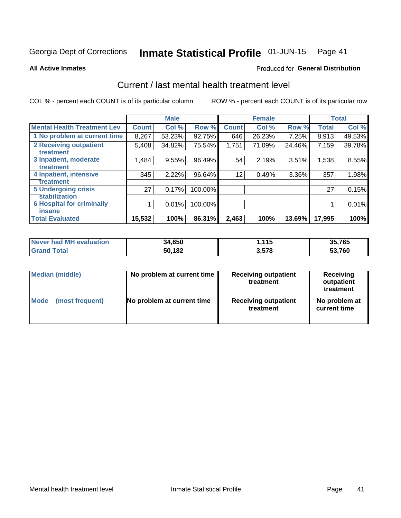#### Inmate Statistical Profile 01-JUN-15 Page 41

**All Active Inmates** 

### **Produced for General Distribution**

## Current / last mental health treatment level

COL % - percent each COUNT is of its particular column

|                                    |              | <b>Male</b> |         |              | <b>Female</b> |        |              | <b>Total</b> |
|------------------------------------|--------------|-------------|---------|--------------|---------------|--------|--------------|--------------|
| <b>Mental Health Treatment Lev</b> | <b>Count</b> | Col %       | Row %   | <b>Count</b> | Col %         | Row %  | <b>Total</b> | Col %        |
| 1 No problem at current time       | 8,267        | 53.23%      | 92.75%  | 646          | 26.23%        | 7.25%  | 8,913        | 49.53%       |
| 2 Receiving outpatient             | 5,408        | 34.82%      | 75.54%  | 1,751        | 71.09%        | 24.46% | 7,159        | 39.78%       |
| <b>Treatment</b>                   |              |             |         |              |               |        |              |              |
| 3 Inpatient, moderate              | 1,484        | 9.55%       | 96.49%  | 54           | 2.19%         | 3.51%  | 1,538        | 8.55%        |
| Treatment                          |              |             |         |              |               |        |              |              |
| 4 Inpatient, intensive             | 345          | 2.22%       | 96.64%  | 12           | 0.49%         | 3.36%  | 357          | 1.98%        |
| <b>Treatment</b>                   |              |             |         |              |               |        |              |              |
| <b>5 Undergoing crisis</b>         | 27           | 0.17%       | 100.00% |              |               |        | 27           | 0.15%        |
| <b>stabilization</b>               |              |             |         |              |               |        |              |              |
| <b>6 Hospital for criminally</b>   |              | 0.01%       | 100.00% |              |               |        |              | 0.01%        |
| <b>Tinsane</b>                     |              |             |         |              |               |        |              |              |
| <b>Total Evaluated</b>             | 15,532       | 100%        | 86.31%  | 2,463        | 100%          | 13.69% | 17,995       | 100%         |

| Never had MH evaluation | 34,650 | .115  | 35,765 |
|-------------------------|--------|-------|--------|
| <b>Grand Total</b>      | 50,182 | 3,578 | 53,760 |

| Median (middle) | No problem at current time | <b>Receiving outpatient</b><br>treatment | <b>Receiving</b><br>outpatient<br>treatment |
|-----------------|----------------------------|------------------------------------------|---------------------------------------------|
| <b>Mode</b>     | No problem at current time | <b>Receiving outpatient</b>              | No problem at                               |
| (most frequent) |                            | treatment                                | current time                                |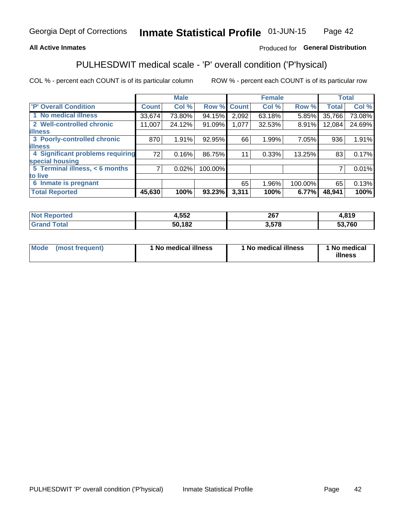### **All Active Inmates**

### Produced for General Distribution

## PULHESDWIT medical scale - 'P' overall condition ('P'hysical)

COL % - percent each COUNT is of its particular column

|                                  |              | <b>Male</b> |         |              | <b>Female</b> |         |              | <b>Total</b> |
|----------------------------------|--------------|-------------|---------|--------------|---------------|---------|--------------|--------------|
| 'P' Overall Condition            | <b>Count</b> | Col %       | Row %   | <b>Count</b> | Col %         | Row %   | <b>Total</b> | Col %        |
| 1 No medical illness             | 33,674       | 73.80%      | 94.15%  | 2,092        | 63.18%        | 5.85%   | 35,766       | 73.08%       |
| 2 Well-controlled chronic        | 11,007       | 24.12%      | 91.09%  | 1,077        | 32.53%        | 8.91%   | 12,084       | 24.69%       |
| <b>illness</b>                   |              |             |         |              |               |         |              |              |
| 3 Poorly-controlled chronic      | 870          | 1.91%       | 92.95%  | 66           | 1.99%         | 7.05%   | 936          | 1.91%        |
| <b>illness</b>                   |              |             |         |              |               |         |              |              |
| 4 Significant problems requiring | 72           | 0.16%       | 86.75%  | 11           | 0.33%         | 13.25%  | 83           | 0.17%        |
| special housing                  |              |             |         |              |               |         |              |              |
| 5 Terminal illness, < 6 months   | 71           | 0.02%       | 100.00% |              |               |         | 7            | 0.01%        |
| to live                          |              |             |         |              |               |         |              |              |
| 6 Inmate is pregnant             |              |             |         | 65           | 1.96%         | 100.00% | 65           | 0.13%        |
| <b>Total Reported</b>            | 45,630       | 100%        | 93.23%  | 3,311        | 100%          | 6.77%   | 48,941       | 100%         |

| rtea | 4,552 | 267<br>20 I | 4,819    |
|------|-------|-------------|----------|
|      | ,182  | <b>E70</b>  | 700      |
|      | эu    | ۰۵.         | วง, เ งบ |

| Mode | (most frequent) | 1 No medical illness | 1 No medical illness | 1 No medical<br>illness |
|------|-----------------|----------------------|----------------------|-------------------------|
|------|-----------------|----------------------|----------------------|-------------------------|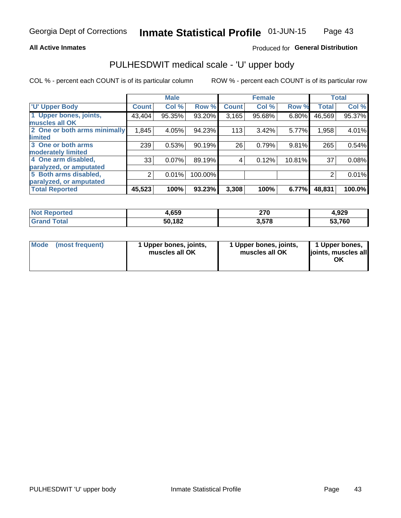### **All Active Inmates**

### Produced for General Distribution

## PULHESDWIT medical scale - 'U' upper body

COL % - percent each COUNT is of its particular column

|                              |              | <b>Male</b> |         |              | <b>Female</b> |        |              | <b>Total</b> |
|------------------------------|--------------|-------------|---------|--------------|---------------|--------|--------------|--------------|
| <b>U' Upper Body</b>         | <b>Count</b> | Col %       | Row %   | <b>Count</b> | Col %         | Row %  | <b>Total</b> | Col %        |
| 1 Upper bones, joints,       | 43,404       | 95.35%      | 93.20%  | 3,165        | 95.68%        | 6.80%  | 46,569       | 95.37%       |
| muscles all OK               |              |             |         |              |               |        |              |              |
| 2 One or both arms minimally | 1,845        | 4.05%       | 94.23%  | 113          | $3.42\%$      | 5.77%  | 1,958        | 4.01%        |
| limited                      |              |             |         |              |               |        |              |              |
| 3 One or both arms           | 239          | 0.53%       | 90.19%  | 26           | 0.79%         | 9.81%  | 265          | 0.54%        |
| <b>moderately limited</b>    |              |             |         |              |               |        |              |              |
| 4 One arm disabled,          | 33           | 0.07%       | 89.19%  | 4            | 0.12%         | 10.81% | 37           | 0.08%        |
| paralyzed, or amputated      |              |             |         |              |               |        |              |              |
| 5 Both arms disabled,        | 2            | 0.01%       | 100.00% |              |               |        | 2            | 0.01%        |
| paralyzed, or amputated      |              |             |         |              |               |        |              |              |
| <b>Total Reported</b>        | 45,523       | 100%        | 93.23%  | 3,308        | 100%          | 6.77%  | 48,831       | 100.0%       |

| <b>Not Reported</b>   | 1,659  | 270   | 4,929  |
|-----------------------|--------|-------|--------|
| <b>Total</b><br>Grand | 50,182 | 3,578 | 53,760 |

|  | Mode (most frequent) | 1 Upper bones, joints,<br>muscles all OK | 1 Upper bones, joints,<br>muscles all OK | 1 Upper bones,<br>joints, muscles all<br>ΟK |
|--|----------------------|------------------------------------------|------------------------------------------|---------------------------------------------|
|--|----------------------|------------------------------------------|------------------------------------------|---------------------------------------------|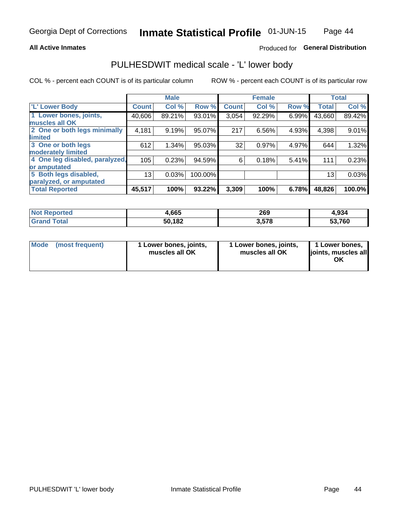### **All Active Inmates**

### Produced for General Distribution

## PULHESDWIT medical scale - 'L' lower body

COL % - percent each COUNT is of its particular column

|                                |              | <b>Male</b> |         |              | <b>Female</b> |       |              | <b>Total</b> |
|--------------------------------|--------------|-------------|---------|--------------|---------------|-------|--------------|--------------|
| 'L' Lower Body                 | <b>Count</b> | Col %       | Row %   | <b>Count</b> | Col %         | Row % | <b>Total</b> | Col %        |
| 1 Lower bones, joints,         | 40,606       | 89.21%      | 93.01%  | 3,054        | 92.29%        | 6.99% | 43,660       | 89.42%       |
| muscles all OK                 |              |             |         |              |               |       |              |              |
| 2 One or both legs minimally   | 4,181        | 9.19%       | 95.07%  | 217          | 6.56%         | 4.93% | 4,398        | 9.01%        |
| limited                        |              |             |         |              |               |       |              |              |
| 3 One or both legs             | 612          | 1.34%       | 95.03%  | 32           | 0.97%         | 4.97% | 644          | 1.32%        |
| moderately limited             |              |             |         |              |               |       |              |              |
| 4 One leg disabled, paralyzed, | 105          | 0.23%       | 94.59%  | 6            | 0.18%         | 5.41% | 111          | 0.23%        |
| or amputated                   |              |             |         |              |               |       |              |              |
| 5 Both legs disabled,          | 13           | 0.03%       | 100.00% |              |               |       | 13           | 0.03%        |
| paralyzed, or amputated        |              |             |         |              |               |       |              |              |
| <b>Total Reported</b>          | 45,517       | 100%        | 93.22%  | 3,309        | 100%          | 6.78% | 48,826       | 100.0%       |

| <b>Not Reported</b>   | 1,665  | 269   | 4,934  |
|-----------------------|--------|-------|--------|
| <b>Total</b><br>Grand | 50,182 | 3,578 | 53,760 |

| Mode | (most frequent) | 1 Lower bones, joints,<br>muscles all OK | I Lower bones, joints,<br>muscles all OK | 1 Lower bones,<br>joints, muscles all<br>ΟK |
|------|-----------------|------------------------------------------|------------------------------------------|---------------------------------------------|
|------|-----------------|------------------------------------------|------------------------------------------|---------------------------------------------|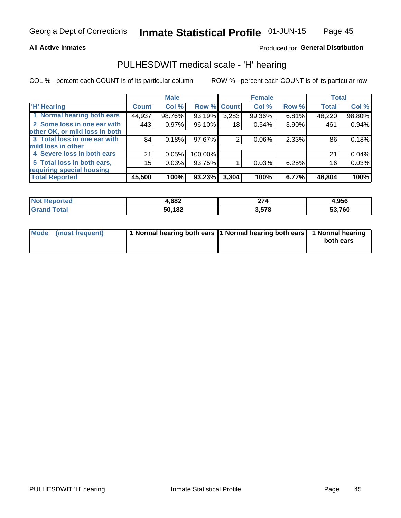### **All Active Inmates**

### Produced for General Distribution

### PULHESDWIT medical scale - 'H' hearing

COL % - percent each COUNT is of its particular column

|                                |              | <b>Male</b> |             |       | <b>Female</b> |       | <b>Total</b> |          |
|--------------------------------|--------------|-------------|-------------|-------|---------------|-------|--------------|----------|
| <b>'H' Hearing</b>             | <b>Count</b> | Col %       | Row % Count |       | Col %         | Row % | <b>Total</b> | Col %    |
| 1 Normal hearing both ears     | 44,937       | 98.76%      | 93.19%      | 3,283 | 99.36%        | 6.81% | 48,220       | 98.80%   |
| 2 Some loss in one ear with    | 443          | 0.97%       | 96.10%      | 18    | 0.54%         | 3.90% | 461          | 0.94%    |
| other OK, or mild loss in both |              |             |             |       |               |       |              |          |
| 3 Total loss in one ear with   | 84           | 0.18%       | 97.67%      | 2     | $0.06\%$      | 2.33% | 86           | 0.18%    |
| mild loss in other             |              |             |             |       |               |       |              |          |
| 4 Severe loss in both ears     | 21           | 0.05%       | 100.00%     |       |               |       | 21           | $0.04\%$ |
| 5 Total loss in both ears,     | 15           | 0.03%       | 93.75%      |       | 0.03%         | 6.25% | 16           | 0.03%    |
| requiring special housing      |              |             |             |       |               |       |              |          |
| <b>Total Reported</b>          | 45,500       | 100%        | 93.23%      | 3,304 | 100%          | 6.77% | 48,804       | 100%     |

| <b>Not Reno</b> | con    | $\sim$ $\sim$ $\sim$ | I.956  |
|-----------------|--------|----------------------|--------|
| ື∩rted          | ⊦,oo∠  | 71                   |        |
| Total           | 50,182 | 3,578                | 53,760 |

| Mode (most frequent) | 1 Normal hearing both ears 1 Normal hearing both ears 1 Normal hearing | both ears |
|----------------------|------------------------------------------------------------------------|-----------|
|                      |                                                                        |           |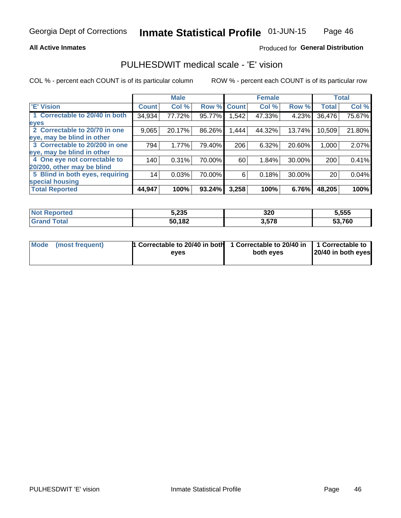### **All Active Inmates**

### Produced for General Distribution

## PULHESDWIT medical scale - 'E' vision

COL % - percent each COUNT is of its particular column

|                                 |              | <b>Male</b> |        |              | <b>Female</b> |        |              | <b>Total</b> |
|---------------------------------|--------------|-------------|--------|--------------|---------------|--------|--------------|--------------|
| 'E' Vision                      | <b>Count</b> | Col %       | Row %  | <b>Count</b> | Col %         | Row %  | <b>Total</b> | Col %        |
| 1 Correctable to 20/40 in both  | 34,934       | 77.72%      | 95.77% | .542         | 47.33%        | 4.23%  | 36,476       | 75.67%       |
| eyes                            |              |             |        |              |               |        |              |              |
| 2 Correctable to 20/70 in one   | 9,065        | 20.17%      | 86.26% | 1,444        | 44.32%        | 13.74% | 10,509       | 21.80%       |
| eye, may be blind in other      |              |             |        |              |               |        |              |              |
| 3 Correctable to 20/200 in one  | 794          | 1.77%       | 79.40% | 206          | 6.32%         | 20.60% | 1,000        | 2.07%        |
| eye, may be blind in other      |              |             |        |              |               |        |              |              |
| 4 One eye not correctable to    | 140          | 0.31%       | 70.00% | 60           | 1.84%         | 30.00% | 200          | 0.41%        |
| 20/200, other may be blind      |              |             |        |              |               |        |              |              |
| 5 Blind in both eyes, requiring | 14           | 0.03%       | 70.00% | 6            | 0.18%         | 30.00% | 20           | 0.04%        |
| special housing                 |              |             |        |              |               |        |              |              |
| <b>Total Reported</b>           | 44,947       | 100%        | 93.24% | 3,258        | 100%          | 6.76%  | 48,205       | 100%         |

| <b>Not Reported</b> | 5,235  | 320   | 5,555        |
|---------------------|--------|-------|--------------|
| <b>Total</b>        | 50,182 | 3,578 | 53,760<br>33 |

| Mode (most frequent) | 1 Correctable to 20/40 in both<br>eves | 1 Correctable to 20/40 in   1 Correctable to  <br>both eves | 20/40 in both eyes |
|----------------------|----------------------------------------|-------------------------------------------------------------|--------------------|
|                      |                                        |                                                             |                    |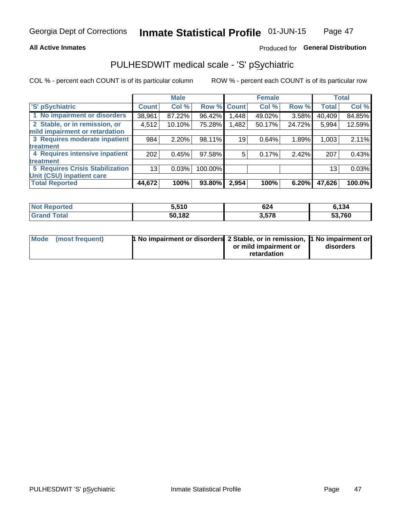### **All Active Inmates**

### Produced for General Distribution

## PULHESDWIT medical scale - 'S' pSychiatric

COL % - percent each COUNT is of its particular column

|                                        |              | <b>Male</b> |         |       | <b>Female</b> |        |              | <b>Total</b> |
|----------------------------------------|--------------|-------------|---------|-------|---------------|--------|--------------|--------------|
| 'S' pSychiatric                        | <b>Count</b> | Col %       | Row %   | Count | Col %         | Row %  | <b>Total</b> | Col %        |
| 1 No impairment or disorders           | 38,961       | 87.22%      | 96.42%  | .448  | 49.02%        | 3.58%  | 40,409       | 84.85%       |
| 2 Stable, or in remission, or          | 4,512        | 10.10%      | 75.28%  | 1,482 | 50.17%        | 24.72% | 5,994        | 12.59%       |
| mild impairment or retardation         |              |             |         |       |               |        |              |              |
| 3 Requires moderate inpatient          | 984          | 2.20%       | 98.11%  | 19    | 0.64%         | 1.89%  | 1,003        | 2.11%        |
| treatment                              |              |             |         |       |               |        |              |              |
| 4 Requires intensive inpatient         | 202          | 0.45%       | 97.58%  | 5     | 0.17%         | 2.42%  | 207          | 0.43%        |
| treatment                              |              |             |         |       |               |        |              |              |
| <b>5 Requires Crisis Stabilization</b> | 13           | 0.03%       | 100.00% |       |               |        | 13           | 0.03%        |
| Unit (CSU) inpatient care              |              |             |         |       |               |        |              |              |
| <b>Total Reported</b>                  | 44,672       | 100%        | 93.80%  | 2,954 | 100%          | 6.20%  | 47,626       | 100.0%       |

| <b>Not Reported</b> | 5,510  | 624   | 6,134         |
|---------------------|--------|-------|---------------|
| Total<br>' Grand    | 50,182 | 3,578 | 53,760<br>აა. |

| Mode (most frequent) | <b>1 No impairment or disorders 2 Stable, or in remission, 1 No impairment or</b> |                       |           |
|----------------------|-----------------------------------------------------------------------------------|-----------------------|-----------|
|                      |                                                                                   | or mild impairment or | disorders |
|                      |                                                                                   | retardation           |           |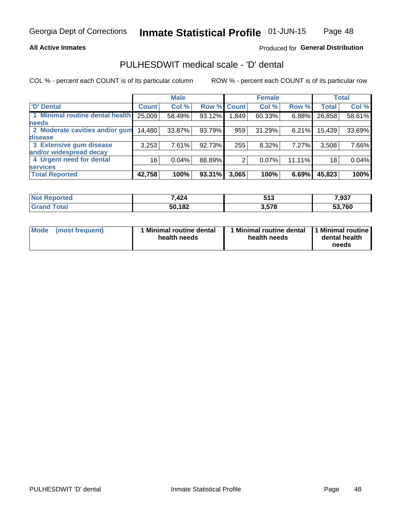### **All Active Inmates**

### Produced for General Distribution

## PULHESDWIT medical scale - 'D' dental

COL % - percent each COUNT is of its particular column

|                                 |              | <b>Male</b> |        |              | <b>Female</b> |        |              | <b>Total</b> |
|---------------------------------|--------------|-------------|--------|--------------|---------------|--------|--------------|--------------|
| <b>D'</b> Dental                | <b>Count</b> | Col %       | Row %  | <b>Count</b> | Col %         | Row %  | <b>Total</b> | Col %        |
| 1 Minimal routine dental health | 25,009       | 58.49%      | 93.12% | .849         | 60.33%        | 6.88%  | 26,858       | 58.61%       |
| <b>needs</b>                    |              |             |        |              |               |        |              |              |
| 2 Moderate cavities and/or gum  | 14,480       | 33.87%      | 93.79% | 959          | 31.29%        | 6.21%  | 15,439       | 33.69%       |
| disease                         |              |             |        |              |               |        |              |              |
| 3 Extensive gum disease         | 3,253        | 7.61%       | 92.73% | 255          | 8.32%         | 7.27%  | 3,508        | 7.66%        |
| and/or widespread decay         |              |             |        |              |               |        |              |              |
| 4 Urgent need for dental        | 16           | 0.04%       | 88.89% |              | 0.07%         | 11.11% | 18           | 0.04%        |
| <b>services</b>                 |              |             |        |              |               |        |              |              |
| <b>Total Reported</b>           | 42,758       | 100%        | 93.31% | 3,065        | 100%          | 6.69%  | 45,823       | 100%         |

| nacio      | 7,424  | E49             | 7007   |
|------------|--------|-----------------|--------|
| N          |        | JIJ             | ,931   |
| <b>ota</b> | 50,182 | 2E70<br>Კ.Ე / Ծ | 53,760 |

| Mode | (most frequent) | <b>Minimal routine dental</b><br>health needs | 1 Minimal routine dental 1 Minimal routine<br>health needs | dental health<br>needs |
|------|-----------------|-----------------------------------------------|------------------------------------------------------------|------------------------|
|------|-----------------|-----------------------------------------------|------------------------------------------------------------|------------------------|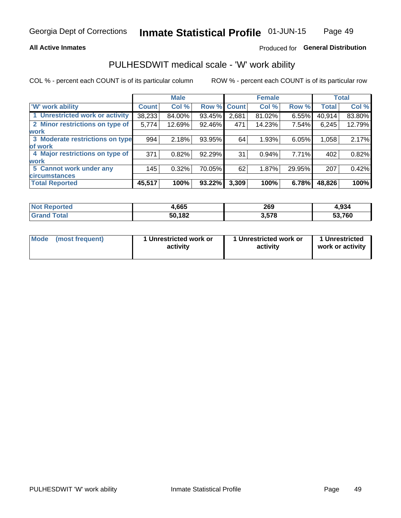### **All Active Inmates**

### Produced for General Distribution

## PULHESDWIT medical scale - 'W' work ability

COL % - percent each COUNT is of its particular column

|                                 |              | <b>Male</b> |        |             | <b>Female</b> |        |              | <b>Total</b> |
|---------------------------------|--------------|-------------|--------|-------------|---------------|--------|--------------|--------------|
| <b>W' work ability</b>          | <b>Count</b> | Col %       |        | Row % Count | Col %         | Row %  | <b>Total</b> | Col %        |
| 1 Unrestricted work or activity | 38,233       | 84.00%      | 93.45% | 2,681       | 81.02%        | 6.55%  | 40,914       | 83.80%       |
| 2 Minor restrictions on type of | 5,774        | 12.69%      | 92.46% | 471         | 14.23%        | 7.54%  | 6,245        | 12.79%       |
| <b>work</b>                     |              |             |        |             |               |        |              |              |
| 3 Moderate restrictions on type | 994          | 2.18%       | 93.95% | 64          | 1.93%         | 6.05%  | 1,058        | 2.17%        |
| lof work                        |              |             |        |             |               |        |              |              |
| 4 Major restrictions on type of | 371          | 0.82%       | 92.29% | 31          | 0.94%         | 7.71%  | 402          | 0.82%        |
| <b>work</b>                     |              |             |        |             |               |        |              |              |
| 5 Cannot work under any         | 145          | 0.32%       | 70.05% | 62          | 1.87%         | 29.95% | 207          | 0.42%        |
| <b>circumstances</b>            |              |             |        |             |               |        |              |              |
| <b>Total Reported</b>           | 45,517       | 100%        | 93.22% | 3,309       | 100%          | 6.78%  | 48,826       | 100%         |

| <b>Not Reported</b>   | 4,665  | 269   | 4,934  |
|-----------------------|--------|-------|--------|
| Total<br><b>Grand</b> | 50,182 | 3,578 | 53,760 |

| Mode            | 1 Unrestricted work or | 1 Unrestricted work or | 1 Unrestricted   |
|-----------------|------------------------|------------------------|------------------|
| (most frequent) | activity               | activity               | work or activity |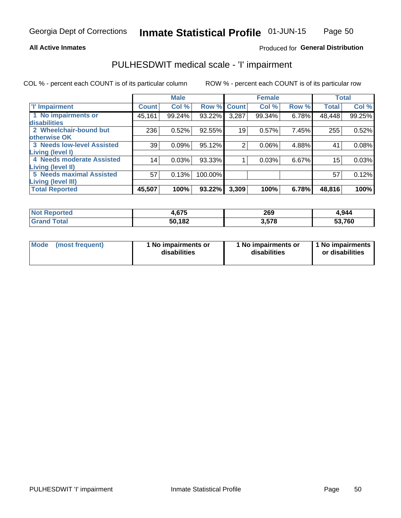#### **All Active Inmates**

### Produced for General Distribution

## PULHESDWIT medical scale - 'I' impairment

COL % - percent each COUNT is of its particular column

|                                   |              | <b>Male</b> |         |                | <b>Female</b> |       |              | <b>Total</b> |
|-----------------------------------|--------------|-------------|---------|----------------|---------------|-------|--------------|--------------|
| <b>T' Impairment</b>              | <b>Count</b> | Col %       |         | Row % Count    | Col %         | Row % | <b>Total</b> | Col %        |
| 1 No impairments or               | 45,161       | 99.24%      | 93.22%  | 3,287          | 99.34%        | 6.78% | 48,448       | 99.25%       |
| disabilities                      |              |             |         |                |               |       |              |              |
| 2 Wheelchair-bound but            | 236          | 0.52%       | 92.55%  | 19             | 0.57%         | 7.45% | 255          | 0.52%        |
| otherwise OK                      |              |             |         |                |               |       |              |              |
| <b>3 Needs low-level Assisted</b> | 39           | 0.09%       | 95.12%  | $\overline{2}$ | 0.06%         | 4.88% | 41           | 0.08%        |
| Living (level I)                  |              |             |         |                |               |       |              |              |
| 4 Needs moderate Assisted         | 14           | 0.03%       | 93.33%  |                | 0.03%         | 6.67% | 15           | 0.03%        |
| Living (level II)                 |              |             |         |                |               |       |              |              |
| <b>5 Needs maximal Assisted</b>   | 57           | 0.13%       | 100.00% |                |               |       | 57           | 0.12%        |
| Living (level III)                |              |             |         |                |               |       |              |              |
| <b>Total Reported</b>             | 45,507       | 100%        | 93.22%  | 3,309          | 100%          | 6.78% | 48,816       | 100%         |

| orted       | 67F<br>ו ש.י | 269  | 4,944  |
|-------------|--------------|------|--------|
| <b>otal</b> | 50,182       | .578 | 53,760 |

| Mode | (most frequent) | 1 No impairments or<br>disabilities | 1 No impairments or<br>disabilities | 1 No impairments<br>or disabilities |
|------|-----------------|-------------------------------------|-------------------------------------|-------------------------------------|
|------|-----------------|-------------------------------------|-------------------------------------|-------------------------------------|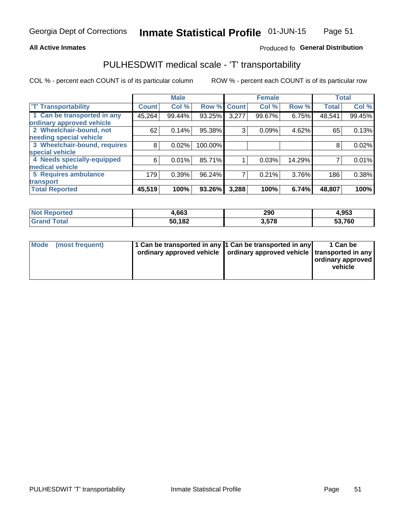### **All Active Inmates**

### Produced fo General Distribution

## PULHESDWIT medical scale - 'T' transportability

COL % - percent each COUNT is of its particular column

|                              |              | <b>Male</b> |         |              | <b>Female</b> |        |              | <b>Total</b> |
|------------------------------|--------------|-------------|---------|--------------|---------------|--------|--------------|--------------|
| <b>T' Transportability</b>   | <b>Count</b> | Col %       | Row %   | <b>Count</b> | Col %         | Row %  | <b>Total</b> | Col %        |
| 1 Can be transported in any  | 45,264       | 99.44%      | 93.25%  | 3,277        | 99.67%        | 6.75%  | 48,541       | 99.45%       |
| ordinary approved vehicle    |              |             |         |              |               |        |              |              |
| 2 Wheelchair-bound, not      | 62           | 0.14%       | 95.38%  | 3            | 0.09%         | 4.62%  | 65           | 0.13%        |
| needing special vehicle      |              |             |         |              |               |        |              |              |
| 3 Wheelchair-bound, requires | 8            | 0.02%       | 100.00% |              |               |        | 8            | 0.02%        |
| special vehicle              |              |             |         |              |               |        |              |              |
| 4 Needs specially-equipped   | 6            | 0.01%       | 85.71%  |              | 0.03%         | 14.29% |              | 0.01%        |
| medical vehicle              |              |             |         |              |               |        |              |              |
| <b>5 Requires ambulance</b>  | 179          | 0.39%       | 96.24%  | 7            | 0.21%         | 3.76%  | 186          | 0.38%        |
| transport                    |              |             |         |              |               |        |              |              |
| <b>Total Reported</b>        | 45,519       | 100%        | 93.26%  | 3,288        | 100%          | 6.74%  | 48,807       | 100%         |

| <b>Not</b><br>Reported | 1,663  | 290   | 4,953  |
|------------------------|--------|-------|--------|
| Total                  | 50,182 | 3.578 | 53,760 |

|  | Mode (most frequent) | 1 Can be transported in any 1 Can be transported in any<br>ordinary approved vehicle   ordinary approved vehicle   transported in any |  | 1 Can be<br>  ordinary approved  <br>vehicle |
|--|----------------------|---------------------------------------------------------------------------------------------------------------------------------------|--|----------------------------------------------|
|--|----------------------|---------------------------------------------------------------------------------------------------------------------------------------|--|----------------------------------------------|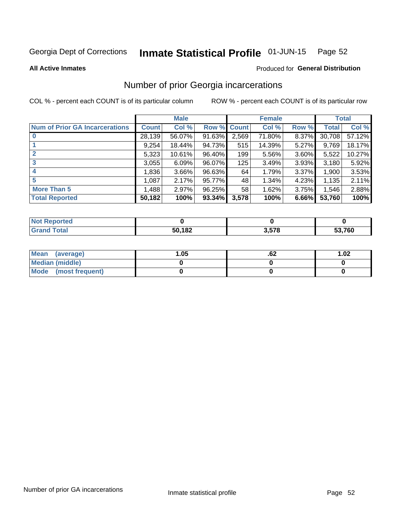#### Inmate Statistical Profile 01-JUN-15 Page 52

**All Active Inmates** 

### Produced for General Distribution

## Number of prior Georgia incarcerations

COL % - percent each COUNT is of its particular column

|                                       |              | <b>Male</b> |                    |       | <b>Female</b> |       |        | <b>Total</b> |
|---------------------------------------|--------------|-------------|--------------------|-------|---------------|-------|--------|--------------|
| <b>Num of Prior GA Incarcerations</b> | <b>Count</b> | Col %       | <b>Row % Count</b> |       | Col %         | Row % | Total  | Col %        |
| $\bf{0}$                              | 28,139       | 56.07%      | 91.63%             | 2,569 | 71.80%        | 8.37% | 30,708 | 57.12%       |
|                                       | 9,254        | 18.44%      | 94.73%             | 515   | 14.39%        | 5.27% | 9,769  | 18.17%       |
| $\mathbf{2}$                          | 5,323        | 10.61%      | 96.40%             | 199   | 5.56%         | 3.60% | 5,522  | 10.27%       |
| 3                                     | 3,055        | 6.09%       | 96.07%             | 125   | 3.49%         | 3.93% | 3,180  | 5.92%        |
| 4                                     | 1,836        | 3.66%       | 96.63%             | 64    | 1.79%         | 3.37% | 1,900  | 3.53%        |
| 5                                     | 1,087        | 2.17%       | 95.77%             | 48    | 1.34%         | 4.23% | 1,135  | 2.11%        |
| <b>More Than 5</b>                    | 1,488        | 2.97%       | 96.25%             | 58    | 1.62%         | 3.75% | 1,546  | 2.88%        |
| <b>Total Reported</b>                 | 50,182       | 100%        | 93.34%             | 3,578 | 100%          | 6.66% | 53,760 | 100%         |

| orted<br>NO. |        |       |        |
|--------------|--------|-------|--------|
| <b>Total</b> | 50,182 | २ ५७८ | 53,760 |

| Mean (average)       | 1.05 | ٥۷. | 1.02 |
|----------------------|------|-----|------|
| Median (middle)      |      |     |      |
| Mode (most frequent) |      |     |      |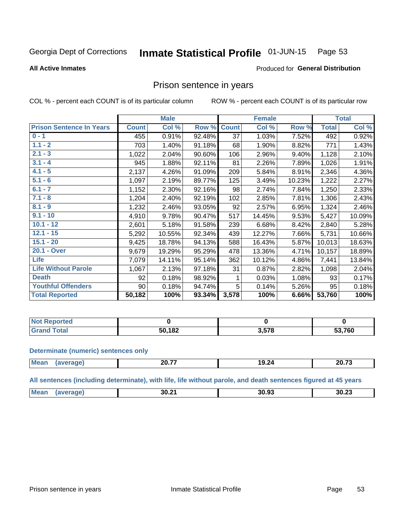#### Inmate Statistical Profile 01-JUN-15 Page 53

#### **All Active Inmates**

### Produced for General Distribution

### Prison sentence in years

COL % - percent each COUNT is of its particular column

ROW % - percent each COUNT is of its particular row

|                                 |              | <b>Male</b> |        |                 | <b>Female</b> |        |              | <b>Total</b> |
|---------------------------------|--------------|-------------|--------|-----------------|---------------|--------|--------------|--------------|
| <b>Prison Sentence In Years</b> | <b>Count</b> | Col %       | Row %  | <b>Count</b>    | Col %         | Row %  | <b>Total</b> | Col %        |
| $0 - 1$                         | 455          | 0.91%       | 92.48% | $\overline{37}$ | 1.03%         | 7.52%  | 492          | 0.92%        |
| $1.1 - 2$                       | 703          | 1.40%       | 91.18% | 68              | 1.90%         | 8.82%  | 771          | 1.43%        |
| $2.1 - 3$                       | 1,022        | 2.04%       | 90.60% | 106             | 2.96%         | 9.40%  | 1,128        | 2.10%        |
| $3.1 - 4$                       | 945          | 1.88%       | 92.11% | 81              | 2.26%         | 7.89%  | 1,026        | 1.91%        |
| $4.1 - 5$                       | 2,137        | 4.26%       | 91.09% | 209             | 5.84%         | 8.91%  | 2,346        | 4.36%        |
| $5.1 - 6$                       | 1,097        | 2.19%       | 89.77% | 125             | 3.49%         | 10.23% | 1,222        | 2.27%        |
| $6.1 - 7$                       | 1,152        | 2.30%       | 92.16% | 98              | 2.74%         | 7.84%  | 1,250        | 2.33%        |
| $7.1 - 8$                       | 1,204        | 2.40%       | 92.19% | 102             | 2.85%         | 7.81%  | 1,306        | 2.43%        |
| $8.1 - 9$                       | 1,232        | 2.46%       | 93.05% | 92              | 2.57%         | 6.95%  | 1,324        | 2.46%        |
| $9.1 - 10$                      | 4,910        | 9.78%       | 90.47% | 517             | 14.45%        | 9.53%  | 5,427        | 10.09%       |
| $10.1 - 12$                     | 2,601        | 5.18%       | 91.58% | 239             | 6.68%         | 8.42%  | 2,840        | 5.28%        |
| $12.1 - 15$                     | 5,292        | 10.55%      | 92.34% | 439             | 12.27%        | 7.66%  | 5,731        | 10.66%       |
| $15.1 - 20$                     | 9,425        | 18.78%      | 94.13% | 588             | 16.43%        | 5.87%  | 10,013       | 18.63%       |
| 20.1 - Over                     | 9,679        | 19.29%      | 95.29% | 478             | 13.36%        | 4.71%  | 10,157       | 18.89%       |
| <b>Life</b>                     | 7,079        | 14.11%      | 95.14% | 362             | 10.12%        | 4.86%  | 7,441        | 13.84%       |
| <b>Life Without Parole</b>      | 1,067        | 2.13%       | 97.18% | 31              | 0.87%         | 2.82%  | 1,098        | 2.04%        |
| <b>Death</b>                    | 92           | 0.18%       | 98.92% | 1               | 0.03%         | 1.08%  | 93           | 0.17%        |
| <b>Youthful Offenders</b>       | 90           | 0.18%       | 94.74% | 5               | 0.14%         | 5.26%  | 95           | 0.18%        |
| <b>Total Reported</b>           | 50,182       | 100%        | 93.34% | 3,578           | 100%          | 6.66%  | 53,760       | 100%         |

| <b>NOT</b><br>portea |        |       |        |
|----------------------|--------|-------|--------|
|                      | 50,182 | 3.578 | 53,760 |

#### **Determinate (numeric) sentences only**

| <b>Mean</b><br><b>20.72</b><br>ss 77<br>19.24<br><i>L</i> V.II<br>20.I<br>$\cdots$<br>______ |  |  |
|----------------------------------------------------------------------------------------------|--|--|
|                                                                                              |  |  |

All sentences (including determinate), with life, life without parole, and death sentences figured at 45 years

| <b>Me</b><br>30.93<br>30.2 <sup>4</sup><br>nn nn<br>3U.Z3<br>___ |  |  |  |
|------------------------------------------------------------------|--|--|--|
|                                                                  |  |  |  |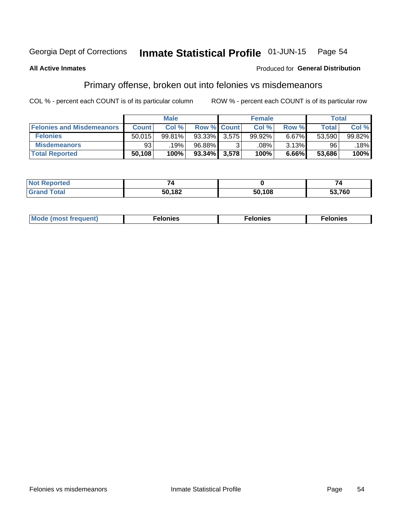#### Inmate Statistical Profile 01-JUN-15 Page 54

### **All Active Inmates**

### **Produced for General Distribution**

## Primary offense, broken out into felonies vs misdemeanors

COL % - percent each COUNT is of its particular column

|                                  |              | <b>Male</b> |                    |       | <b>Female</b> |       | Total  |        |
|----------------------------------|--------------|-------------|--------------------|-------|---------------|-------|--------|--------|
| <b>Felonies and Misdemeanors</b> | <b>Count</b> | Col %       | <b>Row % Count</b> |       | Col %         | Row % | Total  | Col %  |
| <b>Felonies</b>                  | 50,015       | 99.81%      | 93.33%             | 3.575 | 99.92%        | 6.67% | 53.590 | 99.82% |
| <b>Misdemeanors</b>              | 93           | 19%         | $96.88\%$          |       | .08%          | 3.13% | 96     | 18%    |
| <b>Total Reported</b>            | 50,108       | 100%        | $93.34\%$          | 3,578 | 100%          | 6.66% | 53.686 | 100%   |

| <b>Not Reported</b>   | _      |        |        |
|-----------------------|--------|--------|--------|
| <b>Grand</b><br>Гоtal | 50,182 | 50,108 | 53,760 |

| Mo | ____ | 11 C.S<br>. | onies<br>. |
|----|------|-------------|------------|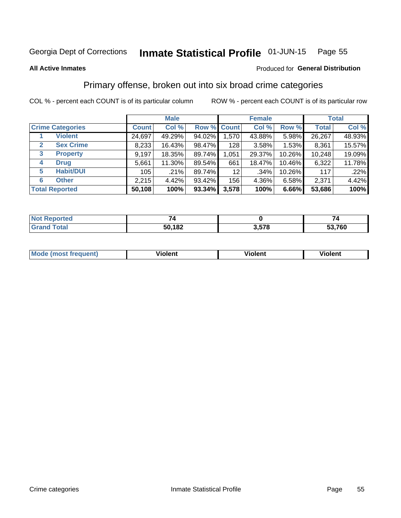#### Inmate Statistical Profile 01-JUN-15 Page 55

#### **All Active Inmates**

### Produced for General Distribution

## Primary offense, broken out into six broad crime categories

COL % - percent each COUNT is of its particular column

|                                 | <b>Male</b>  |        |           | <b>Female</b>   |        |        | <b>Total</b> |        |
|---------------------------------|--------------|--------|-----------|-----------------|--------|--------|--------------|--------|
| <b>Crime Categories</b>         | <b>Count</b> | Col %  |           | Row % Count     | Col %  | Row %  | <b>Total</b> | Col %  |
| <b>Violent</b>                  | 24,697       | 49.29% | 94.02%    | 1,570           | 43.88% | 5.98%  | 26,267       | 48.93% |
| <b>Sex Crime</b><br>2           | 8,233        | 16.43% | 98.47%    | 128             | 3.58%  | 1.53%  | 8,361        | 15.57% |
| $\mathbf{3}$<br><b>Property</b> | 9,197        | 18.35% | 89.74%    | 1,051           | 29.37% | 10.26% | 10,248       | 19.09% |
| <b>Drug</b><br>4                | 5,661        | 11.30% | 89.54%    | 661             | 18.47% | 10.46% | 6,322        | 11.78% |
| <b>Habit/DUI</b><br>5           | 105          | .21%   | 89.74%    | 12 <sub>2</sub> | .34%   | 10.26% | 117          | .22%   |
| <b>Other</b><br>6               | 2,215        | 4.42%  | 93.42%    | 156             | 4.36%  | 6.58%  | 2,371        | 4.42%  |
| <b>Total Reported</b>           | 50,108       | 100%   | $93.34\%$ | 3,578           | 100%   | 6.66%  | 53,686       | 100%   |

| rtea<br>NO |        |                   |      |
|------------|--------|-------------------|------|
| Foto       | 50,182 | <b>E70</b><br>J.J | ,760 |

| Mc | .<br>$\cdots$ | VIOIEM |
|----|---------------|--------|
|    |               |        |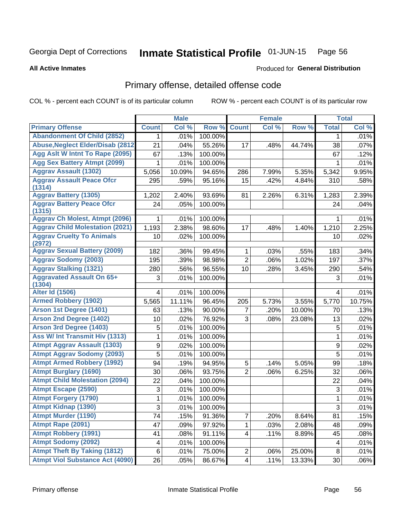#### Inmate Statistical Profile 01-JUN-15 Page 56

**All Active Inmates** 

### **Produced for General Distribution**

## Primary offense, detailed offense code

COL % - percent each COUNT is of its particular column

|                                            |              | <b>Male</b> |         |                         | <b>Female</b> |        |                | <b>Total</b> |
|--------------------------------------------|--------------|-------------|---------|-------------------------|---------------|--------|----------------|--------------|
| <b>Primary Offense</b>                     | <b>Count</b> | Col %       | Row %   | <b>Count</b>            | Col %         | Row %  | <b>Total</b>   | Col %        |
| <b>Abandonment Of Child (2852)</b>         | 1.           | .01%        | 100.00% |                         |               |        | 1              | .01%         |
| <b>Abuse, Neglect Elder/Disab (2812)</b>   | 21           | .04%        | 55.26%  | 17                      | .48%          | 44.74% | 38             | .07%         |
| Agg Aslt W Intnt To Rape (2095)            | 67           | .13%        | 100.00% |                         |               |        | 67             | .12%         |
| <b>Agg Sex Battery Atmpt (2099)</b>        | 1            | .01%        | 100.00% |                         |               |        | 1              | .01%         |
| <b>Aggrav Assault (1302)</b>               | 5,056        | 10.09%      | 94.65%  | 286                     | 7.99%         | 5.35%  | 5,342          | 9.95%        |
| <b>Aggrav Assault Peace Ofcr</b><br>(1314) | 295          | .59%        | 95.16%  | 15                      | .42%          | 4.84%  | 310            | .58%         |
| <b>Aggrav Battery (1305)</b>               | 1,202        | 2.40%       | 93.69%  | 81                      | 2.26%         | 6.31%  | 1,283          | 2.39%        |
| <b>Aggrav Battery Peace Ofcr</b><br>(1315) | 24           | .05%        | 100.00% |                         |               |        | 24             | .04%         |
| <b>Aggrav Ch Molest, Atmpt (2096)</b>      |              | .01%        | 100.00% |                         |               |        | 1              | .01%         |
| <b>Aggrav Child Molestation (2021)</b>     | 1,193        | 2.38%       | 98.60%  | 17                      | .48%          | 1.40%  | 1,210          | 2.25%        |
| <b>Aggrav Cruelty To Animals</b><br>(2972) | 10           | .02%        | 100.00% |                         |               |        | 10             | .02%         |
| <b>Aggrav Sexual Battery (2009)</b>        | 182          | .36%        | 99.45%  | 1                       | .03%          | .55%   | 183            | .34%         |
| <b>Aggrav Sodomy (2003)</b>                | 195          | .39%        | 98.98%  | $\overline{2}$          | .06%          | 1.02%  | 197            | .37%         |
| <b>Aggrav Stalking (1321)</b>              | 280          | .56%        | 96.55%  | 10                      | .28%          | 3.45%  | 290            | .54%         |
| <b>Aggravated Assault On 65+</b><br>(1304) | 3            | .01%        | 100.00% |                         |               |        | 3              | .01%         |
| <b>Alter Id (1506)</b>                     | 4            | .01%        | 100.00% |                         |               |        | 4              | .01%         |
| <b>Armed Robbery (1902)</b>                | 5,565        | 11.11%      | 96.45%  | 205                     | 5.73%         | 3.55%  | 5,770          | 10.75%       |
| Arson 1st Degree (1401)                    | 63           | .13%        | 90.00%  | 7                       | .20%          | 10.00% | 70             | .13%         |
| <b>Arson 2nd Degree (1402)</b>             | 10           | .02%        | 76.92%  | 3                       | .08%          | 23.08% | 13             | .02%         |
| <b>Arson 3rd Degree (1403)</b>             | 5            | .01%        | 100.00% |                         |               |        | 5              | .01%         |
| <b>Ass W/ Int Transmit Hiv (1313)</b>      | 1            | .01%        | 100.00% |                         |               |        | $\mathbf{1}$   | .01%         |
| <b>Atmpt Aggrav Assault (1303)</b>         | $\mathsf g$  | .02%        | 100.00% |                         |               |        | 9              | .02%         |
| <b>Atmpt Aggrav Sodomy (2093)</b>          | 5            | .01%        | 100.00% |                         |               |        | $\overline{5}$ | .01%         |
| <b>Atmpt Armed Robbery (1992)</b>          | 94           | .19%        | 94.95%  | 5                       | .14%          | 5.05%  | 99             | .18%         |
| <b>Atmpt Burglary (1690)</b>               | 30           | .06%        | 93.75%  | $\overline{2}$          | .06%          | 6.25%  | 32             | .06%         |
| <b>Atmpt Child Molestation (2094)</b>      | 22           | .04%        | 100.00% |                         |               |        | 22             | .04%         |
| <b>Atmpt Escape (2590)</b>                 | 3            | .01%        | 100.00% |                         |               |        | 3              | .01%         |
| <b>Atmpt Forgery (1790)</b>                | 1            | .01%        | 100.00% |                         |               |        | 1              | .01%         |
| <b>Atmpt Kidnap (1390)</b>                 | 3            | .01%        | 100.00% |                         |               |        | $\overline{3}$ | .01%         |
| <b>Atmpt Murder (1190)</b>                 | 74           | .15%        | 91.36%  | $\overline{7}$          | .20%          | 8.64%  | 81             | .15%         |
| Atmpt Rape (2091)                          | 47           | .09%        | 97.92%  | 1                       | .03%          | 2.08%  | 48             | .09%         |
| <b>Atmpt Robbery (1991)</b>                | 41           | .08%        | 91.11%  | $\overline{\mathbf{4}}$ | .11%          | 8.89%  | 45             | .08%         |
| <b>Atmpt Sodomy (2092)</b>                 | 4            | .01%        | 100.00% |                         |               |        | 4              | .01%         |
| <b>Atmpt Theft By Taking (1812)</b>        | $\,6\,$      | .01%        | 75.00%  | $\overline{c}$          | .06%          | 25.00% | 8              | .01%         |
| <b>Atmpt Viol Substance Act (4090)</b>     | 26           | .05%        | 86.67%  | $\overline{\mathbf{4}}$ | .11%          | 13.33% | 30             | .06%         |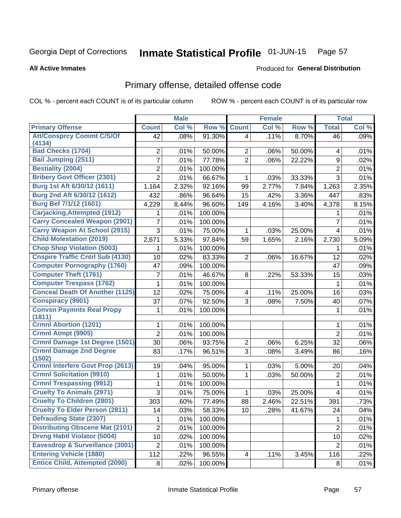#### Inmate Statistical Profile 01-JUN-15 Page 57

**All Active Inmates** 

### **Produced for General Distribution**

## Primary offense, detailed offense code

COL % - percent each COUNT is of its particular column

|                                            |                | <b>Male</b> |         |                 | <b>Female</b> |        |                | <b>Total</b> |
|--------------------------------------------|----------------|-------------|---------|-----------------|---------------|--------|----------------|--------------|
| <b>Primary Offense</b>                     | <b>Count</b>   | Col %       | Row %   | <b>Count</b>    | Col %         | Row %  | <b>Total</b>   | Col %        |
| <b>Att/Consprcy Commt C/S/Of</b>           | 42             | .08%        | 91.30%  | $\vert 4 \vert$ | .11%          | 8.70%  | 46             | .09%         |
| (4134)                                     |                |             |         |                 |               |        |                |              |
| <b>Bad Checks (1704)</b>                   | 2              | .01%        | 50.00%  | $\overline{2}$  | .06%          | 50.00% | 4              | .01%         |
| <b>Bail Jumping (2511)</b>                 | $\overline{7}$ | .01%        | 77.78%  | $\overline{2}$  | .06%          | 22.22% | 9              | .02%         |
| <b>Bestiality (2004)</b>                   | 2              | .01%        | 100.00% |                 |               |        | $\overline{2}$ | .01%         |
| <b>Bribery Govt Officer (2301)</b>         | $\overline{2}$ | .01%        | 66.67%  | 1               | .03%          | 33.33% | $\overline{3}$ | .01%         |
| Burg 1st Aft 6/30/12 (1611)                | 1,164          | 2.32%       | 92.16%  | 99              | 2.77%         | 7.84%  | 1,263          | 2.35%        |
| Burg 2nd Aft 6/30/12 (1612)                | 432            | .86%        | 96.64%  | 15              | .42%          | 3.36%  | 447            | .83%         |
| Burg Bef 7/1/12 (1601)                     | 4,229          | 8.44%       | 96.60%  | 149             | 4.16%         | 3.40%  | 4,378          | 8.15%        |
| <b>Carjacking, Attempted (1912)</b>        | 1              | .01%        | 100.00% |                 |               |        | 1              | .01%         |
| <b>Carry Concealed Weapon (2901)</b>       | 7              | .01%        | 100.00% |                 |               |        | 7              | .01%         |
| <b>Carry Weapon At School (2915)</b>       | 3              | .01%        | 75.00%  | 1               | .03%          | 25.00% | 4              | .01%         |
| <b>Child Molestation (2019)</b>            | 2,671          | 5.33%       | 97.84%  | 59              | 1.65%         | 2.16%  | 2,730          | 5.09%        |
| <b>Chop Shop Violation (5003)</b>          | 1              | .01%        | 100.00% |                 |               |        | 1              | .01%         |
| <b>Cnspire Traffic Cntrl Sub (4130)</b>    | 10             | .02%        | 83.33%  | $\overline{2}$  | .06%          | 16.67% | 12             | .02%         |
| <b>Computer Pornography (1760)</b>         | 47             | .09%        | 100.00% |                 |               |        | 47             | .09%         |
| <b>Computer Theft (1761)</b>               | 7              | .01%        | 46.67%  | 8               | .22%          | 53.33% | 15             | .03%         |
| <b>Computer Trespass (1762)</b>            | 1              | .01%        | 100.00% |                 |               |        | 1              | .01%         |
| <b>Conceal Death Of Another (1125)</b>     | 12             | .02%        | 75.00%  | 4               | .11%          | 25.00% | 16             | .03%         |
| <b>Conspiracy (9901)</b>                   | 37             | .07%        | 92.50%  | 3               | .08%          | 7.50%  | 40             | .07%         |
| <b>Convsn Paymnts Real Propy</b><br>(1811) | 1              | .01%        | 100.00% |                 |               |        | 1              | .01%         |
| <b>Crmnl Abortion (1201)</b>               | 1              | .01%        | 100.00% |                 |               |        | 1              | .01%         |
| Crmnl Atmpt (9905)                         | $\overline{2}$ | .01%        | 100.00% |                 |               |        | $\overline{2}$ | .01%         |
| <b>Crmnl Damage 1st Degree (1501)</b>      | 30             | .06%        | 93.75%  | $\overline{2}$  | .06%          | 6.25%  | 32             | .06%         |
| <b>Crmnl Damage 2nd Degree</b><br>(1502)   | 83             | .17%        | 96.51%  | 3               | .08%          | 3.49%  | 86             | .16%         |
| <b>Crmnl Interfere Govt Prop (2613)</b>    | 19             | .04%        | 95.00%  | 1               | .03%          | 5.00%  | 20             | .04%         |
| <b>Crmnl Solicitation (9910)</b>           | 1              | .01%        | 50.00%  | $\mathbf{1}$    | .03%          | 50.00% | $\overline{2}$ | .01%         |
| <b>Crmnl Trespassing (9912)</b>            | 1              | .01%        | 100.00% |                 |               |        | 1              | .01%         |
| <b>Cruelty To Animals (2971)</b>           | 3              | .01%        | 75.00%  | 1               | .03%          | 25.00% | 4              | .01%         |
| <b>Cruelty To Children (2801)</b>          | 303            | .60%        | 77.49%  | 88              | 2.46%         | 22.51% | 391            | .73%         |
| <b>Cruelty To Elder Person (2811)</b>      | 14             | .03%        | 58.33%  | 10 <sup>1</sup> | .28%          | 41.67% | 24             | .04%         |
| <b>Defrauding State (2307)</b>             | 1              | .01%        | 100.00% |                 |               |        | 1              | .01%         |
| <b>Distributing Obscene Mat (2101)</b>     | $\overline{2}$ | .01%        | 100.00% |                 |               |        | $\overline{2}$ | .01%         |
| <b>Drvng Habtl Violator (5004)</b>         | 10             | .02%        | 100.00% |                 |               |        | 10             | .02%         |
| Eavesdrop & Surveillance (3001)            | $\overline{2}$ | .01%        | 100.00% |                 |               |        | $\overline{2}$ | .01%         |
| <b>Entering Vehicle (1880)</b>             | 112            | .22%        | 96.55%  | 4               | .11%          | 3.45%  | 116            | .22%         |
| <b>Entice Child, Attempted (2090)</b>      | 8              | .02%        | 100.00% |                 |               |        | 8              | .01%         |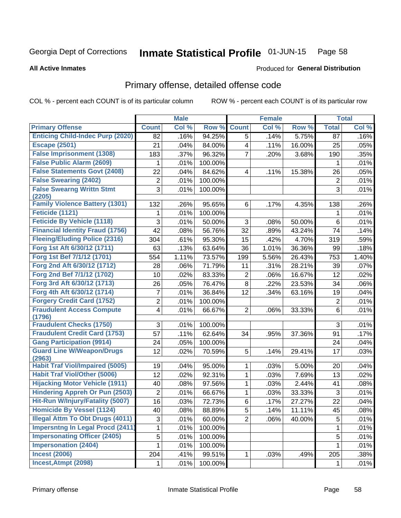#### Inmate Statistical Profile 01-JUN-15 Page 58

#### **All Active Inmates**

### **Produced for General Distribution**

## Primary offense, detailed offense code

COL % - percent each COUNT is of its particular column

|                                            |                         | <b>Male</b> |         |                | <b>Female</b> |        |                | <b>Total</b> |
|--------------------------------------------|-------------------------|-------------|---------|----------------|---------------|--------|----------------|--------------|
| <b>Primary Offense</b>                     | <b>Count</b>            | Col %       | Row %   | <b>Count</b>   | Col %         | Row %  | <b>Total</b>   | Col %        |
| <b>Enticing Child-Indec Purp (2020)</b>    | 82                      | .16%        | 94.25%  | 5              | .14%          | 5.75%  | 87             | .16%         |
| <b>Escape (2501)</b>                       | 21                      | .04%        | 84.00%  | 4              | .11%          | 16.00% | 25             | .05%         |
| <b>False Imprisonment (1308)</b>           | 183                     | .37%        | 96.32%  | 7              | .20%          | 3.68%  | 190            | .35%         |
| <b>False Public Alarm (2609)</b>           | 1                       | .01%        | 100.00% |                |               |        | 1              | .01%         |
| <b>False Statements Govt (2408)</b>        | 22                      | .04%        | 84.62%  | 4              | .11%          | 15.38% | 26             | .05%         |
| <b>False Swearing (2402)</b>               | $\overline{c}$          | .01%        | 100.00% |                |               |        | $\overline{c}$ | .01%         |
| <b>False Swearng Writtn Stmt</b><br>(2205) | 3                       | .01%        | 100.00% |                |               |        | 3              | .01%         |
| <b>Family Violence Battery (1301)</b>      | 132                     | .26%        | 95.65%  | 6              | .17%          | 4.35%  | 138            | .26%         |
| <b>Feticide (1121)</b>                     | 1                       | .01%        | 100.00% |                |               |        | 1              | .01%         |
| <b>Feticide By Vehicle (1118)</b>          | 3                       | .01%        | 50.00%  | 3              | .08%          | 50.00% | 6              | .01%         |
| <b>Financial Identity Fraud (1756)</b>     | 42                      | .08%        | 56.76%  | 32             | .89%          | 43.24% | 74             | .14%         |
| <b>Fleeing/Eluding Police (2316)</b>       | 304                     | .61%        | 95.30%  | 15             | .42%          | 4.70%  | 319            | .59%         |
| Forg 1st Aft 6/30/12 (1711)                | 63                      | .13%        | 63.64%  | 36             | 1.01%         | 36.36% | 99             | .18%         |
| Forg 1st Bef 7/1/12 (1701)                 | 554                     | 1.11%       | 73.57%  | 199            | 5.56%         | 26.43% | 753            | 1.40%        |
| Forg 2nd Aft 6/30/12 (1712)                | 28                      | .06%        | 71.79%  | 11             | .31%          | 28.21% | 39             | .07%         |
| Forg 2nd Bef 7/1/12 (1702)                 | 10                      | .02%        | 83.33%  | $\overline{2}$ | .06%          | 16.67% | 12             | .02%         |
| Forg 3rd Aft 6/30/12 (1713)                | 26                      | .05%        | 76.47%  | 8              | .22%          | 23.53% | 34             | .06%         |
| Forg 4th Aft 6/30/12 (1714)                | $\overline{7}$          | .01%        | 36.84%  | 12             | .34%          | 63.16% | 19             | .04%         |
| <b>Forgery Credit Card (1752)</b>          | $\overline{\mathbf{c}}$ | .01%        | 100.00% |                |               |        | $\overline{2}$ | .01%         |
| <b>Fraudulent Access Compute</b><br>(1796) | 4                       | .01%        | 66.67%  | $\overline{2}$ | .06%          | 33.33% | $6\phantom{1}$ | .01%         |
| <b>Fraudulent Checks (1750)</b>            | 3                       | .01%        | 100.00% |                |               |        | 3              | .01%         |
| <b>Fraudulent Credit Card (1753)</b>       | 57                      | .11%        | 62.64%  | 34             | .95%          | 37.36% | 91             | .17%         |
| <b>Gang Participation (9914)</b>           | 24                      | .05%        | 100.00% |                |               |        | 24             | .04%         |
| <b>Guard Line W/Weapon/Drugs</b><br>(2963) | 12                      | .02%        | 70.59%  | 5              | .14%          | 29.41% | 17             | .03%         |
| <b>Habit Traf Viol/Impaired (5005)</b>     | 19                      | .04%        | 95.00%  | 1              | .03%          | 5.00%  | 20             | .04%         |
| <b>Habit Traf Viol/Other (5006)</b>        | 12                      | .02%        | 92.31%  | 1              | .03%          | 7.69%  | 13             | .02%         |
| <b>Hijacking Motor Vehicle (1911)</b>      | 40                      | .08%        | 97.56%  | 1              | .03%          | 2.44%  | 41             | .08%         |
| <b>Hindering Appreh Or Pun (2503)</b>      | $\overline{2}$          | .01%        | 66.67%  | 1              | .03%          | 33.33% | $\sqrt{3}$     | .01%         |
| Hit-Run W/Injury/Fatality (5007)           | 16                      | .03%        | 72.73%  | 6              | .17%          | 27.27% | 22             | .04%         |
| <b>Homicide By Vessel (1124)</b>           | 40                      | .08%        | 88.89%  | $\sqrt{5}$     | .14%          | 11.11% | 45             | .08%         |
| <b>Illegal Attm To Obt Drugs (4011)</b>    | 3                       | .01%        | 60.00%  | $\overline{2}$ | .06%          | 40.00% | 5              | .01%         |
| <b>Impersntng In Legal Procd (2411)</b>    | 1                       | .01%        | 100.00% |                |               |        | 1              | .01%         |
| <b>Impersonating Officer (2405)</b>        | 5                       | .01%        | 100.00% |                |               |        | $\sqrt{5}$     | .01%         |
| <b>Impersonation (2404)</b>                | 1                       | .01%        | 100.00% |                |               |        | 1              | .01%         |
| <b>Incest (2006)</b>                       | 204                     | .41%        | 99.51%  | 1              | .03%          | .49%   | 205            | .38%         |
| <b>Incest, Atmpt (2098)</b>                | 1                       | .01%        | 100.00% |                |               |        | 1              | .01%         |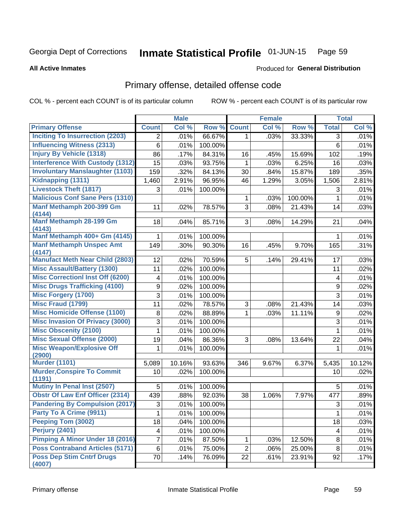#### Inmate Statistical Profile 01-JUN-15 Page 59

#### **All Active Inmates**

### **Produced for General Distribution**

## Primary offense, detailed offense code

COL % - percent each COUNT is of its particular column

|                                             |                  | <b>Male</b> |         |                | <b>Female</b> |         |                         | <b>Total</b> |
|---------------------------------------------|------------------|-------------|---------|----------------|---------------|---------|-------------------------|--------------|
| <b>Primary Offense</b>                      | <b>Count</b>     | Col %       | Row %   | <b>Count</b>   | Col%          | Row %   | <b>Total</b>            | Col %        |
| <b>Inciting To Insurrection (2203)</b>      | 2                | .01%        | 66.67%  | $\mathbf{1}$   | .03%          | 33.33%  | 3                       | .01%         |
| <b>Influencing Witness (2313)</b>           | 6                | .01%        | 100.00% |                |               |         | $6\phantom{1}$          | .01%         |
| <b>Injury By Vehicle (1318)</b>             | 86               | .17%        | 84.31%  | 16             | .45%          | 15.69%  | 102                     | .19%         |
| <b>Interference With Custody (1312)</b>     | 15               | .03%        | 93.75%  | 1              | .03%          | 6.25%   | 16                      | .03%         |
| <b>Involuntary Manslaughter (1103)</b>      | 159              | .32%        | 84.13%  | 30             | .84%          | 15.87%  | 189                     | .35%         |
| Kidnapping (1311)                           | 1,460            | 2.91%       | 96.95%  | 46             | 1.29%         | 3.05%   | 1,506                   | 2.81%        |
| <b>Livestock Theft (1817)</b>               | 3                | .01%        | 100.00% |                |               |         | 3                       | .01%         |
| <b>Malicious Conf Sane Pers (1310)</b>      |                  |             |         | 1              | .03%          | 100.00% | $\mathbf{1}$            | .01%         |
| Manf Methamph 200-399 Gm<br>(4144)          | 11               | .02%        | 78.57%  | 3              | .08%          | 21.43%  | 14                      | .03%         |
| <b>Manf Methamph 28-199 Gm</b><br>(4143)    | 18               | .04%        | 85.71%  | 3              | .08%          | 14.29%  | 21                      | .04%         |
| Manf Methamph 400+ Gm (4145)                | 1                | .01%        | 100.00% |                |               |         | 1                       | .01%         |
| <b>Manf Methamph Unspec Amt</b>             | 149              | .30%        | 90.30%  | 16             | .45%          | 9.70%   | 165                     | .31%         |
| (4147)                                      |                  |             |         |                |               |         |                         |              |
| <b>Manufact Meth Near Child (2803)</b>      | 12               | .02%        | 70.59%  | 5              | .14%          | 29.41%  | 17                      | .03%         |
| <b>Misc Assault/Battery (1300)</b>          | 11               | .02%        | 100.00% |                |               |         | 11                      | .02%         |
| <b>Misc Correctionl Inst Off (6200)</b>     | 4                | .01%        | 100.00% |                |               |         | $\overline{\mathbf{4}}$ | .01%         |
| <b>Misc Drugs Trafficking (4100)</b>        | $\boldsymbol{9}$ | .02%        | 100.00% |                |               |         | $\boldsymbol{9}$        | .02%         |
| <b>Misc Forgery (1700)</b>                  | 3                | .01%        | 100.00% |                |               |         | $\overline{3}$          | .01%         |
| <b>Misc Fraud (1799)</b>                    | 11               | .02%        | 78.57%  | 3              | .08%          | 21.43%  | 14                      | .03%         |
| <b>Misc Homicide Offense (1100)</b>         | 8                | .02%        | 88.89%  | 1              | .03%          | 11.11%  | $\boldsymbol{9}$        | .02%         |
| <b>Misc Invasion Of Privacy (3000)</b>      | 3                | .01%        | 100.00% |                |               |         | $\overline{3}$          | .01%         |
| <b>Misc Obscenity (2100)</b>                | 1                | .01%        | 100.00% |                |               |         | 1                       | .01%         |
| <b>Misc Sexual Offense (2000)</b>           | 19               | .04%        | 86.36%  | 3              | .08%          | 13.64%  | 22                      | .04%         |
| <b>Misc Weapon/Explosive Off</b><br>(2900)  | 1                | .01%        | 100.00% |                |               |         | 1                       | .01%         |
| <b>Murder (1101)</b>                        | 5,089            | 10.16%      | 93.63%  | 346            | 9.67%         | 6.37%   | 5,435                   | 10.12%       |
| <b>Murder, Conspire To Commit</b><br>(1191) | 10               | .02%        | 100.00% |                |               |         | 10                      | .02%         |
| <b>Mutiny In Penal Inst (2507)</b>          | 5                | .01%        | 100.00% |                |               |         | 5                       | .01%         |
| <b>Obstr Of Law Enf Officer (2314)</b>      | 439              | .88%        | 92.03%  | 38             | 1.06%         | 7.97%   | 477                     | .89%         |
| <b>Pandering By Compulsion (2017)</b>       | 3                | .01%        | 100.00% |                |               |         | 3                       | .01%         |
| Party To A Crime (9911)                     | 1                | .01%        | 100.00% |                |               |         | 1                       | .01%         |
| Peeping Tom (3002)                          | 18               | .04%        | 100.00% |                |               |         | 18                      | .03%         |
| Perjury (2401)                              | 4                | .01%        | 100.00% |                |               |         | $\overline{\mathbf{4}}$ | .01%         |
| <b>Pimping A Minor Under 18 (2016)</b>      | 7                | .01%        | 87.50%  | 1              | .03%          | 12.50%  | 8                       | .01%         |
| <b>Poss Contraband Articles (5171)</b>      | $\,6$            | .01%        | 75.00%  | $\overline{2}$ | .06%          | 25.00%  | 8                       | .01%         |
| <b>Poss Dep Stim Cntrf Drugs</b><br>(4007)  | 70               | .14%        | 76.09%  | 22             | .61%          | 23.91%  | 92                      | .17%         |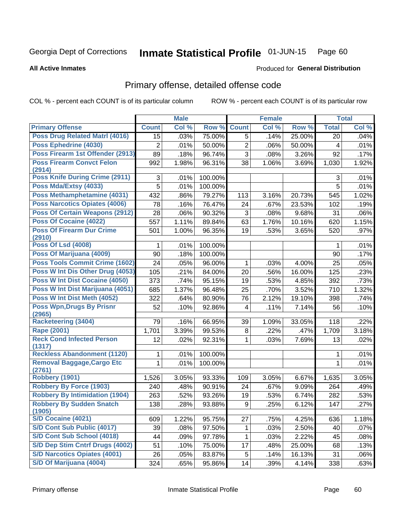#### Inmate Statistical Profile 01-JUN-15 Page 60

**All Active Inmates** 

### **Produced for General Distribution**

## Primary offense, detailed offense code

COL % - percent each COUNT is of its particular column

|                                             |                | <b>Male</b> |         |                | <b>Female</b> |        |              | <b>Total</b> |
|---------------------------------------------|----------------|-------------|---------|----------------|---------------|--------|--------------|--------------|
| <b>Primary Offense</b>                      | <b>Count</b>   | Col %       | Row %   | <b>Count</b>   | Col %         | Row %  | <b>Total</b> | Col %        |
| Poss Drug Related Matri (4016)              | 15             | .03%        | 75.00%  | 5              | .14%          | 25.00% | 20           | .04%         |
| Poss Ephedrine (4030)                       | $\overline{2}$ | .01%        | 50.00%  | $\overline{2}$ | .06%          | 50.00% | 4            | .01%         |
| Poss Firearm 1st Offender (2913)            | 89             | .18%        | 96.74%  | 3              | .08%          | 3.26%  | 92           | .17%         |
| <b>Poss Firearm Convct Felon</b>            | 992            | 1.98%       | 96.31%  | 38             | 1.06%         | 3.69%  | 1,030        | 1.92%        |
| (2914)                                      |                |             |         |                |               |        |              |              |
| <b>Poss Knife During Crime (2911)</b>       | 3              | .01%        | 100.00% |                |               |        | 3            | .01%         |
| Poss Mda/Extsy (4033)                       | 5              | .01%        | 100.00% |                |               |        | 5            | .01%         |
| Poss Methamphetamine (4031)                 | 432            | .86%        | 79.27%  | 113            | 3.16%         | 20.73% | 545          | 1.02%        |
| <b>Poss Narcotics Opiates (4006)</b>        | 78             | .16%        | 76.47%  | 24             | .67%          | 23.53% | 102          | .19%         |
| <b>Poss Of Certain Weapons (2912)</b>       | 28             | .06%        | 90.32%  | 3              | .08%          | 9.68%  | 31           | .06%         |
| <b>Poss Of Cocaine (4022)</b>               | 557            | 1.11%       | 89.84%  | 63             | 1.76%         | 10.16% | 620          | 1.15%        |
| <b>Poss Of Firearm Dur Crime</b>            | 501            | 1.00%       | 96.35%  | 19             | .53%          | 3.65%  | 520          | .97%         |
| (2910)<br><b>Poss Of Lsd (4008)</b>         |                |             |         |                |               |        |              |              |
| Poss Of Marijuana (4009)                    | 1              | .01%        | 100.00% |                |               |        | 1            | .01%         |
|                                             | 90             | .18%        | 100.00% |                |               |        | 90           | .17%         |
| <b>Poss Tools Commit Crime (1602)</b>       | 24             | .05%        | 96.00%  | 1              | .03%          | 4.00%  | 25           | .05%         |
| Poss W Int Dis Other Drug (4053)            | 105            | .21%        | 84.00%  | 20             | .56%          | 16.00% | 125          | .23%         |
| <b>Poss W Int Dist Cocaine (4050)</b>       | 373            | .74%        | 95.15%  | 19             | .53%          | 4.85%  | 392          | .73%         |
| Poss W Int Dist Marijuana (4051)            | 685            | 1.37%       | 96.48%  | 25             | .70%          | 3.52%  | 710          | 1.32%        |
| Poss W Int Dist Meth (4052)                 | 322            | .64%        | 80.90%  | 76             | 2.12%         | 19.10% | 398          | .74%         |
| <b>Poss Wpn, Drugs By Prisnr</b>            | 52             | .10%        | 92.86%  | 4              | .11%          | 7.14%  | 56           | .10%         |
| (2965)<br><b>Racketeering (3404)</b>        |                |             |         |                |               |        |              |              |
|                                             | 79             | .16%        | 66.95%  | 39             | 1.09%         | 33.05% | 118          | .22%         |
| <b>Rape (2001)</b>                          | 1,701          | 3.39%       | 99.53%  | 8              | .22%          | .47%   | 1,709        | 3.18%        |
| <b>Reck Cond Infected Person</b><br>(1317)  | 12             | .02%        | 92.31%  | 1              | .03%          | 7.69%  | 13           | .02%         |
| <b>Reckless Abandonment (1120)</b>          | 1              | .01%        | 100.00% |                |               |        | 1            | .01%         |
| <b>Removal Baggage, Cargo Etc</b><br>(2761) | $\mathbf{1}$   | .01%        | 100.00% |                |               |        | 1            | .01%         |
| <b>Robbery (1901)</b>                       | 1,526          | 3.05%       | 93.33%  | 109            | 3.05%         | 6.67%  | 1,635        | 3.05%        |
| <b>Robbery By Force (1903)</b>              | 240            | .48%        | 90.91%  | 24             | .67%          | 9.09%  | 264          | .49%         |
| <b>Robbery By Intimidation (1904)</b>       | 263            | .52%        | 93.26%  | 19             | .53%          | 6.74%  | 282          | .53%         |
| <b>Robbery By Sudden Snatch</b>             | 138            | .28%        | 93.88%  | 9              | .25%          | 6.12%  | 147          | .27%         |
| (1905)                                      |                |             |         |                |               |        |              |              |
| <b>S/D Cocaine (4021)</b>                   | 609            | 1.22%       | 95.75%  | 27             | .75%          | 4.25%  | 636          | 1.18%        |
| <b>S/D Cont Sub Public (4017)</b>           | 39             | .08%        | 97.50%  | 1              | .03%          | 2.50%  | 40           | .07%         |
| S/D Cont Sub School (4018)                  | 44             | .09%        | 97.78%  | 1              | .03%          | 2.22%  | 45           | .08%         |
| S/D Dep Stim Cntrf Drugs (4002)             | 51             | .10%        | 75.00%  | 17             | .48%          | 25.00% | 68           | .13%         |
| <b>S/D Narcotics Opiates (4001)</b>         | 26             | .05%        | 83.87%  | 5              | .14%          | 16.13% | 31           | .06%         |
| S/D Of Marijuana (4004)                     | 324            | .65%        | 95.86%  | 14             | .39%          | 4.14%  | 338          | .63%         |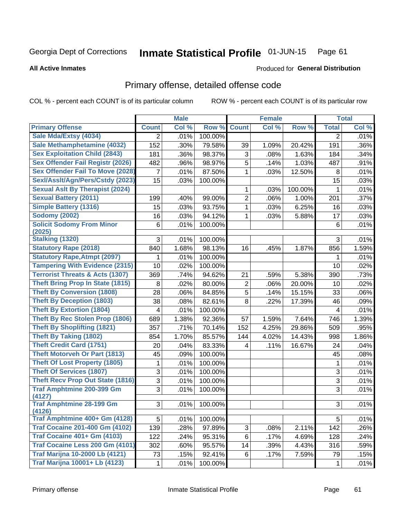#### Inmate Statistical Profile 01-JUN-15 Page 61

#### **All Active Inmates**

# **Produced for General Distribution**

## Primary offense, detailed offense code

COL % - percent each COUNT is of its particular column

|                                            |                | <b>Male</b> |         |                | <b>Female</b> |         |                | <b>Total</b> |
|--------------------------------------------|----------------|-------------|---------|----------------|---------------|---------|----------------|--------------|
| <b>Primary Offense</b>                     | <b>Count</b>   | Col %       | Row %   | <b>Count</b>   | Col %         | Row %   | <b>Total</b>   | Col %        |
| Sale Mda/Extsy (4034)                      | $\overline{2}$ | .01%        | 100.00% |                |               |         | $\overline{2}$ | .01%         |
| Sale Methamphetamine (4032)                | 152            | .30%        | 79.58%  | 39             | 1.09%         | 20.42%  | 191            | .36%         |
| <b>Sex Exploitation Child (2843)</b>       | 181            | .36%        | 98.37%  | 3              | .08%          | 1.63%   | 184            | .34%         |
| <b>Sex Offender Fail Registr (2026)</b>    | 482            | .96%        | 98.97%  | $\overline{5}$ | .14%          | 1.03%   | 487            | .91%         |
| <b>Sex Offender Fail To Move (2028)</b>    | 7              | .01%        | 87.50%  | 1              | .03%          | 12.50%  | 8              | .01%         |
| Sexl/Asslt/Agn/Pers/Cstdy (2023)           | 15             | .03%        | 100.00% |                |               |         | 15             | .03%         |
| <b>Sexual Aslt By Therapist (2024)</b>     |                |             |         | 1              | .03%          | 100.00% | 1              | .01%         |
| <b>Sexual Battery (2011)</b>               | 199            | .40%        | 99.00%  | $\overline{2}$ | .06%          | 1.00%   | 201            | .37%         |
| <b>Simple Battery (1316)</b>               | 15             | .03%        | 93.75%  | 1              | .03%          | 6.25%   | 16             | .03%         |
| <b>Sodomy (2002)</b>                       | 16             | .03%        | 94.12%  | 1              | .03%          | 5.88%   | 17             | .03%         |
| <b>Solicit Sodomy From Minor</b><br>(2025) | 6              | .01%        | 100.00% |                |               |         | 6              | .01%         |
| <b>Stalking (1320)</b>                     | 3              | .01%        | 100.00% |                |               |         | 3              | .01%         |
| <b>Statutory Rape (2018)</b>               | 840            | 1.68%       | 98.13%  | 16             | .45%          | 1.87%   | 856            | 1.59%        |
| <b>Statutory Rape, Atmpt (2097)</b>        | 1              | .01%        | 100.00% |                |               |         | 1              | .01%         |
| <b>Tampering With Evidence (2315)</b>      | 10             | .02%        | 100.00% |                |               |         | 10             | .02%         |
| <b>Terrorist Threats &amp; Acts (1307)</b> | 369            | .74%        | 94.62%  | 21             | .59%          | 5.38%   | 390            | .73%         |
| <b>Theft Bring Prop In State (1815)</b>    | 8              | .02%        | 80.00%  | 2              | .06%          | 20.00%  | 10             | .02%         |
| <b>Theft By Conversion (1808)</b>          | 28             | .06%        | 84.85%  | $\overline{5}$ | .14%          | 15.15%  | 33             | .06%         |
| <b>Theft By Deception (1803)</b>           | 38             | .08%        | 82.61%  | 8              | .22%          | 17.39%  | 46             | .09%         |
| <b>Theft By Extortion (1804)</b>           | 4              | .01%        | 100.00% |                |               |         | 4              | .01%         |
| <b>Theft By Rec Stolen Prop (1806)</b>     | 689            | 1.38%       | 92.36%  | 57             | 1.59%         | 7.64%   | 746            | 1.39%        |
| <b>Theft By Shoplifting (1821)</b>         | 357            | .71%        | 70.14%  | 152            | 4.25%         | 29.86%  | 509            | .95%         |
| <b>Theft By Taking (1802)</b>              | 854            | 1.70%       | 85.57%  | 144            | 4.02%         | 14.43%  | 998            | 1.86%        |
| <b>Theft Credit Card (1751)</b>            | 20             | .04%        | 83.33%  | 4              | .11%          | 16.67%  | 24             | .04%         |
| <b>Theft Motorveh Or Part (1813)</b>       | 45             | .09%        | 100.00% |                |               |         | 45             | .08%         |
| <b>Theft Of Lost Property (1805)</b>       | 1              | .01%        | 100.00% |                |               |         | 1              | .01%         |
| <b>Theft Of Services (1807)</b>            | 3              | .01%        | 100.00% |                |               |         | 3              | .01%         |
| <b>Theft Recv Prop Out State (1816)</b>    | 3              | .01%        | 100.00% |                |               |         | 3              | .01%         |
| <b>Traf Amphtmine 200-399 Gm</b><br>(4127) | 3              | .01%        | 100.00% |                |               |         | $\overline{3}$ | .01%         |
| <b>Traf Amphtmine 28-199 Gm</b>            | 3              | $.01\%$     | 100.00% |                |               |         | 3              | .01%         |
| (4126)<br>Traf Amphtmine 400+ Gm (4128)    | 5              | .01%        | 100.00% |                |               |         | 5              | .01%         |
| <b>Traf Cocaine 201-400 Gm (4102)</b>      | 139            | .28%        | 97.89%  | 3 <sup>1</sup> | .08%          | 2.11%   | 142            | .26%         |
| <b>Traf Cocaine 401+ Gm (4103)</b>         | 122            | .24%        | 95.31%  | 6              | .17%          | 4.69%   | 128            | .24%         |
| Traf Cocaine Less 200 Gm (4101)            | 302            | .60%        | 95.57%  | 14             | .39%          | 4.43%   | 316            | .59%         |
| <b>Traf Marijna 10-2000 Lb (4121)</b>      | 73             | .15%        | 92.41%  | 6              | .17%          | 7.59%   | 79             | .15%         |
| <b>Traf Marijna 10001+ Lb (4123)</b>       | 1              | .01%        | 100.00% |                |               |         | 1              | .01%         |
|                                            |                |             |         |                |               |         |                |              |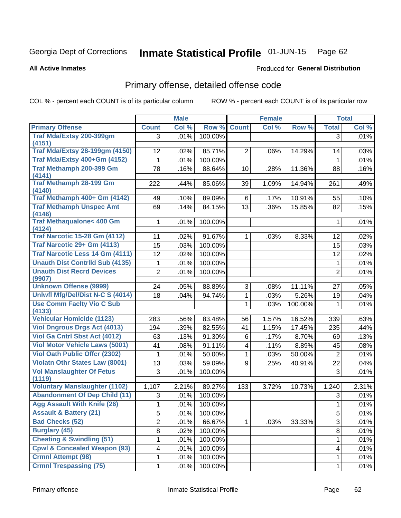#### Inmate Statistical Profile 01-JUN-15 Page 62

**Produced for General Distribution** 

#### **All Active Inmates**

## Primary offense, detailed offense code

COL % - percent each COUNT is of its particular column

|                                               |                | <b>Male</b> |         |                         | <b>Female</b> |         | <b>Total</b>   |       |
|-----------------------------------------------|----------------|-------------|---------|-------------------------|---------------|---------|----------------|-------|
| <b>Primary Offense</b>                        | <b>Count</b>   | Col %       | Row %   | <b>Count</b>            | Col %         | Row %   | <b>Total</b>   | Col % |
| Traf Mda/Extsy 200-399gm                      | 3              | .01%        | 100.00% |                         |               |         | $\overline{3}$ | .01%  |
| (4151)                                        |                |             |         |                         |               |         |                |       |
| <b>Traf Mda/Extsy 28-199gm (4150)</b>         | 12             | .02%        | 85.71%  | $\overline{2}$          | .06%          | 14.29%  | 14             | .03%  |
| Traf Mda/Extsy 400+Gm (4152)                  | $\mathbf 1$    | .01%        | 100.00% |                         |               |         | $\mathbf 1$    | .01%  |
| <b>Traf Methamph 200-399 Gm</b><br>(4141)     | 78             | .16%        | 88.64%  | 10                      | .28%          | 11.36%  | 88             | .16%  |
| <b>Traf Methamph 28-199 Gm</b><br>(4140)      | 222            | .44%        | 85.06%  | 39                      | 1.09%         | 14.94%  | 261            | .49%  |
| Traf Methamph 400+ Gm (4142)                  | 49             | .10%        | 89.09%  | 6                       | .17%          | 10.91%  | 55             | .10%  |
| <b>Traf Methamph Unspec Amt</b><br>(4146)     | 69             | .14%        | 84.15%  | 13                      | .36%          | 15.85%  | 82             | .15%  |
| <b>Traf Methaqualone&lt; 400 Gm</b><br>(4124) | 1              | .01%        | 100.00% |                         |               |         | 1              | .01%  |
| <b>Traf Narcotic 15-28 Gm (4112)</b>          | 11             | .02%        | 91.67%  | 1                       | .03%          | 8.33%   | 12             | .02%  |
| Traf Narcotic 29+ Gm (4113)                   | 15             | .03%        | 100.00% |                         |               |         | 15             | .03%  |
| <b>Traf Narcotic Less 14 Gm (4111)</b>        | 12             | .02%        | 100.00% |                         |               |         | 12             | .02%  |
| <b>Unauth Dist Contrild Sub (4135)</b>        | 1              | .01%        | 100.00% |                         |               |         | 1              | .01%  |
| <b>Unauth Dist Recrd Devices</b><br>(9907)    | $\overline{2}$ | .01%        | 100.00% |                         |               |         | $\overline{2}$ | .01%  |
| <b>Unknown Offense (9999)</b>                 | 24             | .05%        | 88.89%  | 3                       | .08%          | 11.11%  | 27             | .05%  |
| Uniwfl Mfg/Del/Dist N-C S (4014)              | 18             | .04%        | 94.74%  | 1                       | .03%          | 5.26%   | 19             | .04%  |
| <b>Use Comm Facity Vio C Sub</b><br>(4133)    |                |             |         | 1                       | .03%          | 100.00% | 1              | .01%  |
| <b>Vehicular Homicide (1123)</b>              | 283            | .56%        | 83.48%  | 56                      | 1.57%         | 16.52%  | 339            | .63%  |
| <b>Viol Dngrous Drgs Act (4013)</b>           | 194            | .39%        | 82.55%  | 41                      | 1.15%         | 17.45%  | 235            | .44%  |
| Viol Ga Cntrl Sbst Act (4012)                 | 63             | .13%        | 91.30%  | 6                       | .17%          | 8.70%   | 69             | .13%  |
| <b>Viol Motor Vehicle Laws (5001)</b>         | 41             | .08%        | 91.11%  | $\overline{\mathbf{4}}$ | .11%          | 8.89%   | 45             | .08%  |
| <b>Viol Oath Public Offer (2302)</b>          | 1              | .01%        | 50.00%  | $\mathbf{1}$            | .03%          | 50.00%  | $\overline{2}$ | .01%  |
| <b>Violatn Othr States Law (8001)</b>         | 13             | .03%        | 59.09%  | 9                       | .25%          | 40.91%  | 22             | .04%  |
| <b>Vol Manslaughter Of Fetus</b><br>(1119)    | 3              | .01%        | 100.00% |                         |               |         | $\mathbf{3}$   | .01%  |
| <b>Voluntary Manslaughter (1102)</b>          | 1,107          | 2.21%       | 89.27%  | 133                     | 3.72%         | 10.73%  | 1,240          | 2.31% |
| <b>Abandonment Of Dep Child (11)</b>          | 3              | .01%        | 100.00% |                         |               |         | 3              | .01%  |
| <b>Agg Assault With Knife (26)</b>            | $\mathbf{1}$   | .01%        | 100.00% |                         |               |         | $\mathbf{1}$   | .01%  |
| <b>Assault &amp; Battery (21)</b>             | 5              | .01%        | 100.00% |                         |               |         | 5              | .01%  |
| <b>Bad Checks (52)</b>                        | $\overline{2}$ | .01%        | 66.67%  |                         | .03%          | 33.33%  | 3              | .01%  |
| <b>Burglary (45)</b>                          | 8              | .02%        | 100.00% |                         |               |         | 8              | .01%  |
| <b>Cheating &amp; Swindling (51)</b>          | 1              | .01%        | 100.00% |                         |               |         | 1              | .01%  |
| <b>Cpwl &amp; Concealed Weapon (93)</b>       | 4              | .01%        | 100.00% |                         |               |         | 4              | .01%  |
| <b>Crmnl Attempt (98)</b>                     | 1              | .01%        | 100.00% |                         |               |         | 1              | .01%  |
| <b>Crmnl Trespassing (75)</b>                 | $\mathbf{1}$   | .01%        | 100.00% |                         |               |         | 1              | .01%  |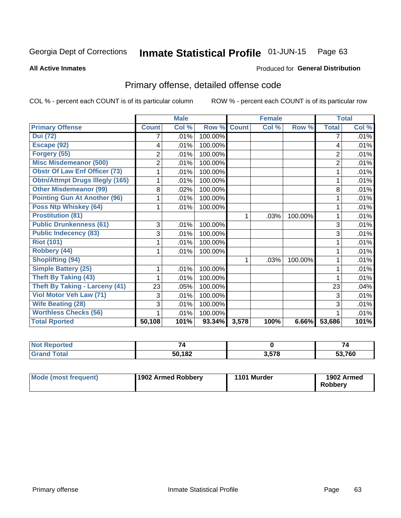#### Inmate Statistical Profile 01-JUN-15 Page 63

**All Active Inmates** 

### **Produced for General Distribution**

## Primary offense, detailed offense code

COL % - percent each COUNT is of its particular column

|                                        |                | <b>Male</b> |         |              | <b>Female</b> |         |                | <b>Total</b> |
|----------------------------------------|----------------|-------------|---------|--------------|---------------|---------|----------------|--------------|
| <b>Primary Offense</b>                 | <b>Count</b>   | Col %       | Row %   | <b>Count</b> | Col %         | Row %   | <b>Total</b>   | Col %        |
| <b>Dui (72)</b>                        |                | .01%        | 100.00% |              |               |         | 7              | .01%         |
| Escape (92)                            | 4              | .01%        | 100.00% |              |               |         | 4              | .01%         |
| Forgery (55)                           | 2              | .01%        | 100.00% |              |               |         | $\overline{2}$ | .01%         |
| <b>Misc Misdemeanor (500)</b>          | $\overline{2}$ | .01%        | 100.00% |              |               |         | $\overline{2}$ | .01%         |
| <b>Obstr Of Law Enf Officer (73)</b>   |                | .01%        | 100.00% |              |               |         | 1              | .01%         |
| <b>Obtn/Attmpt Drugs Illegly (165)</b> |                | .01%        | 100.00% |              |               |         |                | .01%         |
| <b>Other Misdemeanor (99)</b>          | 8              | .02%        | 100.00% |              |               |         | 8              | .01%         |
| <b>Pointing Gun At Another (96)</b>    |                | .01%        | 100.00% |              |               |         |                | .01%         |
| <b>Poss Ntp Whiskey (64)</b>           |                | .01%        | 100.00% |              |               |         |                | .01%         |
| <b>Prostitution (81)</b>               |                |             |         | 1            | .03%          | 100.00% | 1              | .01%         |
| <b>Public Drunkenness (61)</b>         | 3              | .01%        | 100.00% |              |               |         | 3              | .01%         |
| <b>Public Indecency (83)</b>           | 3              | .01%        | 100.00% |              |               |         | 3              | .01%         |
| <b>Riot (101)</b>                      |                | .01%        | 100.00% |              |               |         |                | .01%         |
| Robbery (44)                           |                | .01%        | 100.00% |              |               |         | 1              | .01%         |
| <b>Shoplifting (94)</b>                |                |             |         |              | .03%          | 100.00% |                | .01%         |
| <b>Simple Battery (25)</b>             | 1              | .01%        | 100.00% |              |               |         | 1              | .01%         |
| <b>Theft By Taking (43)</b>            |                | .01%        | 100.00% |              |               |         |                | .01%         |
| <b>Theft By Taking - Larceny (41)</b>  | 23             | .05%        | 100.00% |              |               |         | 23             | .04%         |
| Viol Motor Veh Law (71)                | 3              | .01%        | 100.00% |              |               |         | 3              | .01%         |
| <b>Wife Beating (28)</b>               | 3              | .01%        | 100.00% |              |               |         | 3              | .01%         |
| <b>Worthless Checks (56)</b>           |                | .01%        | 100.00% |              |               |         |                | .01%         |
| <b>Total Rported</b>                   | 50,108         | 101%        | 93.34%  | 3,578        | 100%          | 6.66%   | 53,686         | 101%         |

| $\overline{\phantom{0}}$<br>- |                  | 74               |
|-------------------------------|------------------|------------------|
| <b>EN 400</b><br>104          | הדה ה<br>.,<br>. | $\sim$ 700<br>оı |

| Mode (most frequent) | 1902 Armed Robbery | 1101 Murder | 1902 Armed<br><b>Robberv</b> |
|----------------------|--------------------|-------------|------------------------------|
|----------------------|--------------------|-------------|------------------------------|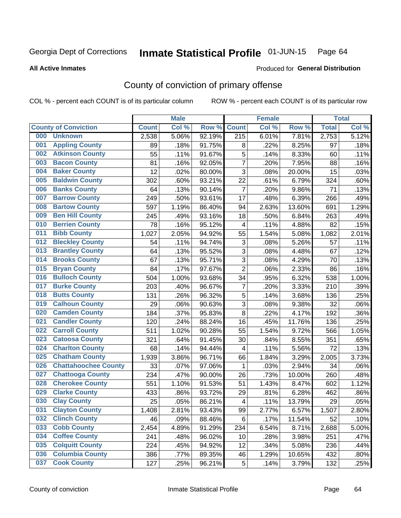#### Inmate Statistical Profile 01-JUN-15 Page 64

**All Active Inmates** 

#### Produced for General Distribution

## County of conviction of primary offense

COL % - percent each COUNT is of its particular column

|     |                             |              | <b>Male</b> |        |                          | <b>Female</b> |        |              | <b>Total</b> |
|-----|-----------------------------|--------------|-------------|--------|--------------------------|---------------|--------|--------------|--------------|
|     | <b>County of Conviction</b> | <b>Count</b> | Col %       | Row %  | <b>Count</b>             | Col %         | Row %  | <b>Total</b> | Col %        |
| 000 | <b>Unknown</b>              | 2,538        | 5.06%       | 92.19% | $\overline{215}$         | 6.01%         | 7.81%  | 2,753        | 5.12%        |
| 001 | <b>Appling County</b>       | 89           | .18%        | 91.75% | 8                        | .22%          | 8.25%  | 97           | .18%         |
| 002 | <b>Atkinson County</b>      | 55           | .11%        | 91.67% | 5                        | .14%          | 8.33%  | 60           | .11%         |
| 003 | <b>Bacon County</b>         | 81           | .16%        | 92.05% | $\overline{7}$           | .20%          | 7.95%  | 88           | .16%         |
| 004 | <b>Baker County</b>         | 12           | .02%        | 80.00% | $\overline{3}$           | .08%          | 20.00% | 15           | .03%         |
| 005 | <b>Baldwin County</b>       | 302          | .60%        | 93.21% | 22                       | .61%          | 6.79%  | 324          | .60%         |
| 006 | <b>Banks County</b>         | 64           | .13%        | 90.14% | $\overline{7}$           | .20%          | 9.86%  | 71           | .13%         |
| 007 | <b>Barrow County</b>        | 249          | .50%        | 93.61% | 17                       | .48%          | 6.39%  | 266          | .49%         |
| 008 | <b>Bartow County</b>        | 597          | 1.19%       | 86.40% | 94                       | 2.63%         | 13.60% | 691          | 1.29%        |
| 009 | <b>Ben Hill County</b>      | 245          | .49%        | 93.16% | 18                       | .50%          | 6.84%  | 263          | .49%         |
| 010 | <b>Berrien County</b>       | 78           | .16%        | 95.12% | $\overline{4}$           | .11%          | 4.88%  | 82           | .15%         |
| 011 | <b>Bibb County</b>          | 1,027        | 2.05%       | 94.92% | 55                       | 1.54%         | 5.08%  | 1,082        | 2.01%        |
| 012 | <b>Bleckley County</b>      | 54           | .11%        | 94.74% | 3                        | .08%          | 5.26%  | 57           | .11%         |
| 013 | <b>Brantley County</b>      | 64           | .13%        | 95.52% | 3                        | .08%          | 4.48%  | 67           | .12%         |
| 014 | <b>Brooks County</b>        | 67           | .13%        | 95.71% | $\overline{3}$           | .08%          | 4.29%  | 70           | .13%         |
| 015 | <b>Bryan County</b>         | 84           | .17%        | 97.67% | $\overline{2}$           | .06%          | 2.33%  | 86           | .16%         |
| 016 | <b>Bulloch County</b>       | 504          | 1.00%       | 93.68% | 34                       | .95%          | 6.32%  | 538          | 1.00%        |
| 017 | <b>Burke County</b>         | 203          | .40%        | 96.67% | $\overline{7}$           | .20%          | 3.33%  | 210          | .39%         |
| 018 | <b>Butts County</b>         | 131          | .26%        | 96.32% | 5                        | .14%          | 3.68%  | 136          | .25%         |
| 019 | <b>Calhoun County</b>       | 29           | .06%        | 90.63% | 3                        | .08%          | 9.38%  | 32           | .06%         |
| 020 | <b>Camden County</b>        | 184          | .37%        | 95.83% | 8                        | .22%          | 4.17%  | 192          | .36%         |
| 021 | <b>Candler County</b>       | 120          | .24%        | 88.24% | 16                       | .45%          | 11.76% | 136          | .25%         |
| 022 | <b>Carroll County</b>       | 511          | 1.02%       | 90.28% | 55                       | 1.54%         | 9.72%  | 566          | 1.05%        |
| 023 | <b>Catoosa County</b>       | 321          | .64%        | 91.45% | 30                       | .84%          | 8.55%  | 351          | .65%         |
| 024 | <b>Charlton County</b>      | 68           | .14%        | 94.44% | 4                        | .11%          | 5.56%  | 72           | .13%         |
| 025 | <b>Chatham County</b>       | 1,939        | 3.86%       | 96.71% | 66                       | 1.84%         | 3.29%  | 2,005        | 3.73%        |
| 026 | <b>Chattahoochee County</b> | 33           | .07%        | 97.06% | 1                        | .03%          | 2.94%  | 34           | .06%         |
| 027 | <b>Chattooga County</b>     | 234          | .47%        | 90.00% | 26                       | .73%          | 10.00% | 260          | .48%         |
| 028 | <b>Cherokee County</b>      | 551          | 1.10%       | 91.53% | 51                       | 1.43%         | 8.47%  | 602          | 1.12%        |
| 029 | <b>Clarke County</b>        | 433          | .86%        | 93.72% | 29                       | .81%          | 6.28%  | 462          | .86%         |
| 030 | <b>Clay County</b>          | 25           | .05%        | 86.21% | $\overline{\mathcal{A}}$ | .11%          | 13.79% | 29           | .05%         |
| 031 | <b>Clayton County</b>       | 1,408        | 2.81%       | 93.43% | 99                       | 2.77%         | 6.57%  | 1,507        | 2.80%        |
| 032 | <b>Clinch County</b>        | 46           | .09%        | 88.46% | 6                        | .17%          | 11.54% | 52           | .10%         |
| 033 | <b>Cobb County</b>          | 2,454        | 4.89%       | 91.29% | 234                      | 6.54%         | 8.71%  | 2,688        | 5.00%        |
| 034 | <b>Coffee County</b>        | 241          | .48%        | 96.02% | 10                       | .28%          | 3.98%  | 251          | .47%         |
| 035 | <b>Colquitt County</b>      | 224          | .45%        | 94.92% | 12                       | .34%          | 5.08%  | 236          | .44%         |
| 036 | <b>Columbia County</b>      | 386          | .77%        | 89.35% | 46                       | 1.29%         | 10.65% | 432          | .80%         |
| 037 | <b>Cook County</b>          | 127          | .25%        | 96.21% | 5                        | .14%          | 3.79%  | 132          | .25%         |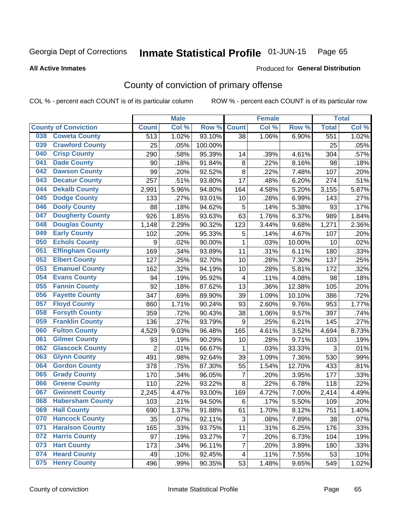#### Inmate Statistical Profile 01-JUN-15 Page 65

**All Active Inmates** 

#### Produced for General Distribution

## County of conviction of primary offense

COL % - percent each COUNT is of its particular column

|     |                             |                  | <b>Male</b> |         |                         | <b>Female</b> |        |              | <b>Total</b> |
|-----|-----------------------------|------------------|-------------|---------|-------------------------|---------------|--------|--------------|--------------|
|     | <b>County of Conviction</b> | <b>Count</b>     | Col %       | Row %   | <b>Count</b>            | Col %         | Row %  | <b>Total</b> | Col %        |
| 038 | <b>Coweta County</b>        | $\overline{513}$ | 1.02%       | 93.10%  | 38                      | 1.06%         | 6.90%  | 551          | 1.02%        |
| 039 | <b>Crawford County</b>      | 25               | .05%        | 100.00% |                         |               |        | 25           | .05%         |
| 040 | <b>Crisp County</b>         | 290              | .58%        | 95.39%  | 14                      | .39%          | 4.61%  | 304          | .57%         |
| 041 | <b>Dade County</b>          | 90               | .18%        | 91.84%  | $\bf 8$                 | .22%          | 8.16%  | 98           | .18%         |
| 042 | <b>Dawson County</b>        | 99               | .20%        | 92.52%  | 8                       | .22%          | 7.48%  | 107          | .20%         |
| 043 | <b>Decatur County</b>       | 257              | .51%        | 93.80%  | 17                      | .48%          | 6.20%  | 274          | .51%         |
| 044 | <b>Dekalb County</b>        | 2,991            | 5.96%       | 94.80%  | 164                     | 4.58%         | 5.20%  | 3,155        | 5.87%        |
| 045 | <b>Dodge County</b>         | 133              | .27%        | 93.01%  | 10                      | .28%          | 6.99%  | 143          | .27%         |
| 046 | <b>Dooly County</b>         | 88               | .18%        | 94.62%  | 5                       | .14%          | 5.38%  | 93           | .17%         |
| 047 | <b>Dougherty County</b>     | 926              | 1.85%       | 93.63%  | 63                      | 1.76%         | 6.37%  | 989          | 1.84%        |
| 048 | <b>Douglas County</b>       | 1,148            | 2.29%       | 90.32%  | 123                     | 3.44%         | 9.68%  | 1,271        | 2.36%        |
| 049 | <b>Early County</b>         | 102              | .20%        | 95.33%  | 5                       | .14%          | 4.67%  | 107          | .20%         |
| 050 | <b>Echols County</b>        | 9                | .02%        | 90.00%  | 1                       | .03%          | 10.00% | 10           | .02%         |
| 051 | <b>Effingham County</b>     | 169              | .34%        | 93.89%  | 11                      | .31%          | 6.11%  | 180          | .33%         |
| 052 | <b>Elbert County</b>        | 127              | .25%        | 92.70%  | 10                      | .28%          | 7.30%  | 137          | .25%         |
| 053 | <b>Emanuel County</b>       | 162              | .32%        | 94.19%  | 10                      | .28%          | 5.81%  | 172          | .32%         |
| 054 | <b>Evans County</b>         | 94               | .19%        | 95.92%  | $\overline{\mathbf{4}}$ | .11%          | 4.08%  | 98           | .18%         |
| 055 | <b>Fannin County</b>        | 92               | .18%        | 87.62%  | 13                      | .36%          | 12.38% | 105          | .20%         |
| 056 | <b>Fayette County</b>       | 347              | .69%        | 89.90%  | 39                      | 1.09%         | 10.10% | 386          | .72%         |
| 057 | <b>Floyd County</b>         | 860              | 1.71%       | 90.24%  | 93                      | 2.60%         | 9.76%  | 953          | 1.77%        |
| 058 | <b>Forsyth County</b>       | 359              | .72%        | 90.43%  | 38                      | 1.06%         | 9.57%  | 397          | .74%         |
| 059 | <b>Franklin County</b>      | 136              | .27%        | 93.79%  | $9\,$                   | .25%          | 6.21%  | 145          | .27%         |
| 060 | <b>Fulton County</b>        | 4,529            | 9.03%       | 96.48%  | 165                     | 4.61%         | 3.52%  | 4,694        | 8.73%        |
| 061 | <b>Gilmer County</b>        | 93               | .19%        | 90.29%  | 10                      | .28%          | 9.71%  | 103          | .19%         |
| 062 | <b>Glascock County</b>      | $\overline{2}$   | .01%        | 66.67%  | $\mathbf{1}$            | .03%          | 33.33% | 3            | .01%         |
| 063 | <b>Glynn County</b>         | 491              | .98%        | 92.64%  | 39                      | 1.09%         | 7.36%  | 530          | .99%         |
| 064 | <b>Gordon County</b>        | 378              | .75%        | 87.30%  | 55                      | 1.54%         | 12.70% | 433          | .81%         |
| 065 | <b>Grady County</b>         | 170              | .34%        | 96.05%  | $\overline{7}$          | .20%          | 3.95%  | 177          | .33%         |
| 066 | <b>Greene County</b>        | 110              | .22%        | 93.22%  | 8                       | .22%          | 6.78%  | 118          | .22%         |
| 067 | <b>Gwinnett County</b>      | 2,245            | 4.47%       | 93.00%  | 169                     | 4.72%         | 7.00%  | 2,414        | 4.49%        |
| 068 | <b>Habersham County</b>     | 103              | .21%        | 94.50%  | $\,6$                   | .17%          | 5.50%  | 109          | .20%         |
| 069 | <b>Hall County</b>          | 690              | 1.37%       | 91.88%  | 61                      | 1.70%         | 8.12%  | 751          | 1.40%        |
| 070 | <b>Hancock County</b>       | 35               | .07%        | 92.11%  | 3                       | .08%          | 7.89%  | 38           | .07%         |
| 071 | <b>Haralson County</b>      | 165              | .33%        | 93.75%  | 11                      | .31%          | 6.25%  | 176          | .33%         |
| 072 | <b>Harris County</b>        | 97               | .19%        | 93.27%  | $\overline{7}$          | .20%          | 6.73%  | 104          | .19%         |
| 073 | <b>Hart County</b>          | 173              | .34%        | 96.11%  | $\overline{7}$          | .20%          | 3.89%  | 180          | .33%         |
| 074 | <b>Heard County</b>         | 49               | .10%        | 92.45%  | $\overline{4}$          | .11%          | 7.55%  | 53           | .10%         |
| 075 | <b>Henry County</b>         | 496              | .99%        | 90.35%  | 53                      | 1.48%         | 9.65%  | 549          | 1.02%        |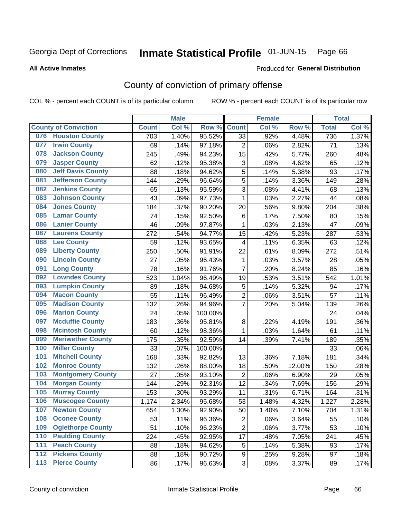#### Inmate Statistical Profile 01-JUN-15 Page 66

**All Active Inmates** 

### Produced for General Distribution

## County of conviction of primary offense

COL % - percent each COUNT is of its particular column

|                  |                             |              | <b>Male</b> |         |                | <b>Female</b> |        |              | <b>Total</b> |
|------------------|-----------------------------|--------------|-------------|---------|----------------|---------------|--------|--------------|--------------|
|                  | <b>County of Conviction</b> | <b>Count</b> | Col %       | Row %   | <b>Count</b>   | Col %         | Row %  | <b>Total</b> | Col %        |
|                  | 076 Houston County          | 703          | 1.40%       | 95.52%  | 33             | .92%          | 4.48%  | 736          | 1.37%        |
| 077              | <b>Irwin County</b>         | 69           | .14%        | 97.18%  | $\overline{2}$ | .06%          | 2.82%  | 71           | .13%         |
| 078              | <b>Jackson County</b>       | 245          | .49%        | 94.23%  | 15             | .42%          | 5.77%  | 260          | .48%         |
| 079              | <b>Jasper County</b>        | 62           | .12%        | 95.38%  | 3              | .08%          | 4.62%  | 65           | .12%         |
| 080              | <b>Jeff Davis County</b>    | 88           | .18%        | 94.62%  | 5              | .14%          | 5.38%  | 93           | .17%         |
| 081              | <b>Jefferson County</b>     | 144          | .29%        | 96.64%  | 5              | .14%          | 3.36%  | 149          | .28%         |
| 082              | <b>Jenkins County</b>       | 65           | .13%        | 95.59%  | 3              | .08%          | 4.41%  | 68           | .13%         |
| 083              | <b>Johnson County</b>       | 43           | .09%        | 97.73%  | $\mathbf 1$    | .03%          | 2.27%  | 44           | .08%         |
| 084              | <b>Jones County</b>         | 184          | .37%        | 90.20%  | 20             | .56%          | 9.80%  | 204          | .38%         |
| 085              | <b>Lamar County</b>         | 74           | .15%        | 92.50%  | $\,6$          | .17%          | 7.50%  | 80           | .15%         |
| 086              | <b>Lanier County</b>        | 46           | .09%        | 97.87%  | 1              | .03%          | 2.13%  | 47           | .09%         |
| 087              | <b>Laurens County</b>       | 272          | .54%        | 94.77%  | 15             | .42%          | 5.23%  | 287          | .53%         |
| 088              | <b>Lee County</b>           | 59           | .12%        | 93.65%  | 4              | .11%          | 6.35%  | 63           | .12%         |
| 089              | <b>Liberty County</b>       | 250          | .50%        | 91.91%  | 22             | .61%          | 8.09%  | 272          | .51%         |
| 090              | <b>Lincoln County</b>       | 27           | .05%        | 96.43%  | $\mathbf 1$    | .03%          | 3.57%  | 28           | .05%         |
| 091              | <b>Long County</b>          | 78           | .16%        | 91.76%  | $\overline{7}$ | .20%          | 8.24%  | 85           | .16%         |
| 092              | <b>Lowndes County</b>       | 523          | 1.04%       | 96.49%  | 19             | .53%          | 3.51%  | 542          | 1.01%        |
| 093              | <b>Lumpkin County</b>       | 89           | .18%        | 94.68%  | 5              | .14%          | 5.32%  | 94           | .17%         |
| 094              | <b>Macon County</b>         | 55           | .11%        | 96.49%  | $\overline{c}$ | .06%          | 3.51%  | 57           | .11%         |
| 095              | <b>Madison County</b>       | 132          | .26%        | 94.96%  | $\overline{7}$ | .20%          | 5.04%  | 139          | .26%         |
| 096              | <b>Marion County</b>        | 24           | .05%        | 100.00% |                |               |        | 24           | .04%         |
| 097              | <b>Mcduffie County</b>      | 183          | .36%        | 95.81%  | 8              | .22%          | 4.19%  | 191          | .36%         |
| 098              | <b>Mcintosh County</b>      | 60           | .12%        | 98.36%  | 1              | .03%          | 1.64%  | 61           | .11%         |
| 099              | <b>Meriwether County</b>    | 175          | .35%        | 92.59%  | 14             | .39%          | 7.41%  | 189          | .35%         |
| 100              | <b>Miller County</b>        | 33           | .07%        | 100.00% |                |               |        | 33           | .06%         |
| 101              | <b>Mitchell County</b>      | 168          | .33%        | 92.82%  | 13             | .36%          | 7.18%  | 181          | .34%         |
| 102              | <b>Monroe County</b>        | 132          | .26%        | 88.00%  | 18             | .50%          | 12.00% | 150          | .28%         |
| 103              | <b>Montgomery County</b>    | 27           | .05%        | 93.10%  | $\overline{2}$ | .06%          | 6.90%  | 29           | .05%         |
| 104              | <b>Morgan County</b>        | 144          | .29%        | 92.31%  | 12             | .34%          | 7.69%  | 156          | .29%         |
| 105              | <b>Murray County</b>        | 153          | .30%        | 93.29%  | 11             | .31%          | 6.71%  | 164          | .31%         |
| 106              | <b>Muscogee County</b>      | 1,174        | 2.34%       | 95.68%  | 53             | 1.48%         | 4.32%  | 1,227        | 2.28%        |
| 107              | <b>Newton County</b>        | 654          | 1.30%       | 92.90%  | 50             | 1.40%         | 7.10%  | 704          | 1.31%        |
| 108              | <b>Oconee County</b>        | 53           | .11%        | 96.36%  | 2              | .06%          | 3.64%  | 55           | .10%         |
| 109              | <b>Oglethorpe County</b>    | 51           | .10%        | 96.23%  | $\overline{c}$ | .06%          | 3.77%  | 53           | .10%         |
| 110              | <b>Paulding County</b>      | 224          | .45%        | 92.95%  | 17             | .48%          | 7.05%  | 241          | .45%         |
| 111              | <b>Peach County</b>         | 88           | .18%        | 94.62%  | $\mathbf 5$    | .14%          | 5.38%  | 93           | .17%         |
| $\overline{112}$ | <b>Pickens County</b>       | 88           | .18%        | 90.72%  | 9              | .25%          | 9.28%  | 97           | .18%         |
| 113              | <b>Pierce County</b>        | 86           | .17%        | 96.63%  | 3              | .08%          | 3.37%  | 89           | .17%         |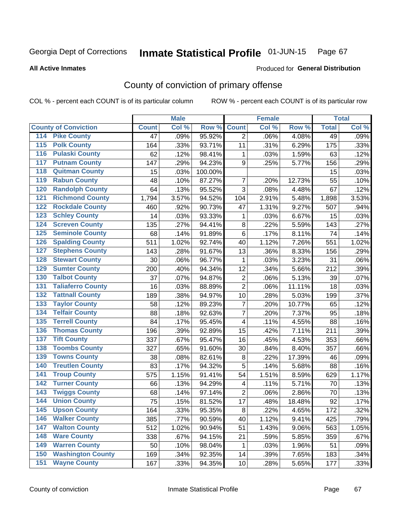#### Inmate Statistical Profile 01-JUN-15 Page 67

#### **All Active Inmates**

## **Produced for General Distribution**

## County of conviction of primary offense

COL % - percent each COUNT is of its particular column

|                                          |              | <b>Male</b> |         |                | <b>Female</b> |        |              | <b>Total</b> |
|------------------------------------------|--------------|-------------|---------|----------------|---------------|--------|--------------|--------------|
| <b>County of Conviction</b>              | <b>Count</b> | Col %       | Row %   | <b>Count</b>   | Col %         | Row %  | <b>Total</b> | Col %        |
| <b>Pike County</b><br>114                | 47           | .09%        | 95.92%  | $\overline{2}$ | .06%          | 4.08%  | 49           | .09%         |
| <b>Polk County</b><br>$\overline{115}$   | 164          | .33%        | 93.71%  | 11             | .31%          | 6.29%  | 175          | .33%         |
| <b>Pulaski County</b><br>116             | 62           | .12%        | 98.41%  | 1              | .03%          | 1.59%  | 63           | .12%         |
| <b>Putnam County</b><br>117              | 147          | .29%        | 94.23%  | 9              | .25%          | 5.77%  | 156          | .29%         |
| <b>Quitman County</b><br>118             | 15           | .03%        | 100.00% |                |               |        | 15           | .03%         |
| <b>Rabun County</b><br>119               | 48           | .10%        | 87.27%  | $\overline{7}$ | .20%          | 12.73% | 55           | .10%         |
| <b>Randolph County</b><br>120            | 64           | .13%        | 95.52%  | 3              | .08%          | 4.48%  | 67           | .12%         |
| <b>Richmond County</b><br>121            | 1,794        | 3.57%       | 94.52%  | 104            | 2.91%         | 5.48%  | 1,898        | 3.53%        |
| <b>Rockdale County</b><br>122            | 460          | .92%        | 90.73%  | 47             | 1.31%         | 9.27%  | 507          | .94%         |
| 123<br><b>Schley County</b>              | 14           | .03%        | 93.33%  | 1              | .03%          | 6.67%  | 15           | .03%         |
| <b>Screven County</b><br>124             | 135          | .27%        | 94.41%  | 8              | .22%          | 5.59%  | 143          | .27%         |
| <b>Seminole County</b><br>125            | 68           | .14%        | 91.89%  | 6              | .17%          | 8.11%  | 74           | .14%         |
| <b>Spalding County</b><br>126            | 511          | 1.02%       | 92.74%  | 40             | 1.12%         | 7.26%  | 551          | 1.02%        |
| 127<br><b>Stephens County</b>            | 143          | .28%        | 91.67%  | 13             | .36%          | 8.33%  | 156          | .29%         |
| <b>Stewart County</b><br>128             | 30           | .06%        | 96.77%  | 1              | .03%          | 3.23%  | 31           | .06%         |
| <b>Sumter County</b><br>129              | 200          | .40%        | 94.34%  | 12             | .34%          | 5.66%  | 212          | .39%         |
| <b>Talbot County</b><br>130              | 37           | .07%        | 94.87%  | $\mathbf 2$    | .06%          | 5.13%  | 39           | .07%         |
| <b>Taliaferro County</b><br>131          | 16           | .03%        | 88.89%  | $\overline{2}$ | .06%          | 11.11% | 18           | .03%         |
| <b>Tattnall County</b><br>132            | 189          | .38%        | 94.97%  | 10             | .28%          | 5.03%  | 199          | .37%         |
| 133<br><b>Taylor County</b>              | 58           | .12%        | 89.23%  | $\overline{7}$ | .20%          | 10.77% | 65           | .12%         |
| <b>Telfair County</b><br>134             | 88           | .18%        | 92.63%  | $\overline{7}$ | .20%          | 7.37%  | 95           | .18%         |
| <b>Terrell County</b><br>135             | 84           | .17%        | 95.45%  | 4              | .11%          | 4.55%  | 88           | .16%         |
| <b>Thomas County</b><br>136              | 196          | .39%        | 92.89%  | 15             | .42%          | 7.11%  | 211          | .39%         |
| <b>Tift County</b><br>137                | 337          | .67%        | 95.47%  | 16             | .45%          | 4.53%  | 353          | .66%         |
| <b>Toombs County</b><br>138              | 327          | .65%        | 91.60%  | 30             | .84%          | 8.40%  | 357          | .66%         |
| <b>Towns County</b><br>139               | 38           | .08%        | 82.61%  | 8              | .22%          | 17.39% | 46           | .09%         |
| <b>Treutlen County</b><br>140            | 83           | .17%        | 94.32%  | 5              | .14%          | 5.68%  | 88           | .16%         |
| <b>Troup County</b><br>141               | 575          | 1.15%       | 91.41%  | 54             | 1.51%         | 8.59%  | 629          | 1.17%        |
| <b>Turner County</b><br>142              | 66           | .13%        | 94.29%  | 4              | .11%          | 5.71%  | 70           | .13%         |
| $\overline{143}$<br><b>Twiggs County</b> | 68           | .14%        | 97.14%  | $\overline{2}$ | .06%          | 2.86%  | 70           | .13%         |
| <b>Union County</b><br>144               | 75           | .15%        | 81.52%  | 17             | .48%          | 18.48% | 92           | .17%         |
| 145<br><b>Upson County</b>               | 164          | .33%        | 95.35%  | 8              | .22%          | 4.65%  | 172          | $.32\%$      |
| <b>Walker County</b><br>146              | 385          | .77%        | 90.59%  | 40             | 1.12%         | 9.41%  | 425          | .79%         |
| 147<br><b>Walton County</b>              | 512          | 1.02%       | 90.94%  | 51             | 1.43%         | 9.06%  | 563          | 1.05%        |
| <b>Ware County</b><br>148                | 338          | .67%        | 94.15%  | 21             | .59%          | 5.85%  | 359          | .67%         |
| <b>Warren County</b><br>149              | 50           | .10%        | 98.04%  | 1              | .03%          | 1.96%  | 51           | .09%         |
| <b>Washington County</b><br>150          | 169          | .34%        | 92.35%  | 14             | .39%          | 7.65%  | 183          | .34%         |
| <b>Wayne County</b><br>151               | 167          | .33%        | 94.35%  | 10             | .28%          | 5.65%  | 177          | .33%         |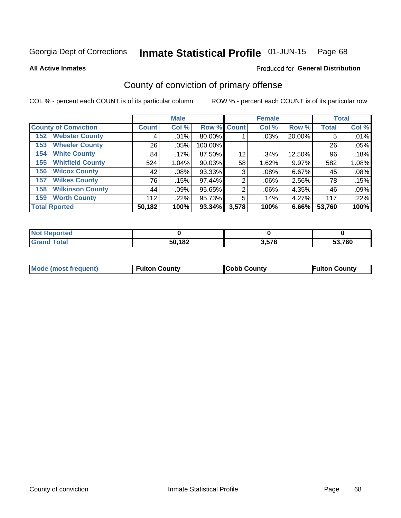#### Inmate Statistical Profile 01-JUN-15 Page 68

**All Active Inmates** 

### Produced for General Distribution

## County of conviction of primary offense

COL % - percent each COUNT is of its particular column

|                                |              | <b>Male</b> |             |       | <b>Female</b> |        |              | <b>Total</b> |
|--------------------------------|--------------|-------------|-------------|-------|---------------|--------|--------------|--------------|
| <b>County of Conviction</b>    | <b>Count</b> | Col %       | Row % Count |       | Col %         | Row %  | <b>Total</b> | Col %        |
| <b>Webster County</b><br>152   | 4            | .01%        | 80.00%      |       | .03%          | 20.00% | 5            | .01%         |
| <b>Wheeler County</b><br>153   | 26           | $.05\%$     | 100.00%     |       |               |        | 26           | .05%         |
| <b>White County</b><br>154     | 84           | $.17\%$     | 87.50%      | 12    | .34%          | 12.50% | 96           | .18%         |
| <b>Whitfield County</b><br>155 | 524          | 1.04%       | 90.03%      | 58    | 1.62%         | 9.97%  | 582          | 1.08%        |
| <b>Wilcox County</b><br>156    | 42           | $.08\%$     | 93.33%      | 3     | .08%          | 6.67%  | 45           | .08%         |
| <b>Wilkes County</b><br>157    | 76           | .15%        | 97.44%      | 2     | $.06\%$       | 2.56%  | 78           | .15%         |
| <b>Wilkinson County</b><br>158 | 44           | .09%        | 95.65%      | 2     | $.06\%$       | 4.35%  | 46           | .09%         |
| <b>Worth County</b><br>159     | 112          | .22%        | 95.73%      | 5     | .14%          | 4.27%  | 117          | .22%         |
| <b>Total Rported</b>           | 50,182       | 100%        | 93.34%      | 3,578 | 100%          | 6.66%  | 53,760       | 100%         |

| <b>Not Reported</b> |        |       |        |
|---------------------|--------|-------|--------|
| <b>Grand Total</b>  | 50,182 | 3,578 | 53,760 |

| <b>Mode (most frequent)</b> | <b>Fulton County</b> | <b>ICobb County</b> | <b>Fulton County</b> |
|-----------------------------|----------------------|---------------------|----------------------|
|                             |                      |                     |                      |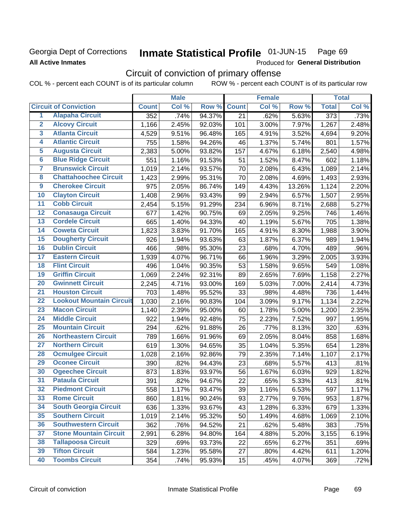### Georgia Dept of Corrections **All Active Inmates**

#### Inmate Statistical Profile 01-JUN-15 Page 69

Produced for General Distribution

## Circuit of conviction of primary offense

COL % - percent each COUNT is of its particular column ROW % - percent each COUNT is of its particular row

|                         |                                 |                  | <b>Male</b> |        |              | <b>Female</b> |        |                  | <b>Total</b> |
|-------------------------|---------------------------------|------------------|-------------|--------|--------------|---------------|--------|------------------|--------------|
|                         | <b>Circuit of Conviction</b>    | <b>Count</b>     | Col %       | Row %  | <b>Count</b> | Col %         | Row %  | <b>Total</b>     | Col %        |
| 1                       | <b>Alapaha Circuit</b>          | $\overline{352}$ | .74%        | 94.37% | 21           | .62%          | 5.63%  | $\overline{373}$ | .73%         |
| $\overline{2}$          | <b>Alcovy Circuit</b>           | 1,166            | 2.45%       | 92.03% | 101          | 3.00%         | 7.97%  | 1,267            | 2.48%        |
| $\overline{\mathbf{3}}$ | <b>Atlanta Circuit</b>          | 4,529            | 9.51%       | 96.48% | 165          | 4.91%         | 3.52%  | 4,694            | 9.20%        |
| 4                       | <b>Atlantic Circuit</b>         | 755              | 1.58%       | 94.26% | 46           | 1.37%         | 5.74%  | 801              | 1.57%        |
| 5                       | <b>Augusta Circuit</b>          | 2,383            | 5.00%       | 93.82% | 157          | 4.67%         | 6.18%  | 2,540            | 4.98%        |
| $\overline{6}$          | <b>Blue Ridge Circuit</b>       | 551              | 1.16%       | 91.53% | 51           | 1.52%         | 8.47%  | 602              | 1.18%        |
| $\overline{\mathbf{7}}$ | <b>Brunswick Circuit</b>        | 1,019            | 2.14%       | 93.57% | 70           | 2.08%         | 6.43%  | 1,089            | 2.14%        |
| 8                       | <b>Chattahoochee Circuit</b>    | 1,423            | 2.99%       | 95.31% | 70           | 2.08%         | 4.69%  | 1,493            | 2.93%        |
| $\overline{9}$          | <b>Cherokee Circuit</b>         | 975              | 2.05%       | 86.74% | 149          | 4.43%         | 13.26% | 1,124            | 2.20%        |
| 10                      | <b>Clayton Circuit</b>          | 1,408            | 2.96%       | 93.43% | 99           | 2.94%         | 6.57%  | 1,507            | 2.95%        |
| $\overline{11}$         | <b>Cobb Circuit</b>             | 2,454            | 5.15%       | 91.29% | 234          | 6.96%         | 8.71%  | 2,688            | 5.27%        |
| $\overline{12}$         | <b>Conasauga Circuit</b>        | 677              | 1.42%       | 90.75% | 69           | 2.05%         | 9.25%  | 746              | 1.46%        |
| 13                      | <b>Cordele Circuit</b>          | 665              | 1.40%       | 94.33% | 40           | 1.19%         | 5.67%  | 705              | 1.38%        |
| 14                      | <b>Coweta Circuit</b>           | 1,823            | 3.83%       | 91.70% | 165          | 4.91%         | 8.30%  | 1,988            | 3.90%        |
| 15                      | <b>Dougherty Circuit</b>        | 926              | 1.94%       | 93.63% | 63           | 1.87%         | 6.37%  | 989              | 1.94%        |
| 16                      | <b>Dublin Circuit</b>           | 466              | .98%        | 95.30% | 23           | .68%          | 4.70%  | 489              | .96%         |
| 17                      | <b>Eastern Circuit</b>          | 1,939            | 4.07%       | 96.71% | 66           | 1.96%         | 3.29%  | 2,005            | 3.93%        |
| 18                      | <b>Flint Circuit</b>            | 496              | 1.04%       | 90.35% | 53           | 1.58%         | 9.65%  | 549              | 1.08%        |
| 19                      | <b>Griffin Circuit</b>          | 1,069            | 2.24%       | 92.31% | 89           | 2.65%         | 7.69%  | 1,158            | 2.27%        |
| $\overline{20}$         | <b>Gwinnett Circuit</b>         | 2,245            | 4.71%       | 93.00% | 169          | 5.03%         | 7.00%  | 2,414            | 4.73%        |
| $\overline{21}$         | <b>Houston Circuit</b>          | 703              | 1.48%       | 95.52% | 33           | .98%          | 4.48%  | 736              | 1.44%        |
| $\overline{22}$         | <b>Lookout Mountain Circuit</b> | 1,030            | 2.16%       | 90.83% | 104          | 3.09%         | 9.17%  | 1,134            | 2.22%        |
| 23                      | <b>Macon Circuit</b>            | 1,140            | 2.39%       | 95.00% | 60           | 1.78%         | 5.00%  | 1,200            | 2.35%        |
| $\overline{24}$         | <b>Middle Circuit</b>           | 922              | 1.94%       | 92.48% | 75           | 2.23%         | 7.52%  | 997              | 1.95%        |
| 25                      | <b>Mountain Circuit</b>         | 294              | .62%        | 91.88% | 26           | .77%          | 8.13%  | 320              | .63%         |
| 26                      | <b>Northeastern Circuit</b>     | 789              | 1.66%       | 91.96% | 69           | 2.05%         | 8.04%  | 858              | 1.68%        |
| $\overline{27}$         | <b>Northern Circuit</b>         | 619              | 1.30%       | 94.65% | 35           | 1.04%         | 5.35%  | 654              | 1.28%        |
| 28                      | <b>Ocmulgee Circuit</b>         | 1,028            | 2.16%       | 92.86% | 79           | 2.35%         | 7.14%  | 1,107            | 2.17%        |
| 29                      | <b>Oconee Circuit</b>           | 390              | .82%        | 94.43% | 23           | .68%          | 5.57%  | 413              | .81%         |
| 30                      | <b>Ogeechee Circuit</b>         | 873              | 1.83%       | 93.97% | 56           | 1.67%         | 6.03%  | 929              | 1.82%        |
| $\overline{31}$         | <b>Pataula Circuit</b>          | 391              | .82%        | 94.67% | 22           | .65%          | 5.33%  | 413              | .81%         |
| 32                      | <b>Piedmont Circuit</b>         | 558              | 1.17%       | 93.47% | 39           | 1.16%         | 6.53%  | 597              | 1.17%        |
| 33                      | <b>Rome Circuit</b>             | 860              | 1.81%       | 90.24% | 93           | 2.77%         | 9.76%  | 953              | 1.87%        |
| 34                      | <b>South Georgia Circuit</b>    | 636              | 1.33%       | 93.67% | 43           | 1.28%         | 6.33%  | 679              | 1.33%        |
| 35                      | <b>Southern Circuit</b>         | 1,019            | 2.14%       | 95.32% | 50           | 1.49%         | 4.68%  | 1,069            | 2.10%        |
| 36                      | <b>Southwestern Circuit</b>     | 362              | .76%        | 94.52% | 21           | .62%          | 5.48%  | 383              | .75%         |
| 37                      | <b>Stone Mountain Circuit</b>   | 2,991            | 6.28%       | 94.80% | 164          | 4.88%         | 5.20%  | 3,155            | 6.19%        |
| 38                      | <b>Tallapoosa Circuit</b>       | 329              | .69%        | 93.73% | 22           | .65%          | 6.27%  | 351              | .69%         |
| 39                      | <b>Tifton Circuit</b>           | 584              | 1.23%       | 95.58% | 27           | .80%          | 4.42%  | 611              | 1.20%        |
| 40                      | <b>Toombs Circuit</b>           | 354              | .74%        | 95.93% | 15           | .45%          | 4.07%  | 369              | .72%         |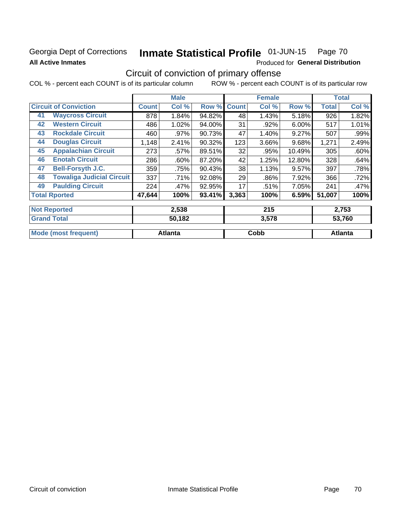## Georgia Dept of Corrections **All Active Inmates**

**Mode (most frequent)** 

#### Inmate Statistical Profile 01-JUN-15 Page 70

Cobb

Produced for General Distribution

## Circuit of conviction of primary offense

ROW % - percent each COUNT is of its particular row COL % - percent each COUNT is of its particular column

|    |                                  |              | <b>Male</b> |        |              | <b>Female</b> |          |              | <b>Total</b> |
|----|----------------------------------|--------------|-------------|--------|--------------|---------------|----------|--------------|--------------|
|    | <b>Circuit of Conviction</b>     | <b>Count</b> | Col %       | Row %  | <b>Count</b> | Col %         | Row %    | <b>Total</b> | Col %        |
| 41 | <b>Waycross Circuit</b>          | 878          | 1.84%       | 94.82% | 48           | 1.43%         | 5.18%    | 926          | 1.82%        |
| 42 | <b>Western Circuit</b>           | 486          | 1.02%       | 94.00% | 31           | .92%          | $6.00\%$ | 517          | 1.01%        |
| 43 | <b>Rockdale Circuit</b>          | 460          | .97%        | 90.73% | 47           | 1.40%         | 9.27%    | 507          | .99%         |
| 44 | <b>Douglas Circuit</b>           | 1,148        | 2.41%       | 90.32% | 123          | 3.66%         | 9.68%    | 1,271        | 2.49%        |
| 45 | <b>Appalachian Circuit</b>       | 273          | .57%        | 89.51% | 32           | .95%          | 10.49%   | 305          | .60%         |
| 46 | <b>Enotah Circuit</b>            | 286          | .60%        | 87.20% | 42           | 1.25%         | 12.80%   | 328          | .64%         |
| 47 | <b>Bell-Forsyth J.C.</b>         | 359          | .75%        | 90.43% | 38           | 1.13%         | 9.57%    | 397          | .78%         |
| 48 | <b>Towaliga Judicial Circuit</b> | 337          | .71%        | 92.08% | 29           | .86%          | 7.92%    | 366          | .72%         |
| 49 | <b>Paulding Circuit</b>          | 224          | .47%        | 92.95% | 17           | .51%          | 7.05%    | 241          | .47%         |
|    | <b>Total Rported</b>             | 47,644       | 100%        | 93.41% | 3,363        | 100%          | 6.59%    | 51,007       | 100%         |
|    | <b>Not Reported</b>              |              | 2,538       |        |              | 215           |          |              | 2,753        |
|    | <b>Grand Total</b>               |              | 50,182      |        |              | 3,578         |          |              | 53,760       |

**Atlanta** 

**Atlanta**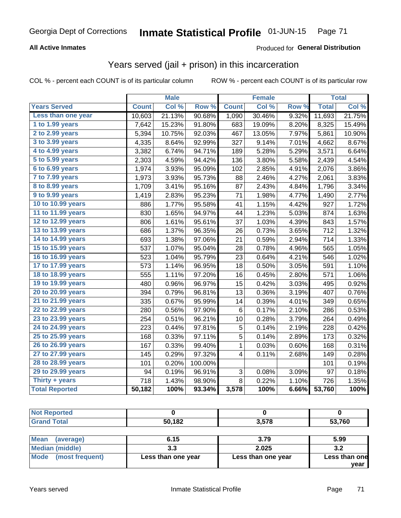### **All Active Inmates**

### Produced for General Distribution

## Years served (jail + prison) in this incarceration

COL % - percent each COUNT is of its particular column

|                       |              | <b>Male</b> |                  |              | <b>Female</b> |       |              | <b>Total</b> |
|-----------------------|--------------|-------------|------------------|--------------|---------------|-------|--------------|--------------|
| <b>Years Served</b>   | <b>Count</b> | Col %       | Row <sup>%</sup> | <b>Count</b> | Col %         | Row % | <b>Total</b> | Col %        |
| Less than one year    | 10,603       | 21.13%      | 90.68%           | 1,090        | 30.46%        | 9.32% | 11,693       | 21.75%       |
| 1 to 1.99 years       | 7,642        | 15.23%      | 91.80%           | 683          | 19.09%        | 8.20% | 8,325        | 15.49%       |
| 2 to 2.99 years       | 5,394        | 10.75%      | 92.03%           | 467          | 13.05%        | 7.97% | 5,861        | 10.90%       |
| $3$ to $3.99$ years   | 4,335        | 8.64%       | 92.99%           | 327          | 9.14%         | 7.01% | 4,662        | 8.67%        |
| 4 to 4.99 years       | 3,382        | 6.74%       | 94.71%           | 189          | 5.28%         | 5.29% | 3,571        | 6.64%        |
| 5 to 5.99 years       | 2,303        | 4.59%       | 94.42%           | 136          | 3.80%         | 5.58% | 2,439        | 4.54%        |
| 6 to 6.99 years       | 1,974        | 3.93%       | 95.09%           | 102          | 2.85%         | 4.91% | 2,076        | 3.86%        |
| 7 to 7.99 years       | 1,973        | 3.93%       | 95.73%           | 88           | 2.46%         | 4.27% | 2,061        | 3.83%        |
| 8 to 8.99 years       | 1,709        | 3.41%       | 95.16%           | 87           | 2.43%         | 4.84% | 1,796        | 3.34%        |
| 9 to 9.99 years       | 1,419        | 2.83%       | 95.23%           | 71           | 1.98%         | 4.77% | 1,490        | 2.77%        |
| 10 to 10.99 years     | 886          | 1.77%       | 95.58%           | 41           | 1.15%         | 4.42% | 927          | 1.72%        |
| 11 to 11.99 years     | 830          | 1.65%       | 94.97%           | 44           | 1.23%         | 5.03% | 874          | 1.63%        |
| 12 to 12.99 years     | 806          | 1.61%       | 95.61%           | 37           | 1.03%         | 4.39% | 843          | 1.57%        |
| 13 to 13.99 years     | 686          | 1.37%       | 96.35%           | 26           | 0.73%         | 3.65% | 712          | 1.32%        |
| 14 to 14.99 years     | 693          | 1.38%       | 97.06%           | 21           | 0.59%         | 2.94% | 714          | 1.33%        |
| 15 to 15.99 years     | 537          | 1.07%       | 95.04%           | 28           | 0.78%         | 4.96% | 565          | 1.05%        |
| 16 to 16.99 years     | 523          | 1.04%       | 95.79%           | 23           | 0.64%         | 4.21% | 546          | 1.02%        |
| 17 to 17.99 years     | 573          | 1.14%       | 96.95%           | 18           | 0.50%         | 3.05% | 591          | 1.10%        |
| 18 to 18.99 years     | 555          | 1.11%       | 97.20%           | 16           | 0.45%         | 2.80% | 571          | 1.06%        |
| 19 to 19.99 years     | 480          | 0.96%       | 96.97%           | 15           | 0.42%         | 3.03% | 495          | 0.92%        |
| 20 to 20.99 years     | 394          | 0.79%       | 96.81%           | 13           | 0.36%         | 3.19% | 407          | 0.76%        |
| 21 to 21.99 years     | 335          | 0.67%       | 95.99%           | 14           | 0.39%         | 4.01% | 349          | 0.65%        |
| 22 to 22.99 years     | 280          | 0.56%       | 97.90%           | $\,6\,$      | 0.17%         | 2.10% | 286          | 0.53%        |
| 23 to 23.99 years     | 254          | 0.51%       | 96.21%           | 10           | 0.28%         | 3.79% | 264          | 0.49%        |
| 24 to 24.99 years     | 223          | 0.44%       | 97.81%           | 5            | 0.14%         | 2.19% | 228          | 0.42%        |
| 25 to 25.99 years     | 168          | 0.33%       | 97.11%           | 5            | 0.14%         | 2.89% | 173          | 0.32%        |
| 26 to 26.99 years     | 167          | 0.33%       | 99.40%           | $\mathbf 1$  | 0.03%         | 0.60% | 168          | 0.31%        |
| 27 to 27.99 years     | 145          | 0.29%       | 97.32%           | 4            | 0.11%         | 2.68% | 149          | 0.28%        |
| 28 to 28.99 years     | 101          | 0.20%       | 100.00%          |              |               |       | 101          | 0.19%        |
| 29 to 29.99 years     | 94           | 0.19%       | 96.91%           | 3            | 0.08%         | 3.09% | 97           | 0.18%        |
| Thirty + years        | 718          | 1.43%       | 98.90%           | 8            | 0.22%         | 1.10% | 726          | 1.35%        |
| <b>Total Reported</b> | 50,182       | 100%        | 93.34%           | 3,578        | 100%          | 6.66% | 53,760       | 100%         |

| N <sub>of</sub><br><b>eported</b> |        |       |        |
|-----------------------------------|--------|-------|--------|
| <b>Total</b><br>Crope             | 50,182 | 3,578 | 53,760 |
|                                   |        |       |        |

| Mean<br>(average)    | 6.15               | 3.79               | 5.99          |
|----------------------|--------------------|--------------------|---------------|
| Median (middle)      | 3.3                | 2.025              | 3.2           |
| Mode (most frequent) | Less than one year | Less than one year | Less than one |
|                      |                    |                    | year          |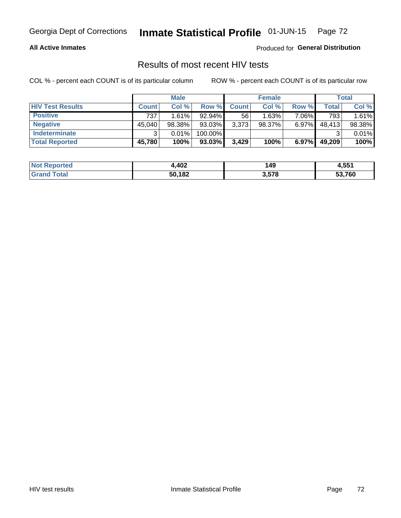## Georgia Dept of Corrections **Inmate Statistical Profile** 01-JUN-15 Page 72

### **All Active Inmates**

Produced for **General Distribution**

## Results of most recent HIV tests

COL % - percent each COUNT is of its particular column ROW % - percent each COUNT is of its particular row

|                         |              | <b>Male</b> |           |              | <b>Female</b> |          |        | Total  |
|-------------------------|--------------|-------------|-----------|--------------|---------------|----------|--------|--------|
| <b>HIV Test Results</b> | <b>Count</b> | Col%        | Row %I    | <b>Count</b> | Col %         | Row %    | Total  | Col %  |
| <b>Positive</b>         | 737          | 1.61%       | $92.94\%$ | 56           | 1.63%         | 7.06%    | 793    | 1.61%  |
| <b>Negative</b>         | 45,040       | 98.38%      | 93.03%    | 3,373        | $98.37\%$     | $6.97\%$ | 48,413 | 98.38% |
| Indeterminate           | າ            | 0.01%       | 100.00%   |              |               |          |        | 0.01%  |
| <b>Total Reported</b>   | 45,780       | 100%        | $93.03\%$ | 3,429        | 100%          | $6.97\%$ | 49,209 | 100%   |

| <b>Not Reported</b> | 402.ا  | 149   | 4,551  |
|---------------------|--------|-------|--------|
| Total<br>Grand      | 50,182 | 3,578 | 53,760 |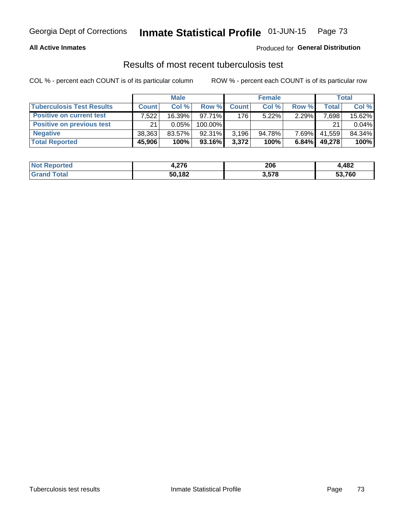# Georgia Dept of Corrections **Inmate Statistical Profile** 01-JUN-15 Page 73

#### **All Active Inmates**

### Produced for **General Distribution**

### Results of most recent tuberculosis test

COL % - percent each COUNT is of its particular column ROW % - percent each COUNT is of its particular row

|                                  | <b>Male</b>  |           |           | <b>Female</b> |          |          | Total  |        |
|----------------------------------|--------------|-----------|-----------|---------------|----------|----------|--------|--------|
| <b>Tuberculosis Test Results</b> | <b>Count</b> | Col%      | Row %     | <b>Count</b>  | Col %    | Row %    | Total  | Col %  |
| <b>Positive on current test</b>  | 7.522        | $16.39\%$ | $97.71\%$ | 176           | $5.22\%$ | 2.29%    | 7,698  | 15.62% |
| <b>Positive on previous test</b> | 21           | 0.05%     | 100.00%   |               |          |          | 21     | 0.04%  |
| <b>Negative</b>                  | 38.363       | $83.57\%$ | $92.31\%$ | 3,196         | 94.78%   | $7.69\%$ | 41.559 | 84.34% |
| <b>Total Reported</b>            | 45,906       | 100%      | 93.16%    | 3,372         | 100%     | 6.84%    | 49,278 | 100%   |

| <b>Not Reported</b>   | 1,276  | 206   | 1,482  |
|-----------------------|--------|-------|--------|
| <b>Total</b><br>Grand | 50,182 | 3,578 | 53,760 |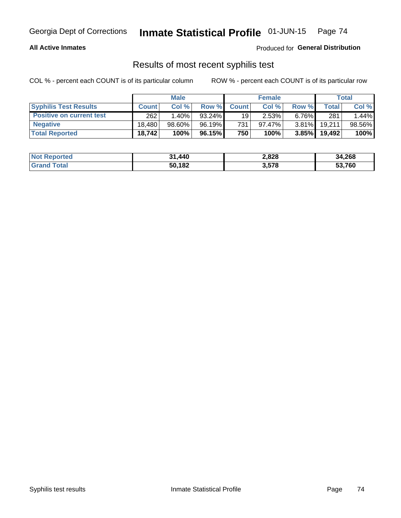# Georgia Dept of Corrections **Inmate Statistical Profile** 01-JUN-15 Page 74

#### **All Active Inmates**

Produced for **General Distribution**

## Results of most recent syphilis test

COL % - percent each COUNT is of its particular column ROW % - percent each COUNT is of its particular row

|                                 | <b>Male</b>  |           |           | <b>Female</b> |           |          | Total   |        |
|---------------------------------|--------------|-----------|-----------|---------------|-----------|----------|---------|--------|
| <b>Syphilis Test Results</b>    | <b>Count</b> | Col%      | Row %     | <b>Count</b>  | Col %     | Row %    | Total I | Col %  |
| <b>Positive on current test</b> | 262          | $1.40\%$  | $93.24\%$ | 19            | 2.53%     | $6.76\%$ | 281     | 1.44%  |
| <b>Negative</b>                 | 18.480       | $98.60\%$ | 96.19%    | 731           | $97.47\%$ | $3.81\%$ | 19,211  | 98.56% |
| <b>Total Reported</b>           | 18,742       | 100%      | 96.15% I  | 750           | 100%      | $3.85\%$ | 19,492  | 100%   |

| <b>Not Reported</b> | 1,440<br>54. | 2,828 | 34,268 |
|---------------------|--------------|-------|--------|
| <b>Grand Total</b>  | 50,182       | 3,578 | 53,760 |